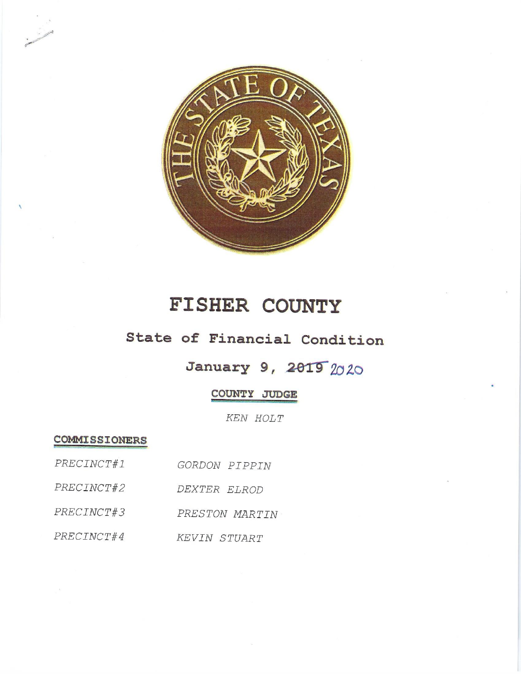

# FISHER COUNTY

## State of Financial Condition

## January 9, 2019 2020

### COUNTY JUDGE

KEN HOLT

**COMMISSIONERS** 

| PRECINCT#1 | GORDON PIPPIN  |
|------------|----------------|
| PRECINCT#2 | DEXTER ELROD   |
| PRECINCT#3 | PRESTON MARTIN |
| PRECINCT#4 | KEVIN STUART   |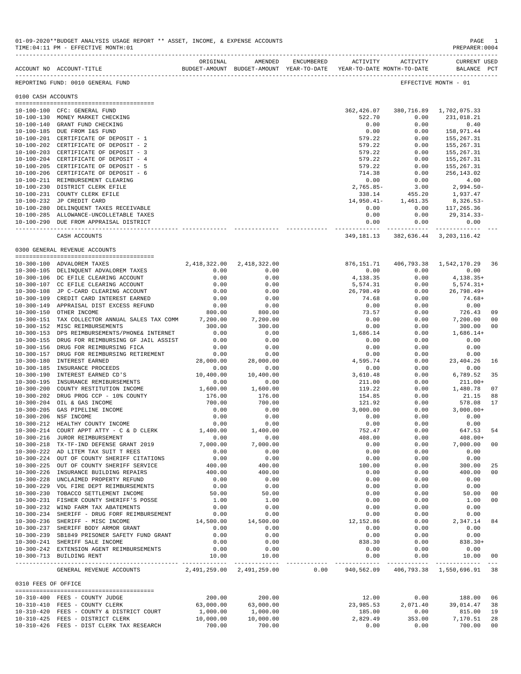|                     | ACCOUNT NO ACCOUNT-TITLE SUDGET-AMOUNT BUDGET-AMOUNT WEAR-TO-DATE YEAR-TO-DATE MONTH-TO-DATE | ORIGINAL         | AMENDED       | ENCUMBERED | ACTIVITY       | ACTIVITY                                                 | CURRENT USED<br>BALANCE PCT |     |
|---------------------|----------------------------------------------------------------------------------------------|------------------|---------------|------------|----------------|----------------------------------------------------------|-----------------------------|-----|
|                     | REPORTING FUND: 0010 GENERAL FUND                                                            |                  |               |            |                |                                                          | EFFECTIVE MONTH - 01        |     |
| 0100 CASH ACCOUNTS  |                                                                                              |                  |               |            |                |                                                          |                             |     |
|                     |                                                                                              |                  |               |            |                |                                                          |                             |     |
|                     | 10-100-100 CFC: GENERAL FUND                                                                 |                  |               |            | 362,426.07     | 380,716.89                                               | 1,702,075.33                |     |
|                     | 10-100-130 MONEY MARKET CHECKING                                                             |                  |               |            | 522.70         | 0.00                                                     | 231,018.21                  |     |
|                     | 10-100-140 GRANT FUND CHECKING                                                               |                  |               |            | 0.00           | 0.00                                                     | 0.40                        |     |
|                     | 10-100-185 DUE FROM I&S FUND                                                                 |                  |               |            | 0.00           | 0.00                                                     | 158,971.44                  |     |
|                     | 10-100-201 CERTIFICATE OF DEPOSIT - 1                                                        |                  |               |            | 579.22         | 0.00                                                     | 155,267.31                  |     |
|                     | 10-100-202 CERTIFICATE OF DEPOSIT - 2                                                        |                  |               |            | 579.22         | 0.00                                                     | 155,267.31                  |     |
|                     | 10-100-203 CERTIFICATE OF DEPOSIT - 3                                                        |                  |               |            | 579.22         | 0.00                                                     | 155,267.31                  |     |
|                     | 10-100-204 CERTIFICATE OF DEPOSIT - 4                                                        |                  |               |            | 579.22         | 0.00                                                     | 155, 267.31                 |     |
|                     | 10-100-205 CERTIFICATE OF DEPOSIT - 5                                                        |                  |               |            | 579.22         | 0.00                                                     | 155,267.31                  |     |
|                     | 10-100-206 CERTIFICATE OF DEPOSIT - 6                                                        |                  |               |            | 714.38         | 0.00                                                     | 256,143.02                  |     |
|                     | 10-100-211 REIMBURSEMENT CLEARING                                                            |                  |               |            | 0.00           | 0.00                                                     | 4.00                        |     |
|                     |                                                                                              |                  |               |            |                |                                                          |                             |     |
|                     | 10-100-230 DISTRICT CLERK EFILE                                                              |                  |               |            | $2,765.85-$    | 3.00                                                     | 2,994.50-                   |     |
|                     | 10-100-231 COUNTY CLERK EFILE                                                                |                  |               |            | 338.14         | 455.20                                                   | 1,937.47                    |     |
|                     | 10-100-232 JP CREDIT CARD                                                                    |                  |               |            |                | 14,950.41- 1,461.35                                      | 8,326.53-                   |     |
|                     | 10-100-280 DELINQUENT TAXES RECEIVABLE                                                       |                  |               |            | 0.00           | 0.00                                                     | 117,265.36                  |     |
|                     | 10-100-285 ALLOWANCE-UNCOLLETABLE TAXES                                                      |                  |               |            | 0.00           | 0.00                                                     | 29,314.33-                  |     |
|                     | 10-100-290 DUE FROM APPRAISAL DISTRICT                                                       |                  |               |            | 0.00           | 0.00                                                     | 0.00                        |     |
|                     | CASH ACCOUNTS                                                                                |                  |               |            | ------------ - | -----------<br>349, 181. 13 382, 636. 44 3, 203, 116. 42 | -------------               |     |
|                     | 0300 GENERAL REVENUE ACCOUNTS                                                                |                  |               |            |                |                                                          |                             |     |
|                     |                                                                                              |                  |               |            |                |                                                          |                             |     |
|                     | 10-300-100 ADVALOREM TAXES                                                                   | 2,418,322.00     | 2,418,322.00  |            | 876,151.71     |                                                          | 406,793.38 1,542,170.29     | -36 |
|                     | 10-300-105 DELINQUENT ADVALOREM TAXES                                                        | 0.00             | 0.00          |            | 0.00           | 0.00                                                     | 0.00                        |     |
|                     | 10-300-106 DC EFILE CLEARING ACCOUNT                                                         | 0.00             | 0.00          |            | 4,138.35       | 0.00                                                     | 4,138.35+                   |     |
|                     | 10-300-107 CC EFILE CLEARING ACCOUNT                                                         | 0.00             | 0.00          |            | 5,574.31       | 0.00                                                     | $5,574.31+$                 |     |
|                     | 10-300-108 JP C-CARD CLEARING ACCOUNT                                                        | 0.00             | 0.00          |            | 26,798.49      | 0.00                                                     | 26,798.49+                  |     |
| $10 - 300 - 109$    | CREDIT CARD INTEREST EARNED                                                                  | 0.00             | 0.00          |            | 74.68          | 0.00                                                     | $74.68+$                    |     |
|                     | 10-300-149 APPRAISAL DIST EXCESS REFUND                                                      | 0.00             | 0.00          |            | 0.00           | 0.00                                                     | 0.00                        |     |
|                     | 10-300-150 OTHER INCOME                                                                      | 800.00           | 800.00        |            | 73.57          | 0.00                                                     | 726.43                      | 09  |
|                     | 10-300-151 TAX COLLECTOR ANNUAL SALES TAX COMM 7,200.00                                      |                  | 7,200.00      |            | 0.00           | 0.00                                                     | 7,200.00                    | 00  |
|                     | 10-300-152 MISC REIMBURSEMENTS                                                               | 300.00           | 300.00        |            | 0.00           | 0.00                                                     | 300.00                      | 00  |
| $10 - 300 - 153$    | DPS REIMBURSEMENTS/PHONE& INTERNET                                                           | 0.00             | 0.00          |            | 1,686.14       | 0.00                                                     | $1,686.14+$                 |     |
|                     |                                                                                              |                  |               |            |                |                                                          |                             |     |
| $10 - 300 - 155$    | DRUG FOR REIMBURSING GF JAIL ASSIST                                                          | 0.00             | 0.00          |            | 0.00           | 0.00                                                     | 0.00                        |     |
| $10 - 300 - 156$    | DRUG FOR REIMBURSING FICA                                                                    | 0.00             | 0.00          |            | 0.00           | 0.00                                                     | 0.00                        |     |
| $10 - 300 - 157$    | DRUG FOR REIMBURSING RETIREMENT                                                              | 0.00             | 0.00          |            | 0.00           | 0.00                                                     | 0.00                        |     |
| $10 - 300 - 180$    | INTEREST EARNED                                                                              | 28,000.00        | 28,000.00     |            | 4,595.74       | 0.00                                                     | 23, 404. 26                 | 16  |
| $10 - 300 - 185$    | INSURANCE PROCEEDS                                                                           | 0.00             | 0.00          |            | 0.00           | 0.00                                                     | 0.00                        |     |
| 10-300-190          | INTEREST EARNED CD'S                                                                         | 10,400.00        | 10,400.00     |            | 3,610.48       | 0.00                                                     | 6,789.52                    | 35  |
| $10 - 300 - 195$    | INSURANCE REMIBURSEMENTS                                                                     | 0.00             | 0.00          |            | 211.00         | 0.00                                                     | $211.00+$                   |     |
| $10 - 300 - 200$    | COUNTY RESTITUTION INCOME                                                                    | 1,600.00         | 1,600.00      |            | 119.22         | 0.00                                                     | 1,480.78                    | 07  |
| $10 - 300 - 202$    | DRUG PROG CCP - 10% COUNTY                                                                   | 176.00           | 176.00        |            | 154.85         | 0.00                                                     | 21.15                       | 88  |
| $10 - 300 - 204$    | OIL & GAS INCOME                                                                             | 700.00           | 700.00        |            | 121.92         | 0.00                                                     | 578.08                      | 17  |
| $10 - 300 - 205$    | GAS PIPELINE INCOME                                                                          | 0.00             | 0.00          |            | 3,000.00       | 0.00                                                     | $3,000.00+$                 |     |
| $10 - 300 - 206$    | NSF INCOME                                                                                   |                  | 0.00          |            | 0.00           | 0.00                                                     | 0.00                        |     |
| 10-300-212          | HEALTHY COUNTY INCOME                                                                        | $0.00$<br>$0.00$ | 0.00          |            | 0.00           | 0.00                                                     | 0.00                        |     |
|                     | 10-300-214 COURT APPT ATTY - C & D CLERK                                                     | 1,400.00         | 1,400.00      |            | 752.47         | 0.00                                                     | 647.53                      | 54  |
| $10 - 300 - 216$    | JUROR REIMBURSEMENT                                                                          | 0.00             | 0.00          |            | 408.00         | 0.00                                                     | $408.00+$                   |     |
|                     | 10-300-218 TX-TF-IND DEFENSE GRANT 2019                                                      | 7,000.00         | 7,000.00      |            | 0.00           | 0.00                                                     | 7,000.00                    | 00  |
|                     | 10-300-222 AD LITEM TAX SUIT T REES                                                          | 0.00             | 0.00          |            | 0.00           | 0.00                                                     | 0.00                        |     |
|                     | 10-300-224 OUT OF COUNTY SHERIFF CITATIONS                                                   |                  |               |            |                |                                                          |                             |     |
|                     |                                                                                              | 0.00             | 0.00          |            | 0.00           | 0.00                                                     | 0.00                        |     |
|                     | 10-300-225 OUT OF COUNTY SHERIFF SERVICE                                                     | 400.00           | 400.00        |            | 100.00         | 0.00                                                     | 300.00                      | 25  |
| $10 - 300 - 226$    | INSURANCE BUILDING REPAIRS                                                                   | 400.00           | 400.00        |            | 0.00           | 0.00                                                     | 400.00                      | 00  |
|                     | 10-300-228 UNCLAIMED PROPERTY REFUND                                                         | 0.00             | 0.00          |            | 0.00           | 0.00                                                     | 0.00                        |     |
|                     | 10-300-229 VOL FIRE DEPT REIMBURSEMENTS                                                      | 0.00             | 0.00          |            | 0.00           | 0.00                                                     | 0.00                        |     |
|                     | 10-300-230 TOBACCO SETTLEMENT INCOME                                                         | 50.00            | 50.00         |            | 0.00           | 0.00                                                     | 50.00                       | 00  |
|                     | 10-300-231 FISHER COUNTY SHERIFF'S POSSE                                                     | 1.00             | 1.00          |            | 0.00           | 0.00                                                     | 1.00                        | 00  |
|                     | 10-300-232 WIND FARM TAX ABATEMENTS                                                          | 0.00             | 0.00          |            | 0.00           | 0.00                                                     | 0.00                        |     |
|                     | 10-300-234 SHERIFF - DRUG FORF REIMBURSEMENT                                                 | 0.00             | 0.00          |            | 0.00           | 0.00                                                     | 0.00                        |     |
|                     | 10-300-236 SHERIFF - MISC INCOME                                                             | 14,500.00        | 14,500.00     |            | 12,152.86      | 0.00                                                     | 2,347.14                    | 84  |
|                     | 10-300-237 SHERIFF BODY ARMOR GRANT                                                          | 0.00             | 0.00          |            | 0.00           | 0.00                                                     | 0.00                        |     |
|                     | 10-300-239 SB1849 PRISONER SAFETY FUND GRANT                                                 | 0.00             | 0.00          |            | 0.00           | 0.00                                                     | 0.00                        |     |
|                     | 10-300-241 SHERIFF SALE INCOME                                                               | 0.00             | 0.00          |            | 838.30         | 0.00                                                     | 838.30+                     |     |
|                     | 10-300-242 EXTENSION AGENT REIMBURSEMENTS                                                    | 0.00             | 0.00          |            | 0.00           | 0.00                                                     | 0.00                        |     |
|                     | 10-300-713 BUILDING RENT                                                                     | 10.00            | 10.00         |            | 0.00           | 0.00                                                     | 10.00                       | 00  |
|                     |                                                                                              |                  | ------------- |            |                | -----------                                              |                             |     |
|                     | GENERAL REVENUE ACCOUNTS 2,491,259.00 2,491,259.00 0.00                                      |                  |               |            | 940,562.09     |                                                          | 406,793.38 1,550,696.91 38  |     |
| 0310 FEES OF OFFICE | --------------------------------------                                                       |                  |               |            |                |                                                          |                             |     |
|                     | 10-310-400 FEES - COUNTY JUDGE                                                               | 200.00           | 200.00        |            | 12.00          | 0.00                                                     | 188.00                      | 06  |
|                     | 10-310-410 FEES - COUNTY CLERK                                                               | 63,000.00        | 63,000.00     |            | 23,985.53      | 2,071.40                                                 | 39,014.47                   | 38  |
|                     | 10-310-420 FEES - COUNTY & DISTRICT COURT                                                    | 1,000.00         | 1,000.00      |            | 185.00         | 0.00                                                     | 815.00                      | 19  |
|                     | 10-310-425 FEES - DISTRICT CLERK                                                             | 10,000.00        | 10,000.00     |            | 2,829.49       | 353.00                                                   | 7,170.51                    | 28  |
|                     | 10-310-426 FEES - DIST CLERK TAX RESEARCH                                                    | 700.00           | 700.00        |            | 0.00           | 0.00                                                     | 700.00                      | 00  |
|                     |                                                                                              |                  |               |            |                |                                                          |                             |     |

01-09-2020\*\*BUDGET ANALYSIS USAGE REPORT \*\* ASSET, INCOME, & EXPENSE ACCOUNTS PAGE 1<br>TIME:04:11 PM - EFFECTIVE MONTH:01

TIME:04:11 PM - EFFECTIVE MONTH:01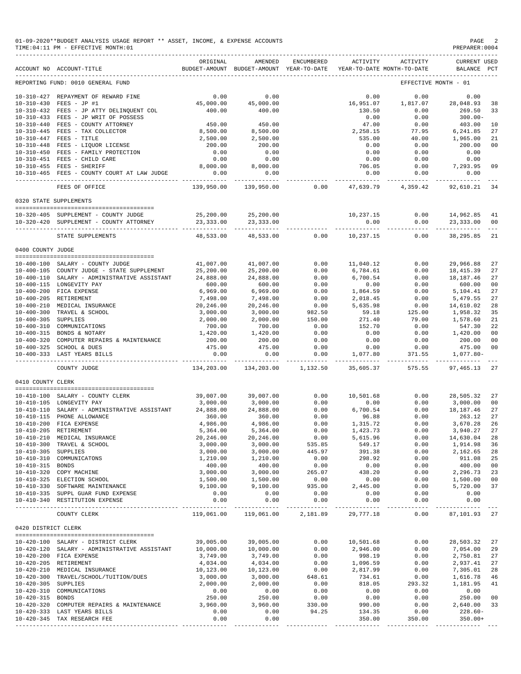|                       | 01-09-2020**BUDGET ANALYSIS USAGE REPORT ** ASSET, INCOME, & EXPENSE ACCOUNTS<br>TIME: 04:11 PM - EFFECTIVE MONTH: 01 |                                        |                                                     |                      |                                 |                                        | PAGE<br>PREPARER: 0004             |                            |
|-----------------------|-----------------------------------------------------------------------------------------------------------------------|----------------------------------------|-----------------------------------------------------|----------------------|---------------------------------|----------------------------------------|------------------------------------|----------------------------|
|                       | ACCOUNT NO ACCOUNT-TITLE                                                                                              | ORIGINAL                               | AMENDED<br>BUDGET-AMOUNT BUDGET-AMOUNT YEAR-TO-DATE | ENCUMBERED           | <b>ACTIVITY</b>                 | ACTIVITY<br>YEAR-TO-DATE MONTH-TO-DATE | <b>CURRENT USED</b><br>BALANCE PCT |                            |
|                       | REPORTING FUND: 0010 GENERAL FUND                                                                                     |                                        |                                                     |                      |                                 |                                        | EFFECTIVE MONTH - 01               |                            |
|                       | 10-310-427 REPAYMENT OF REWARD FINE<br>10-310-430 FEES - JP #1<br>10-310-432 FEES - JP ATTY DELINQUENT COL            | 0.00<br>45,000.00<br>400.00            | 0.00<br>45,000.00<br>400.00                         |                      | 0.00<br>16,951.07<br>130.50     | 0.00<br>1,817.07<br>0.00               | 0.00<br>28,048.93<br>269.50        | 38<br>33                   |
|                       | 10-310-433 FEES - JP WRIT OF POSSESS<br>10-310-440 FEES - COUNTY ATTORNEY<br>10-310-445 FEES - TAX COLLECTOR          | 450.00<br>8,500.00                     | 450.00<br>8,500.00                                  |                      | 0.00<br>47.00<br>2,258.15       | 0.00<br>0.00<br>77.95                  | $300.00 -$<br>403.00<br>6,241.85   | 10<br>27                   |
|                       | 10-310-447 FEES - TITLE<br>10-310-448 FEES - LIQUOR LICENSE                                                           | 2,500.00<br>200.00                     | 2,500.00<br>200.00                                  |                      | 535.00<br>0.00                  | 40.00<br>0.00                          | 1,965.00<br>200.00                 | 21<br>00                   |
|                       | 10-310-450 FEES - FAMILY PROTECTION<br>10-310-451 FEES - CHILD CARE<br>10-310-455 FEES - SHERIFF                      | 0.00<br>0.00<br>8,000.00               | 0.00<br>0.00<br>8,000.00                            |                      | 0.00<br>0.00<br>706.05          | 0.00<br>0.00<br>0.00                   | 0.00<br>0.00<br>7,293.95           | 09                         |
|                       | 10-310-465 FEES - COUNTY COURT AT LAW JUDGE                                                                           | 0.00<br>----------                     | 0.00<br>----------                                  |                      | 0.00<br>----------- -           | 0.00<br>--------------                 | 0.00<br>-----------                |                            |
|                       | FEES OF OFFICE                                                                                                        | 139,950.00                             | 139,950.00                                          | 0.00                 | 47,639.79                       | 4,359.42                               | 92,610.21                          | 34                         |
|                       | 0320 STATE SUPPLEMENTS                                                                                                |                                        |                                                     |                      |                                 |                                        |                                    |                            |
|                       | 10-320-405 SUPPLEMENT - COUNTY JUDGE<br>10-320-420 SUPPLEMENT - COUNTY ATTORNEY                                       | 25,200.00<br>23, 333.00<br>----------- | 25,200.00<br>23, 333.00                             |                      | 10,237.15<br>0.00               | 0.00<br>0.00                           | 14,962.85<br>23,333.00             | 41<br>00                   |
|                       | STATE SUPPLEMENTS                                                                                                     | 48,533.00                              | 48,533.00                                           | 0.00                 | 10,237.15                       | 0.00                                   | 38,295.85                          | 21                         |
| 0400 COUNTY JUDGE     |                                                                                                                       |                                        |                                                     |                      |                                 |                                        |                                    |                            |
|                       | 10-400-100 SALARY - COUNTY JUDGE<br>10-400-105 COUNTY JUDGE - STATE SUPPLEMENT                                        | 41,007.00<br>25,200.00                 | 41,007.00<br>25,200.00                              | 0.00<br>0.00         | 11,040.12<br>6,784.61           | 0.00<br>0.00                           | 29,966.88<br>18, 415.39            | 27<br>27                   |
|                       | 10-400-110 SALARY - ADMINISTRATIVE ASSISTANT<br>10-400-115 LONGEVITY PAY<br>10-400-200 FICA EXPENSE                   | 24,888.00<br>600.00<br>6,969.00        | 24,888.00<br>600.00<br>6,969.00                     | 0.00<br>0.00<br>0.00 | 6,700.54<br>0.00<br>1,864.59    | 0.00<br>0.00<br>0.00                   | 18,187.46<br>600.00<br>5,104.41    | 27<br>0 <sup>0</sup><br>27 |
| 10-400-205 RETIREMENT | 10-400-210 MEDICAL INSURANCE                                                                                          | 7,498.00<br>20,246.00                  | 7,498.00<br>20,246.00                               | 0.00<br>0.00         | 2,018.45<br>5,635.98            | 0.00<br>0.00                           | 5,479.55<br>14,610.02              | 27<br>28                   |
| 10-400-305 SUPPLIES   | 10-400-300 TRAVEL & SCHOOL                                                                                            | 3,000.00<br>2,000.00                   | 3,000.00<br>2,000.00                                | 982.50<br>150.00     | 59.18<br>271.40                 | 125.00<br>79.00                        | 1,958.32<br>1,578.60               | 35<br>21                   |
|                       | 10-400-310 COMMUNICATIONS<br>10-400-315 BONDS & NOTARY                                                                | 700.00<br>1,420.00                     | 700.00<br>1,420.00                                  | 0.00<br>0.00         | 152.70<br>0.00                  | 0.00<br>0.00                           | 547.30<br>1,420.00                 | 22<br>0 <sup>0</sup>       |
|                       | 10-400-320 COMPUTER REPAIRS & MAINTENANCE<br>10-400-325 SCHOOL & DUES<br>10-400-333 LAST YEARS BILLS                  | 200.00<br>475.00<br>0.00               | 200.00<br>475.00<br>0.00                            | 0.00<br>0.00<br>0.00 | 0.00<br>0.00<br>1,077.80        | 0.00<br>0.00<br>371.55                 | 200.00<br>475.00<br>1,077.80-      | 00<br>0 <sup>0</sup>       |
|                       | COUNTY JUDGE                                                                                                          | -----------<br>134,203.00              | ----------<br>134,203.00                            | 1,132.50             | 35,605.37                       | 575.55                                 | 97, 465.13                         | 27                         |
| 0410 COUNTY CLERK     |                                                                                                                       |                                        |                                                     |                      |                                 |                                        |                                    |                            |
|                       | 10-410-100 SALARY - COUNTY CLERK                                                                                      | 39,007.00                              | 39,007.00                                           | 0.00                 | 10,501.68                       | 0.00                                   | 28,505.32                          | 27                         |
| $10 - 410 - 110$      | 10-410-105 LONGEVITY PAY<br>SALARY - ADMINISTRATIVE ASSISTANT                                                         | 3,000.00<br>24,888.00                  | 3,000.00<br>24,888.00                               | 0.00<br>0.00         | 0.00<br>6,700.54                | 0.00<br>0.00                           | 3,000.00<br>18, 187. 46            | 0 <sub>0</sub><br>27       |
|                       | 10-410-115 PHONE ALLOWANCE                                                                                            | 360.00                                 | 360.00                                              | 0.00                 | 96.88                           | 0.00                                   | 263.12                             | 27                         |
|                       | 10-410-200 FICA EXPENSE                                                                                               | 4,986.00                               | 4,986.00                                            | 0.00                 | 1,315.72                        | 0.00                                   | 3,670.28                           | 26                         |
| 10-410-205 RETIREMENT | 10-410-210 MEDICAL INSURANCE                                                                                          | 5,364.00<br>20,246.00                  | 5,364.00<br>20,246.00                               | 0.00<br>0.00         | 1,423.73<br>5,615.96            | 0.00<br>0.00                           | 3,940.27<br>14,630.04              | 27<br>28                   |
|                       | 10-410-300 TRAVEL & SCHOOL                                                                                            | 3,000.00                               | 3,000.00                                            | 535.85               | 549.17                          | 0.00                                   | 1,914.98                           | 36                         |
| 10-410-305 SUPPLIES   |                                                                                                                       | 3,000.00                               | 3,000.00                                            | 445.97               | 391.38                          | 0.00                                   | 2,162.65                           | 28                         |
|                       | 10-410-310 COMMUNICATONS                                                                                              | 1,210.00                               | 1,210.00                                            | 0.00                 | 298.92                          | 0.00                                   | 911.08                             | 25                         |
| 10-410-315 BONDS      | 10-410-320 COPY MACHINE                                                                                               | 400.00<br>3,000.00                     | 400.00<br>3,000.00                                  | 0.00<br>265.07       | 0.00<br>438.20                  | 0.00<br>0.00                           | 400.00<br>2,296.73                 | 00<br>23                   |
|                       | 10-410-325 ELECTION SCHOOL                                                                                            | 1,500.00                               | 1,500.00                                            | 0.00                 | 0.00                            | 0.00                                   | 1,500.00                           | 0 <sub>0</sub>             |
|                       | 10-410-330 SOFTWARE MAINTENANCE                                                                                       | 9,100.00                               | 9,100.00                                            | 935.00               | 2,445.00                        | 0.00                                   | 5,720.00                           | 37                         |
|                       | 10-410-335 SUPPL GUAR FUND EXPENSE                                                                                    | 0.00                                   | 0.00                                                | 0.00                 | 0.00                            | 0.00                                   | 0.00                               |                            |
|                       | 10-410-340 RESTITUTION EXPENSE                                                                                        | 0.00<br>---------                      | 0.00<br>----------                                  | 0.00<br>---------    | 0.00                            | 0.00<br>$- - - - - -$                  | 0.00<br>---------                  |                            |
|                       | COUNTY CLERK                                                                                                          | 119,061.00                             | 119,061.00                                          | 2,181.89             | 29,777.18                       | 0.00                                   | 87,101.93 27                       |                            |
| 0420 DISTRICT CLERK   |                                                                                                                       |                                        |                                                     |                      |                                 |                                        |                                    |                            |
|                       | 10-420-100 SALARY - DISTRICT CLERK<br>10-420-120 SALARY - ADMINISTRATIVE ASSISTANT<br>10-420-200 FICA EXPENSE         | 39,005.00<br>10,000.00<br>3,749.00     | 39,005.00<br>10,000.00<br>3,749.00                  | 0.00<br>0.00<br>0.00 | 10,501.68<br>2,946.00<br>998.19 | 0.00<br>0.00<br>0.00                   | 28,503.32<br>7,054.00<br>2,750.81  | 27<br>29<br>27             |
| 10-420-205 RETIREMENT |                                                                                                                       | 4,034.00                               | 4,034.00                                            | 0.00                 | 1,096.59                        | 0.00                                   | 2,937.41                           | 27                         |
|                       | 10-420-210 MEDICAL INSURANCE                                                                                          | 10,123.00                              | 10,123.00                                           | 0.00                 | 2,817.99                        | 0.00                                   | 7,305.01                           | 28                         |
|                       | 10-420-300 TRAVEL/SCHOOL/TUITION/DUES                                                                                 | 3,000.00                               | 3,000.00                                            | 648.61               | 734.61                          | 0.00                                   | 1,616.78                           | 46                         |
| 10-420-305 SUPPLIES   |                                                                                                                       | 2,000.00                               | 2,000.00                                            | 0.00<br>0.00         | 818.05<br>0.00                  | 293.32                                 | 1,181.95                           | 41                         |
| 10-420-315 BONDS      | 10-420-310 COMMUNICATIONS                                                                                             | 0.00<br>250.00                         | 0.00<br>250.00                                      | 0.00                 | 0.00                            | 0.00<br>0.00                           | 0.00<br>250.00                     | 0 <sub>0</sub>             |
|                       | 10-420-320 COMPUTER REPAIRS & MAINTENANCE                                                                             | 3,960.00                               | 3,960.00                                            | 330.00               | 990.00                          | 0.00                                   | 2,640.00                           | 33                         |
|                       | 10-420-333 LAST YEARS BILLS<br>10-420-345 TAX RESEARCH FEE                                                            | 0.00<br>0.00                           | 0.00<br>0.00                                        | 94.25                | 134.35<br>350.00                | 0.00<br>350.00                         | $228.60-$<br>$350.00+$             |                            |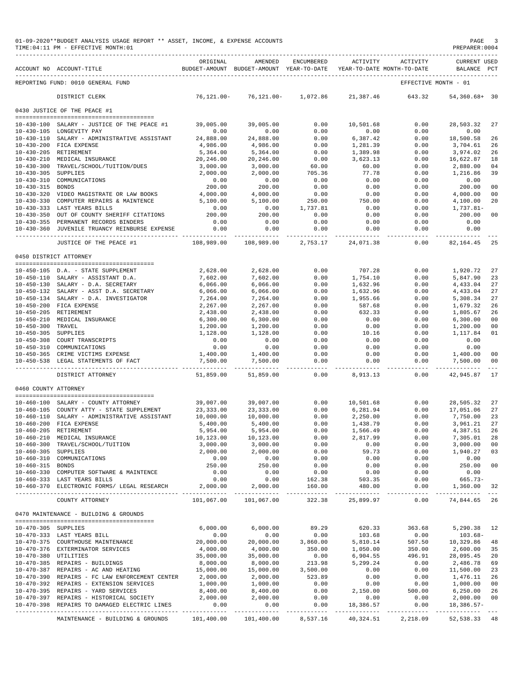|                      | 01-09-2020**BUDGET ANALYSIS USAGE REPORT ** ASSET, INCOME, & EXPENSE ACCOUNTS<br>TIME: 04:11 PM - EFFECTIVE MONTH: 01 |                              |                                                                                |                          |                               |                                       | PAGE<br>PREPARER: 0004             | -3                  |
|----------------------|-----------------------------------------------------------------------------------------------------------------------|------------------------------|--------------------------------------------------------------------------------|--------------------------|-------------------------------|---------------------------------------|------------------------------------|---------------------|
|                      | ACCOUNT NO ACCOUNT-TITLE                                                                                              | ORIGINAL                     | AMENDED<br>BUDGET-AMOUNT BUDGET-AMOUNT YEAR-TO-DATE YEAR-TO-DATE MONTH-TO-DATE | ENCUMBERED               | <b>ACTIVITY</b>               | ACTIVITY                              | <b>CURRENT USED</b><br>BALANCE PCT |                     |
|                      | REPORTING FUND: 0010 GENERAL FUND                                                                                     |                              |                                                                                |                          |                               |                                       | EFFECTIVE MONTH - 01               |                     |
|                      | DISTRICT CLERK                                                                                                        | 76,121.00-                   | 76,121.00-                                                                     | 1,072.86                 | 21,387.46                     | 643.32                                | 54,360.68+ 30                      |                     |
|                      | 0430 JUSTICE OF THE PEACE #1                                                                                          |                              |                                                                                |                          |                               |                                       |                                    |                     |
|                      |                                                                                                                       |                              |                                                                                |                          |                               |                                       |                                    |                     |
|                      | 10-430-100 SALARY - JUSTICE OF THE PEACE #1<br>10-430-105 LONGEVITY PAY                                               | 39,005.00<br>0.00            | 39,005.00<br>0.00                                                              | 0.00<br>0.00             | 10,501.68<br>0.00             | 0.00<br>0.00                          | 28,503.32<br>0.00                  | 27                  |
|                      | 10-430-110 SALARY - ADMINISTRATIVE ASSISTANT                                                                          | 24,888.00                    | 24,888.00                                                                      | 0.00                     | 6,387.42                      | 0.00                                  | 18,500.58                          | 26                  |
|                      | 10-430-200 FICA EXPENSE                                                                                               | 4,986.00                     | 4,986.00                                                                       | 0.00                     | 1,281.39                      | 0.00                                  | 3,704.61                           | 26                  |
|                      | 10-430-205 RETIREMENT                                                                                                 | 5,364.00                     | 5,364.00                                                                       | 0.00                     | 1,389.98                      | 0.00                                  | 3,974.02                           | 26                  |
|                      | 10-430-210 MEDICAL INSURANCE                                                                                          | 20,246.00                    | 20,246.00                                                                      | 0.00                     | 3,623.13                      | 0.00                                  | 16,622.87                          | 18                  |
| 10-430-305 SUPPLIES  | 10-430-300 TRAVEL/SCHOOL/TUITION/DUES                                                                                 | 3,000.00<br>2,000.00         | 3,000.00<br>2,000.00                                                           | 60.00<br>705.36          | 60.00<br>77.78                | 0.00<br>0.00                          | 2,880.00<br>1,216.86               | 04<br>39            |
|                      | 10-430-310 COMMUNICATIONS                                                                                             | 0.00                         | 0.00                                                                           | 0.00                     | 0.00                          | 0.00                                  | 0.00                               |                     |
| 10-430-315 BONDS     |                                                                                                                       | 200.00                       | 200.00                                                                         | 0.00                     | 0.00                          | 0.00                                  | 200.00                             | 0 <sub>0</sub>      |
|                      | 10-430-320 VIDEO MAGISTRATE OR LAW BOOKS                                                                              | 4,000.00                     | 4,000.00                                                                       | 0.00                     | 0.00                          | 0.00                                  | 4,000.00                           | 0 <sup>0</sup>      |
|                      | 10-430-330 COMPUTER REPAIRS & MAINTENCE                                                                               | 5,100.00                     | 5,100.00                                                                       | 250.00                   | 750.00                        | 0.00                                  | 4,100.00                           | 20                  |
|                      | 10-430-333 LAST YEARS BILLS                                                                                           | 0.00                         | 0.00                                                                           | 1,737.81                 | 0.00                          | 0.00                                  | 1,737.81-                          |                     |
|                      | 10-430-350 OUT OF COUNTY SHERIFF CITATIONS                                                                            | 200.00                       | 200.00                                                                         | 0.00                     | 0.00                          | 0.00                                  | 200.00                             | 0 <sub>0</sub>      |
|                      | 10-430-355 PERMANENT RECORDS BINDERS                                                                                  | 0.00                         | 0.00                                                                           | 0.00                     | 0.00                          | 0.00                                  | 0.00                               |                     |
|                      | 10-430-360 JUVENILE TRUANCY REINBURSE EXPENSE                                                                         | 0.00                         | 0.00                                                                           | 0.00                     | 0.00                          | 0.00                                  | 0.00                               |                     |
|                      | -----------------------------------<br>JUSTICE OF THE PEACE #1                                                        | -----------<br>108,989.00    | 108,989.00                                                                     | ------------<br>2,753.17 | --------<br>24,071.38         | $- - - - -$<br>0.00                   | 82,164.45                          | 25                  |
|                      | 0450 DISTRICT ATTORNEY                                                                                                |                              |                                                                                |                          |                               |                                       |                                    |                     |
|                      |                                                                                                                       |                              |                                                                                |                          |                               |                                       |                                    |                     |
|                      | 10-450-105 D.A. - STATE SUPPLEMENT                                                                                    | 2,628.00                     | 2,628.00                                                                       | 0.00                     | 707.28                        | 0.00                                  | 1,920.72                           | 27                  |
|                      | 10-450-110 SALARY - ASSISTANT D.A.                                                                                    | 7,602.00                     | 7,602.00                                                                       | 0.00                     | 1,754.10                      | 0.00                                  | 5,847.90                           | 23                  |
|                      | 10-450-130 SALARY - D.A. SECRETARY                                                                                    | 6,066.00                     | 6,066.00                                                                       | 0.00                     | 1,632.96                      | 0.00                                  | 4,433.04                           | 27                  |
|                      | 10-450-132 SALARY - ASST D.A. SECRETARY<br>10-450-134 SALARY - D.A. INVESTIGATOR                                      | 6,066.00<br>7,264.00         | 6,066.00                                                                       | 0.00<br>0.00             | 1,632.96<br>1,955.66          | 0.00<br>0.00                          | 4,433.04<br>5,308.34               | 27<br>27            |
|                      | 10-450-200 FICA EXPENSE                                                                                               | 2,267.00                     | 7,264.00<br>2,267.00                                                           | 0.00                     | 587.68                        | 0.00                                  | 1,679.32                           | 26                  |
|                      | 10-450-205 RETIREMENT                                                                                                 | 2,438.00                     | 2,438.00                                                                       | 0.00                     | 632.33                        | 0.00                                  | 1,805.67                           | 26                  |
|                      | 10-450-210 MEDICAL INSURANCE                                                                                          | 6,300.00                     | 6,300.00                                                                       | 0.00                     | 0.00                          | 0.00                                  | 6,300.00                           | 0 <sub>0</sub>      |
| 10-450-300 TRAVEL    |                                                                                                                       | 1,200.00                     | 1,200.00                                                                       | 0.00                     | 0.00                          | 0.00                                  | 1,200.00                           | 0 <sub>0</sub>      |
| 10-450-305 SUPPLIES  |                                                                                                                       | 1,128.00                     | 1,128.00                                                                       | 0.00                     | 10.16                         | 0.00                                  | 1,117.84                           | 01                  |
|                      | 10-450-308 COURT TRANSCRIPTS                                                                                          | 0.00                         | 0.00                                                                           | 0.00                     | 0.00                          | 0.00                                  | 0.00                               |                     |
|                      | 10-450-310 COMMUNICATIONS                                                                                             | 0.00                         | 0.00                                                                           | 0.00                     | 0.00                          | 0.00                                  | 0.00                               |                     |
|                      | 10-450-365 CRIME VICTIMS EXPENSE                                                                                      | 1,400.00                     | 1,400.00                                                                       | 0.00                     | 0.00                          | 0.00                                  | 1,400.00                           | 0 <sub>0</sub>      |
|                      | 10-450-538 LEGAL STATEMENTS OF FACT<br>________________________________                                               | 7,500.00<br>-----------      | 7,500.00<br>------------                                                       | 0.00<br>------           | 0.00<br>. _ _ _ _ _ _ _ _ _ _ | 0.00<br>$- - - - -$                   | 7,500.00                           | 00<br>$\frac{1}{2}$ |
|                      | DISTRICT ATTORNEY                                                                                                     | 51,859.00                    | 51,859.00                                                                      | 0.00                     | 8,913.13                      | 0.00                                  | 42,945.87                          | 17                  |
| 0460 COUNTY ATTORNEY |                                                                                                                       |                              |                                                                                |                          |                               |                                       |                                    |                     |
|                      | 10-460-100 SALARY - COUNTY ATTORNEY                                                                                   | 39,007.00                    | 39,007.00                                                                      | 0.00                     | 10,501.68                     | 0.00                                  | 28,505.32                          | 27                  |
|                      | 10-460-105 COUNTY ATTY - STATE SUPPLEMENT                                                                             | 23, 333.00                   | 23, 333.00                                                                     | 0.00                     | 6,281.94                      | 0.00                                  | 17,051.06                          | 27                  |
|                      | 10-460-110 SALARY - ADMINISTRATIVE ASSISTANT                                                                          | 10,000.00                    | 10,000.00                                                                      | 0.00                     | 2,250.00                      | 0.00                                  | 7,750.00                           | 23                  |
|                      | 10-460-200 FICA EXPENSE                                                                                               | 5,400.00                     | 5,400.00                                                                       | 0.00                     | 1,438.79                      | 0.00                                  | 3,961.21                           | 27                  |
|                      | 10-460-205 RETIREMENT                                                                                                 | 5,954.00                     | 5,954.00                                                                       | 0.00                     | 1,566.49                      | 0.00                                  | 4,387.51                           | 26                  |
|                      | 10-460-210 MEDICAL INSURANCE                                                                                          | 10,123.00                    | 10,123.00                                                                      | 0.00                     | 2,817.99                      | 0.00                                  | 7,305.01                           | 28                  |
|                      | 10-460-300 TRAVEL/SCHOOL/TUITION                                                                                      | 3,000.00                     | 3,000.00                                                                       | 0.00                     | 0.00                          | 0.00                                  | 3,000.00                           | 0 <sub>0</sub>      |
| 10-460-305 SUPPLIES  |                                                                                                                       | 2,000.00                     | 2,000.00                                                                       | 0.00                     | 59.73                         | 0.00                                  | 1,940.27                           | 03                  |
|                      | 10-460-310 COMMUNICATIONS                                                                                             | 0.00                         | 0.00                                                                           | 0.00                     | 0.00                          | 0.00                                  | 0.00                               |                     |
| 10-460-315 BONDS     |                                                                                                                       | 250.00                       | 250.00                                                                         | 0.00                     | 0.00<br>0.00                  | 0.00                                  | 250.00                             | 0 <sub>0</sub>      |
|                      | 10-460-330 COMPUTER SOFTWARE & MAINTENCE<br>10-460-333 LAST YEARS BILLS                                               | 0.00<br>0.00                 | 0.00<br>0.00                                                                   | 0.00<br>162.38           | 503.35                        | 0.00<br>0.00                          | 0.00<br>665.73-                    |                     |
|                      | 10-460-370 ELECTRONIC FORMS/ LEGAL RESEARCH                                                                           | 2,000.00                     | 2,000.00                                                                       | 160.00                   | 480.00                        | 0.00                                  | 1,360.00                           | 32                  |
|                      | COUNTY ATTORNEY                                                                                                       | --------------<br>101,067.00 | ____________<br>101,067.00                                                     | -------------<br>322.38  | -----------<br>25,899.97      | -----------<br>0.00                   | _____________<br>74,844.65 26      | $\frac{1}{2}$       |
|                      | 0470 MAINTENANCE - BUILDING & GROUNDS                                                                                 |                              |                                                                                |                          |                               |                                       |                                    |                     |
| 10-470-305 SUPPLIES  |                                                                                                                       | 6,000.00                     | 6,000.00                                                                       | 89.29                    | 620.33                        | 363.68                                | 5,290.38                           | 12                  |
|                      | 10-470-333 LAST YEARS BILL                                                                                            | 0.00                         | 0.00                                                                           | 0.00                     | 103.68                        | 0.00                                  | $103.68-$                          |                     |
|                      | 10-470-375 COURTHOUSE MAINTENANCE                                                                                     | 20,000.00                    | 20,000.00                                                                      | 3,860.00                 | 5,810.14                      | 507.50                                | 10,329.86                          | 48                  |
|                      | 10-470-376 EXTERMINATOR SERVICES                                                                                      | 4,000.00                     | 4,000.00                                                                       | 350.00                   | 1,050.00                      | 350.00                                | 2,600.00                           | 35                  |
| 10-470-380 UTILITIES |                                                                                                                       | 35,000.00                    | 35,000.00                                                                      | 0.00                     | 6,904.55                      | 496.91                                | 28,095.45                          | 20                  |
|                      | 10-470-385 REPAIRS - BUILDINGS                                                                                        | 8,000.00                     | 8,000.00                                                                       | 213.98                   | 5,299.24                      | 0.00                                  | 2,486.78                           | 69                  |
|                      | 10-470-387 REPAIRS - AC AND HEATING                                                                                   | 15,000.00                    | 15,000.00                                                                      | 3,500.00                 | 0.00                          | 0.00                                  | 11,500.00                          | 23                  |
|                      | 10-470-390 REPAIRS - FC LAW ENFORCEMENT CENTER                                                                        | 2,000.00                     | 2,000.00                                                                       | 523.89                   | 0.00                          | 0.00                                  | 1,476.11                           | 26                  |
|                      | 10-470-392 REPAIRS - EXTENSION SERVICES                                                                               | 1,000.00                     | 1,000.00                                                                       | 0.00                     | 0.00                          | 0.00                                  | 1,000.00                           | 0 <sub>0</sub>      |
|                      | 10-470-395 REPAIRS - YARD SERVICES                                                                                    | 8,400.00                     | 8,400.00                                                                       | 0.00                     | 2,150.00                      | 500.00                                | 6,250.00                           | 26                  |
|                      | 10-470-397 REPAIRS - HISTORICAL SOCIETY<br>10-470-398 REPAIRS TO DAMAGED ELECTRIC LINES                               | 2,000.00<br>0.00             | 2,000.00<br>0.00                                                               | 0.00<br>0.00             | 0.00<br>18,386.57             | 0.00<br>0.00                          | 2,000.00<br>$18,386.57-$           | 0 <sub>0</sub>      |
|                      |                                                                                                                       |                              | --------------                                                                 | ----------- <b>-</b>     | .                             |                                       | _____________________________      |                     |
|                      | MAINTENANCE - BUILDING & GROUNDS 101,400.00 101,400.00 8,537.16                                                       |                              |                                                                                |                          |                               | 40, 324.51  2, 218.09  52, 538.33  48 |                                    |                     |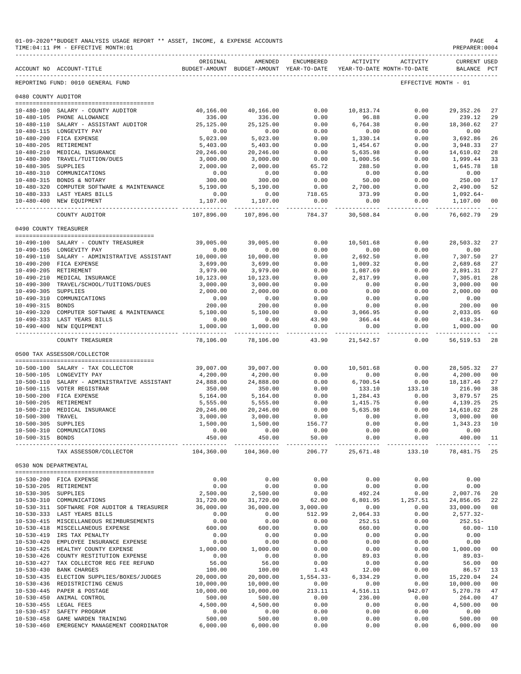|                       | 01-09-2020**BUDGET ANALYSIS USAGE REPORT ** ASSET, INCOME, & EXPENSE ACCOUNTS<br>TIME: 04:11 PM - EFFECTIVE MONTH: 01 |                        |                                                     |                 |                    |                                        | PAGE<br>PREPARER: 0004             |                |
|-----------------------|-----------------------------------------------------------------------------------------------------------------------|------------------------|-----------------------------------------------------|-----------------|--------------------|----------------------------------------|------------------------------------|----------------|
|                       | ACCOUNT NO ACCOUNT-TITLE                                                                                              | ORIGINAL               | AMENDED<br>BUDGET-AMOUNT BUDGET-AMOUNT YEAR-TO-DATE | ENCUMBERED      | ACTIVITY           | ACTIVITY<br>YEAR-TO-DATE MONTH-TO-DATE | <b>CURRENT USED</b><br>BALANCE PCT |                |
|                       | REPORTING FUND: 0010 GENERAL FUND                                                                                     |                        |                                                     |                 |                    |                                        | EFFECTIVE MONTH - 01               |                |
| 0480 COUNTY AUDITOR   |                                                                                                                       |                        |                                                     |                 |                    |                                        |                                    |                |
|                       | 10-480-100 SALARY - COUNTY AUDITOR                                                                                    | 40,166.00              | 40,166.00                                           | 0.00            | 10,813.74          | 0.00                                   | 29, 352. 26                        | 27             |
|                       | 10-480-105 PHONE ALLOWANCE                                                                                            | 336.00                 | 336.00                                              | 0.00            | 96.88              | 0.00                                   | 239.12                             | 29             |
|                       | 10-480-110 SALARY - ASSISTANT AUDITOR                                                                                 | 25, 125.00             | 25, 125.00                                          | 0.00            | 6,764.38           | 0.00                                   | 18,360.62                          | 27             |
|                       | 10-480-115 LONGEVITY PAY                                                                                              | 0.00                   | 0.00                                                | 0.00            | 0.00               | 0.00                                   | 0.00                               |                |
|                       | 10-480-200 FICA EXPENSE                                                                                               | 5,023.00               | 5,023.00                                            | 0.00            | 1,330.14           | 0.00                                   | 3,692.86                           | 26             |
|                       | 10-480-205 RETIREMENT                                                                                                 | 5,403.00               | 5,403.00                                            | 0.00            | 1,454.67           | 0.00                                   | 3,948.33                           | 27             |
|                       | 10-480-210 MEDICAL INSURANCE                                                                                          | 20,246.00              | 20,246.00                                           | 0.00            | 5,635.98           | 0.00                                   | 14,610.02                          | 28             |
| $10 - 480 - 300$      | TRAVEL/TUITION/DUES                                                                                                   | 3,000.00               | 3,000.00                                            | 0.00            | 1,000.56           | 0.00                                   | 1,999.44                           | 33             |
| $10 - 480 - 305$      | SUPPLIES<br>10-480-310 COMMUNICATIONS                                                                                 | 2,000.00<br>0.00       | 2,000.00<br>0.00                                    | 65.72<br>0.00   | 288.50<br>0.00     | 0.00<br>0.00                           | 1,645.78<br>0.00                   | 18             |
|                       | 10-480-315 BONDS & NOTARY                                                                                             | 300.00                 | 300.00                                              | 0.00            | 50.00              | 0.00                                   | 250.00                             | 17             |
|                       | 10-480-320 COMPUTER SOFTWARE & MAINTENANCE                                                                            | 5,190.00               | 5,190.00                                            | 0.00            | 2,700.00           | 0.00                                   | 2,490.00                           | 52             |
|                       | 10-480-333 LAST YEARS BILLS                                                                                           | 0.00                   | 0.00                                                | 718.65          | 373.99             | 0.00                                   | $1,092.64-$                        |                |
|                       | 10-480-400 NEW EQUIPMENT<br>-------------                                                                             | 1,107.00<br>__________ | 1,107.00<br>----------                              | 0.00            | 0.00               | 0.00<br>-----                          | 1,107.00                           | 00             |
|                       | COUNTY AUDITOR                                                                                                        | 107,896.00             | 107,896.00                                          | 784.37          | 30,508.84          | 0.00                                   | 76,602.79                          | 29             |
| 0490 COUNTY TREASURER |                                                                                                                       |                        |                                                     |                 |                    |                                        |                                    |                |
|                       | 10-490-100 SALARY - COUNTY TREASURER                                                                                  | 39,005.00              | 39,005.00                                           | 0.00            | 10,501.68          | 0.00                                   | 28,503.32                          | 27             |
|                       | 10-490-105 LONGEVITY PAY                                                                                              | 0.00                   | 0.00                                                | 0.00            | 0.00               | 0.00                                   | 0.00                               |                |
|                       | 10-490-110 SALARY - ADMINISTRATIVE ASSISTANT                                                                          | 10,000.00              | 10,000.00                                           | 0.00            | 2,692.50           | 0.00                                   | 7,307.50                           | 27             |
|                       | 10-490-200 FICA EXPENSE                                                                                               | 3,699.00               | 3,699.00                                            | 0.00            | 1,009.32           | 0.00                                   | 2,689.68                           | 27             |
| 10-490-205 RETIREMENT |                                                                                                                       | 3,979.00               | 3,979.00                                            | 0.00            | 1,087.69           | 0.00                                   | 2,891.31                           | 27             |
|                       | 10-490-210 MEDICAL INSURANCE                                                                                          | 10,123.00              | 10,123.00                                           | 0.00            | 2,817.99           | 0.00                                   | 7,305.01                           | 28             |
| 10-490-300            | TRAVEL/SCHOOL/TUITIONS/DUES                                                                                           | 3,000.00               | 3,000.00                                            | 0.00            | 0.00               | 0.00                                   | 3,000.00                           | 0 <sup>0</sup> |
| 10-490-305 SUPPLIES   |                                                                                                                       | 2,000.00               | 2,000.00                                            | 0.00            | 0.00               | 0.00                                   | 2,000.00                           | 0 <sup>0</sup> |
|                       | 10-490-310 COMMUNICATIONS                                                                                             | 0.00                   | 0.00                                                | 0.00            | 0.00               | 0.00                                   | 0.00                               |                |
| 10-490-315 BONDS      |                                                                                                                       | 200.00                 | 200.00                                              | 0.00            | 0.00               | 0.00                                   | 200.00                             | 0 <sup>0</sup> |
|                       | 10-490-320 COMPUTER SOFTWARE & MAINTENANCE<br>10-490-333 LAST YEARS BILLS                                             | 5,100.00<br>0.00       | 5,100.00<br>0.00                                    | 0.00<br>43.90   | 3,066.95<br>366.44 | 0.00<br>0.00                           | 2,033.05<br>$410.34-$              | 60             |
|                       | 10-490-400 NEW EQUIPMENT                                                                                              | 1,000.00               | 1,000.00                                            | 0.00            | 0.00               | 0.00                                   | 1,000.00                           | 0 <sup>0</sup> |
|                       | COUNTY TREASURER                                                                                                      | 78,106.00              | 78,106.00                                           | ------<br>43.90 | 21,542.57          | $- - - - -$<br>0.00                    | 56, 519.53                         | $- - -$<br>28  |
|                       | 0500 TAX ASSESSOR/COLLECTOR                                                                                           |                        |                                                     |                 |                    |                                        |                                    |                |
|                       |                                                                                                                       |                        |                                                     |                 |                    |                                        |                                    |                |
|                       | 10-500-100 SALARY - TAX COLLECTOR                                                                                     | 39,007.00              | 39,007.00                                           | 0.00            | 10,501.68          | 0.00                                   | 28,505.32                          | 27             |
|                       | 10-500-105 LONGEVITY PAY                                                                                              | 4,200.00               | 4,200.00                                            | 0.00            | 0.00               | 0.00                                   | 4,200.00                           | 0 <sub>0</sub> |
|                       | 10-500-110 SALARY - ADMINISTRATIVE ASSISTANT                                                                          | 24,888.00              | 24,888.00                                           | 0.00            | 6,700.54           | 0.00                                   | 18, 187. 46                        | 27             |
|                       | 10-500-115 VOTER REGISTRAR<br>10-500-200 FICA EXPENSE                                                                 | 350.00<br>5,164.00     | 350.00<br>5,164.00                                  | 0.00<br>0.00    | 133.10<br>1,284.43 | 133.10<br>0.00                         | 216.90<br>3,879.57                 | 38<br>25       |
|                       | 10-500-205 RETIREMENT                                                                                                 | 5,555.00               | 5,555.00                                            | 0.00            | 1,415.75           | 0.00                                   | 4,139.25                           | 25             |
| $10 - 500 - 210$      | MEDICAL INSURANCE                                                                                                     | 20,246.00              | 20,246.00                                           | 0.00            | 5,635.98           | 0.00                                   | 14,610.02                          | 28             |
| 10-500-300 TRAVEL     |                                                                                                                       | 3,000.00               | 3,000.00                                            | 0.00            | 0.00               | 0.00                                   | 3,000.00                           | 0 <sub>0</sub> |
| 10-500-305 SUPPLIES   |                                                                                                                       | 1,500.00               | 1,500.00                                            | 156.77          | 0.00               | 0.00                                   | 1,343.23                           | 10             |
|                       | 10-500-310 COMMUNICATIONS                                                                                             | 0.00                   | 0.00                                                | 0.00            | 0.00               | 0.00                                   | 0.00                               |                |
| 10-500-315 BONDS      |                                                                                                                       | 450.00                 | 450.00                                              | 50.00           | 0.00               | 0.00                                   | 400.00 11                          |                |
|                       | TAX ASSESSOR/COLLECTOR                                                                                                |                        | 104,360.00 104,360.00                               | 206.77          |                    | 25,671.48    133.10    78,481.75    25 |                                    |                |
| 0530 NON DEPARTMENTAL |                                                                                                                       |                        |                                                     |                 |                    |                                        |                                    |                |
|                       | 10-530-200 FICA EXPENSE                                                                                               | 0.00                   | 0.00                                                | 0.00            | 0.00               | 0.00                                   | 0.00                               |                |
|                       | 10-530-205 RETIREMENT                                                                                                 | 0.00                   | 0.00                                                | 0.00            | 0.00               | 0.00                                   | 0.00                               |                |
| 10-530-305 SUPPLIES   |                                                                                                                       | 2,500.00               | 2,500.00                                            | 0.00            | 492.24             | 0.00                                   | 2,007.76                           | 20             |
|                       | 10-530-310 COMMUNICATIONS                                                                                             | 31,720.00              | 31,720.00                                           | 62.00           | 6,801.95           | 1,257.51                               | 24,856.05                          | 22             |
|                       | 10-530-311 SOFTWARE FOR AUDITOR & TREASURER                                                                           | 36,000.00              | 36,000.00                                           | 3,000.00        | 0.00               | 0.00                                   | 33,000.00                          | 08             |
|                       | 10-530-333 LAST YEARS BILLS                                                                                           | 0.00                   | 0.00                                                | 512.99          | 2,064.33           | 0.00                                   | 2,577.32-                          |                |
|                       | 10-530-415 MISCELLANEOUS REIMBURSEMENTS                                                                               | 0.00                   | 0.00                                                | 0.00            | 252.51             | 0.00                                   | $252.51-$                          |                |
|                       | 10-530-418 MISCELLANEOUS EXPENSE<br>10-530-419 IRS TAX PENALTY                                                        | 600.00<br>0.00         | 600.00<br>0.00                                      | 0.00<br>0.00    | 660.00<br>0.00     | 0.00<br>0.00                           | $60.00 - 110$<br>0.00              |                |
|                       | 10-530-420 EMPLOYEE INSURANCE EXPENSE                                                                                 | 0.00                   | 0.00                                                | 0.00            | 0.00               | 0.00                                   | 0.00                               |                |
|                       | 10-530-425 HEALTHY COUNTY EXPENSE                                                                                     | 1,000.00               | 1,000.00                                            | 0.00            | 0.00               | 0.00                                   | 1,000.00                           | 00             |
|                       | 10-530-426 COUNTY RESTITUTION EXPENSE                                                                                 | 0.00                   | 0.00                                                | 0.00            | 89.03              | 0.00                                   | $89.03 -$                          |                |
|                       | 10-530-427 TAX COLLECTOR REG FEE REFUND                                                                               | 56.00                  | 56.00                                               | 0.00            | 0.00               | 0.00                                   | 56.00                              | 0 <sub>0</sub> |
|                       | 10-530-430 BANK CHARGES                                                                                               | 100.00                 | 100.00                                              | 1.43            | 12.00              | 0.00                                   | 86.57                              | 13             |
|                       | 10-530-435 ELECTION SUPPLIES/BOXES/JUDGES                                                                             | 20,000.00              | 20,000.00                                           | $1,554.33-$     | 6,334.29           | 0.00                                   | 15,220.04                          | 24             |
|                       | 10-530-436 REDISTRICTING CENUS                                                                                        | 10,000.00              | 10,000.00                                           | 0.00            | 0.00               | 0.00                                   | 10,000.00                          | 00             |
|                       | 10-530-445 PAPER & POSTAGE<br>10-530-450 ANIMAL CONTROL                                                               | 10,000.00<br>500.00    | 10,000.00<br>500.00                                 | 213.11<br>0.00  | 4,516.11<br>236.00 | 942.07<br>0.00                         | 5,270.78<br>264.00                 | 47<br>47       |
|                       | 10-530-455 LEGAL FEES                                                                                                 | 4,500.00               | 4,500.00                                            | 0.00            | 0.00               | 0.00                                   | 4,500.00                           | 0 <sub>0</sub> |
| $10 - 530 - 457$      | SAFETY PROGRAM                                                                                                        | 0.00                   | 0.00                                                | 0.00            | 0.00               | 0.00                                   | 0.00                               |                |
| $10 - 530 - 458$      | GAME WARDEN TRAINING                                                                                                  | 500.00                 | 500.00                                              | 0.00            | 0.00               | 0.00                                   | 500.00                             | 0 <sub>0</sub> |
|                       | 10-530-460 EMERGENCY MANAGEMENT COORDINATOR                                                                           | 6,000.00               | 6,000.00                                            | 0.00            | 0.00               | 0.00                                   | 6,000.00                           | 0 <sub>0</sub> |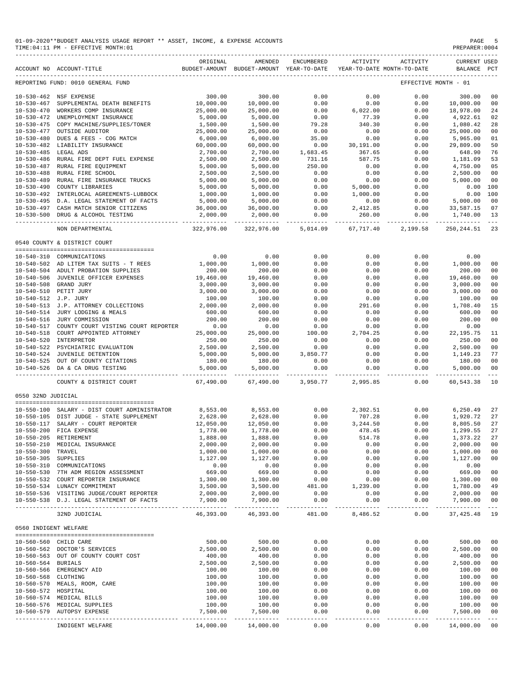|                                      | 01-09-2020**BUDGET ANALYSIS USAGE REPORT ** ASSET, INCOME, & EXPENSE ACCOUNTS<br>TIME: 04:11 PM - EFFECTIVE MONTH: 01 |                         |                                                                                |                      |                        |                      | PAGE<br>PREPARER: 0004             | -5                         |
|--------------------------------------|-----------------------------------------------------------------------------------------------------------------------|-------------------------|--------------------------------------------------------------------------------|----------------------|------------------------|----------------------|------------------------------------|----------------------------|
|                                      | ACCOUNT NO ACCOUNT-TITLE                                                                                              | ORIGINAL                | AMENDED<br>BUDGET-AMOUNT BUDGET-AMOUNT YEAR-TO-DATE YEAR-TO-DATE MONTH-TO-DATE | ENCUMBERED           | ACTIVITY               | ACTIVITY             | <b>CURRENT USED</b><br>BALANCE PCT |                            |
|                                      | REPORTING FUND: 0010 GENERAL FUND                                                                                     |                         |                                                                                |                      |                        |                      | EFFECTIVE MONTH - 01               |                            |
|                                      | 10-530-462 NSF EXPENSE                                                                                                | 300.00                  | 300.00                                                                         | 0.00                 | 0.00                   | 0.00                 | 300.00                             | 00                         |
| $10 - 530 - 467$                     | SUPPLEMENTAL DEATH BENEFITS                                                                                           | 10,000.00               | 10,000.00                                                                      | 0.00                 | 0.00                   | 0.00                 | 10,000.00                          | 00                         |
| $10 - 530 - 470$                     | WORKERS COMP INSURANCE                                                                                                | 25,000.00               | 25,000.00                                                                      | 0.00                 | 6,022.00               | 0.00                 | 18,978.00                          | 24                         |
| $10 - 530 - 472$                     | UNEMPLOYMENT INSURANCE                                                                                                | 5,000.00                | 5,000.00                                                                       | 0.00                 | 77.39                  | 0.00                 | 4,922.61                           | 02                         |
| $10 - 530 - 475$<br>$10 - 530 - 477$ | COPY MACHINE/SUPPLIES/TONER<br>OUTSIDE AUDITOR                                                                        | 1,500.00<br>25,000.00   | 1,500.00<br>25,000.00                                                          | 79.28<br>0.00        | 340.30<br>0.00         | 0.00<br>0.00         | 1,080.42<br>25,000.00              | 28<br>00                   |
| $10 - 530 - 480$                     | DUES & FEES - COG MATCH                                                                                               | 6,000.00                | 6,000.00                                                                       | 35.00                | 0.00                   | 0.00                 | 5,965.00                           | 01                         |
|                                      | 10-530-482 LIABILITY INSURANCE                                                                                        | 60,000.00               | 60,000.00                                                                      | 0.00                 | 30,191.00              | 0.00                 | 29,809.00                          | 50                         |
| $10 - 530 - 485$                     | LEGAL ADS                                                                                                             | 2,700.00                | 2,700.00                                                                       | 1,683.45             | 367.65                 | 0.00                 | 648.90                             | 76                         |
| $10 - 530 - 486$                     | RURAL FIRE DEPT FUEL EXPENSE                                                                                          | 2,500.00                | 2,500.00                                                                       | 731.16               | 587.75                 | 0.00                 | 1,181.09                           | 53                         |
| $10 - 530 - 487$                     | RURAL FIRE EQUIPMENT                                                                                                  | 5,000.00                | 5,000.00                                                                       | 250.00               | 0.00                   | 0.00                 | 4,750.00                           | 05                         |
| $10 - 530 - 488$                     | RURAL FIRE SCHOOL                                                                                                     | 2,500.00                | 2,500.00                                                                       | 0.00                 | 0.00                   | 0.00                 | 2,500.00                           | 00                         |
| $10 - 530 - 489$                     | RURAL FIRE INSURANCE TRUCKS                                                                                           | 5,000.00                | 5,000.00                                                                       | 0.00                 | 0.00                   | 0.00                 | 5,000.00                           | 00                         |
| $10 - 530 - 490$                     | COUNTY LIBRARIES                                                                                                      | 5,000.00                | 5,000.00                                                                       | 0.00                 | 5,000.00               | 0.00                 | 0.00                               | 100                        |
| $10 - 530 - 492$                     | INTERLOCAL AGREEMENTS-LUBBOCK                                                                                         | 1,000.00                | 1,000.00                                                                       | 0.00                 | 1,000.00               | 0.00                 | 0.00                               | 100                        |
|                                      | 10-530-495 D.A. LEGAL STATEMENT OF FACTS                                                                              | 5,000.00                | 5,000.00                                                                       | 0.00                 | 0.00                   | 0.00                 | 5,000.00                           | 00                         |
|                                      | 10-530-497 CASH MATCH SENIOR CITIZENS<br>10-530-500 DRUG & ALCOHOL TESTING                                            | 36,000.00<br>2,000.00   | 36,000.00<br>2,000.00                                                          | 0.00<br>0.00         | 2,412.85<br>260.00     | 0.00<br>0.00         | 33,587.15<br>1,740.00              | 07<br>13                   |
|                                      | ----------------- --------------                                                                                      |                         | .                                                                              |                      |                        |                      |                                    | $- - -$                    |
|                                      | NON DEPARTMENTAL                                                                                                      | 322,976.00              | 322,976.00                                                                     | 5,014.09             | 67,717.40              | 2,199.58             | 250,244.51                         | 23                         |
|                                      | 0540 COUNTY & DISTRICT COURT                                                                                          |                         |                                                                                |                      |                        |                      |                                    |                            |
|                                      | 10-540-310 COMMUNICATIONS                                                                                             | 0.00                    | 0.00                                                                           | 0.00                 | 0.00                   | 0.00                 | 0.00                               |                            |
|                                      | 10-540-502 AD LITEM TAX SUITS - T REES                                                                                | 1,000.00                | 1,000.00                                                                       | 0.00                 | 0.00                   | 0.00                 | 1,000.00                           | 00                         |
|                                      | 10-540-504 ADULT PROBATION SUPPLIES                                                                                   | 200.00                  | 200.00                                                                         | 0.00                 | 0.00                   | 0.00                 | 200.00                             | 0 <sub>0</sub>             |
|                                      | 10-540-506 JUVENILE OFFICER EXPENSES                                                                                  | 19,460.00               | 19,460.00                                                                      | 0.00                 | 0.00                   | 0.00                 | 19,460.00                          | 0 <sub>0</sub>             |
|                                      | 10-540-508 GRAND JURY                                                                                                 | 3,000.00                | 3,000.00                                                                       | 0.00                 | 0.00                   | 0.00                 | 3,000.00                           | 00                         |
|                                      | 10-540-510 PETIT JURY                                                                                                 | 3,000.00                | 3,000.00                                                                       | 0.00                 | 0.00                   | 0.00                 | 3,000.00                           | 00                         |
|                                      | 10-540-512 J.P. JURY                                                                                                  | 100.00                  | 100.00                                                                         | 0.00                 | 0.00                   | 0.00                 | 100.00                             | 00                         |
|                                      | 10-540-513 J.P. ATTORNEY COLLECTIONS<br>10-540-514 JURY LODGING & MEALS                                               | 2,000.00                | 2,000.00                                                                       | 0.00                 | 291.60                 | 0.00                 | 1,708.40                           | 15                         |
|                                      | 10-540-514 JURY LODGING & MEALS                                                                                       | 600.00                  | 600.00                                                                         | 0.00                 | 0.00                   | 0.00                 | 600.00                             | 00                         |
| $10 - 540 - 516$                     | JURY COMMISSION                                                                                                       | 200.00                  | 200.00                                                                         | 0.00                 | 0.00                   | 0.00                 | 200.00                             | 0 <sub>0</sub>             |
| 10-540-517                           | COUNTY COURT VISTING COURT REPORTER                                                                                   | 0.00                    | 0.00                                                                           | 0.00                 | 0.00                   | 0.00                 | 0.00                               |                            |
| 10-540-518                           | COURT APPOINTED ATTORNEY                                                                                              | 25,000.00               | 25,000.00                                                                      | 100.00               | 2,704.25               | 0.00                 | 22, 195.75                         | 11                         |
| 10-540-520                           | INTERPRETOR                                                                                                           | 250.00<br>2,500.00      | 250.00                                                                         | 0.00                 | 0.00<br>0.00           | 0.00                 | 250.00                             | 00<br>0 <sub>0</sub>       |
|                                      | 10-540-522 PSYCHIATRIC EVALUATION<br>10-540-524 JUVENILE DETENTION                                                    | 5,000.00                | 2,500.00<br>5,000.00                                                           | 0.00<br>3,850.77     | 0.00                   | 0.00<br>0.00         | 2,500.00<br>1,149.23               | 77                         |
|                                      |                                                                                                                       | 180.00                  | 180.00                                                                         | 0.00                 | 0.00                   | 0.00                 | 180.00                             | 00                         |
|                                      | 10-540-524 JUVENILE DETENTION<br>10-540-525 OUT OF COUNTY CITATIONS<br>10-540-526 DA & CA DRUG TESTING                | 5,000.00                | 5,000.00                                                                       | 0.00                 | 0.00                   | 0.00                 | 5.000.00                           | 00                         |
|                                      | COUNTY & DISTRICT COURT                                                                                               | 67,490.00               | .<br>67,490.00                                                                 |                      | .<br>3,950.77 2,995.85 | ----------<br>0.00   | ------------<br>60,543.38          | $- - -$<br>10              |
| 0550 32ND JUDICIAL                   |                                                                                                                       |                         |                                                                                |                      |                        |                      |                                    |                            |
|                                      |                                                                                                                       |                         |                                                                                |                      |                        |                      |                                    |                            |
|                                      | $10-550-100$ SALARY - DIST COURT ADMINISTRATOR $8,553.00$ $8,553.00$ $0.00$                                           |                         |                                                                                |                      | 2,302.51               |                      | 0.00<br>6,250.49 27                |                            |
|                                      | 10-550-105 DIST JUDGE - STATE SUPPLEMENT                                                                              | 2,628.00                | 2,628.00                                                                       | 0.00                 | 707.28                 | 0.00                 | 1,920.72 27                        |                            |
|                                      | 10-550-117 SALARY - COURT REPORTER                                                                                    | 12,050.00               | 12,050.00                                                                      | 0.00                 | 3,244.50               | 0.00                 | 8,805.50                           | 27                         |
|                                      | 10-550-200 FICA EXPENSE<br>10-550-205 RETIREMENT                                                                      | 1,778.00<br>1,888.00    | 1,778.00<br>1,888.00                                                           | 0.00<br>0.00         | 478.45<br>514.78       | 0.00                 | 1,299.55<br>1,373.22               | 27<br>27                   |
|                                      | 10-550-210 MEDICAL INSURANCE                                                                                          | 2,000.00                | 2,000.00                                                                       | 0.00                 | 0.00                   | 0.00<br>0.00         | 2,000.00                           | 00                         |
| 10-550-300 TRAVEL                    |                                                                                                                       | 1,000.00                | 1,000.00                                                                       | 0.00                 | 0.00                   | 0.00                 | 1,000.00                           | 00                         |
| 10-550-305 SUPPLIES                  |                                                                                                                       | 1,127.00                | 1,127.00                                                                       | 0.00                 | 0.00                   | 0.00                 | 1,127.00                           | 00                         |
|                                      | 10-550-310 COMMUNICATIONS                                                                                             | 0.00                    | 0.00                                                                           | 0.00                 | 0.00                   | 0.00                 | 0.00                               |                            |
|                                      | 10-550-530 7TH ADM REGION ASSESSMENT                                                                                  | 669.00                  | 669.00                                                                         | 0.00                 | 0.00                   | 0.00                 | 669.00                             | 00                         |
|                                      | 10-550-532 COURT REPORTER INSURANCE                                                                                   | 1,300.00                | 1,300.00                                                                       | 0.00                 | 0.00                   | 0.00                 | 1,300.00                           | 00                         |
|                                      | 10-550-534 LUNACY COMMITMENT                                                                                          | 3,500.00                | 3,500.00                                                                       | 481.00               | 1,239.00               | 0.00                 | 1,780.00                           | 49                         |
|                                      | 10-550-536 VISITING JUDGE/COURT REPORTER                                                                              | 2,000.00                | 2,000.00                                                                       | 0.00                 | 0.00                   | 0.00                 | 2,000.00                           | 00                         |
|                                      | 10-550-538 D.J. LEGAL STATEMENT OF FACTS                                                                              | 7,900.00<br>----------- | 7,900.00<br>.                                                                  | 0.00<br>------------ | 0.00                   | 0.00<br>------------ | 7,900.00<br>----------             | 00<br>$- - - \,$           |
|                                      | 32ND JUDICIAL                                                                                                         | 46,393.00               | 46,393.00                                                                      | 481.00               | 8,486.52               | 0.00                 | 37, 425.48                         | 19                         |
| 0560 INDIGENT WELFARE                |                                                                                                                       |                         |                                                                                |                      |                        |                      |                                    |                            |
|                                      | 10-560-560 CHILD CARE                                                                                                 | 500.00                  | 500.00                                                                         | 0.00                 | 0.00                   | 0.00                 | 500.00                             | 00                         |
|                                      | 10-560-562 DOCTOR'S SERVICES                                                                                          | 2,500.00                | 2,500.00                                                                       | 0.00                 | 0.00                   | 0.00                 | 2,500.00                           | 00                         |
|                                      | 10-560-563 OUT OF COUNTY COURT COST                                                                                   | 400.00                  | 400.00                                                                         | 0.00                 | 0.00                   | 0.00                 | 400.00                             | 00                         |
| 10-560-564 BURIALS                   |                                                                                                                       | 2,500.00                | 2,500.00                                                                       | 0.00                 | 0.00                   | 0.00                 | 2,500.00                           | 00                         |
|                                      | 10-560-566 EMERGENCY AID                                                                                              | 100.00                  | 100.00                                                                         | 0.00                 | 0.00                   | 0.00                 | 100.00                             | 00                         |
| 10-560-568 CLOTHING                  |                                                                                                                       | 100.00                  | 100.00                                                                         | 0.00                 | 0.00                   | 0.00                 | 100.00                             | 00                         |
|                                      | 10-560-570 MEALS, ROOM, CARE                                                                                          | 100.00                  | 100.00                                                                         | 0.00                 | 0.00                   | 0.00                 | 100.00                             | 0 <sub>0</sub>             |
| 10-560-572 HOSPITAL                  |                                                                                                                       | 100.00                  | 100.00                                                                         | 0.00                 | 0.00                   | 0.00                 | 100.00                             | 00                         |
|                                      | 10-560-574 MEDICAL BILLS                                                                                              | 100.00                  | 100.00                                                                         | 0.00                 | 0.00                   | 0.00                 | 100.00                             | 00                         |
|                                      | 10-560-576 MEDICAL SUPPLIES                                                                                           | 100.00                  | 100.00                                                                         | 0.00                 | 0.00                   | 0.00                 | 100.00                             | 00                         |
|                                      | 10-560-579 AUTOPSY EXPENSE                                                                                            | 7,500.00                | 7,500.00                                                                       | 0.00                 | 0.00                   | 0.00                 | 7,500.00                           | 00                         |
|                                      | -------------------------<br>INDIGENT WELFARE                                                                         | 14,000.00               | 14,000.00                                                                      | 0.00                 | 0.00                   | -----<br>0.00        | -----------<br>14,000.00           | $\sim$ $\sim$ $\sim$<br>00 |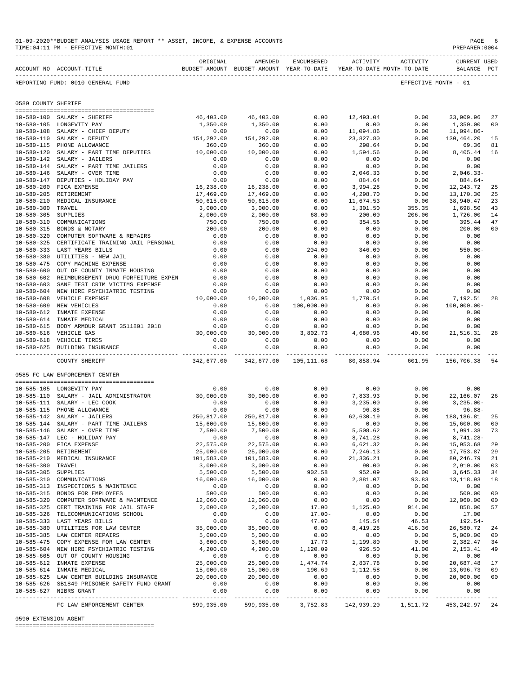|                     | TIME: 04:11 PM - EFFECTIVE MONTH: 01                                                            |                        |                                            |                        |                      |                     | PREPARER:0004                      |                      |
|---------------------|-------------------------------------------------------------------------------------------------|------------------------|--------------------------------------------|------------------------|----------------------|---------------------|------------------------------------|----------------------|
|                     | BUDGET-AMOUNT BUDGET-AMOUNT YEAR-TO-DATE YEAR-TO-DATE MONTH-TO-DATE<br>ACCOUNT NO ACCOUNT-TITLE | ORIGINAL               | AMENDED                                    | ENCUMBERED             |                      | ACTIVITY ACTIVITY   | <b>CURRENT USED</b><br>BALANCE PCT |                      |
|                     | REPORTING FUND: 0010 GENERAL FUND                                                               |                        |                                            |                        |                      |                     | EFFECTIVE MONTH - 01               |                      |
| 0580 COUNTY SHERIFF |                                                                                                 |                        |                                            |                        |                      |                     |                                    |                      |
|                     |                                                                                                 |                        |                                            |                        |                      |                     |                                    |                      |
|                     | 10-580-100 SALARY - SHERIFF<br>10-580-105 LONGEVITY PAY                                         | 46,403.00<br>1,350.00  | 46,403.00<br>1,350.00                      | 0.00<br>0.00           | 12,493.04<br>0.00    | 0.00<br>0.00        | 33,909.96<br>1,350.00              | 27<br>00             |
|                     |                                                                                                 | 0.00                   | 0.00                                       | 0.00                   | 11,094.86            | 0.00                | 11,094.86-                         |                      |
|                     | 10-580-108 SALARY - CHIEF DEPUTY<br>10-580-110 SALARY - DEPUTY<br>10-580-115 PHONE ALLOWANCE    | 154, 292.00            | 154,292.00                                 | 0.00                   | 23,827.80            | 0.00                | 130,464.20                         | 15                   |
|                     | 10-580-115 PHONE ALLOWANCE                                                                      | 360.00                 | 360.00                                     | 0.00                   | 290.64               | 0.00                | 69.36                              | 81                   |
|                     | 10-580-120 SALARY - PART TIME DEPUTIES                                                          | 10,000.00              | 10,000.00                                  | 0.00                   | 1,594.56             | 0.00                | 8,405.44                           | 16                   |
|                     | 10-580-142 SALARY - JAILERS                                                                     | 0.00                   | 0.00                                       | 0.00                   | 0.00                 | 0.00                | 0.00                               |                      |
|                     | 10-580-144 SALARY - PART TIME JAILERS                                                           | 0.00                   | 0.00                                       | 0.00                   | 0.00                 | 0.00                | 0.00                               |                      |
|                     | 10-580-146 SALARY - OVER TIME                                                                   | 0.00                   | 0.00                                       | 0.00                   | 2,046.33             | 0.00                | $2,046.33-$                        |                      |
|                     | 10-580-147 DEPUTIES - HOLIDAY PAY                                                               | 0.00                   | 0.00                                       | 0.00                   | 884.64               | 0.00                | 884.64-                            |                      |
|                     | 10-580-200 FICA EXPENSE<br>10-580-205 RETIREMENT                                                | 16,238.00<br>17,469.00 | 16,238.00<br>17,469.00                     | 0.00<br>0.00           | 3,994.28<br>4,298.70 | 0.00<br>0.00        | 12,243.72<br>13,170.30             | 25<br>25             |
|                     | 10-580-210 MEDICAL INSURANCE                                                                    | 50,615.00              | 50,615.00                                  | 0.00                   | 11,674.53            | 0.00                | 38,940.47                          | 23                   |
| 10-580-300 TRAVEL   |                                                                                                 | 3,000.00               | 3,000.00                                   | 0.00                   | 1,301.50             | 355.35              | 1,698.50                           | 43                   |
| $10 - 580 - 305$    | SUPPLIES                                                                                        | 2,000.00               | 2,000.00                                   | 68.00                  | 206.00               | 206.00              | 1,726.00                           | 14                   |
| $10 - 580 - 310$    | COMMUNICATIONS                                                                                  | 750.00                 | 750.00                                     | 0.00                   | 354.56               | 0.00                | 395.44                             | 47                   |
| $10 - 580 - 315$    | BONDS & NOTARY                                                                                  | 200.00                 | 200.00                                     | 0.00                   | 0.00                 | 0.00                | 200.00                             | 0 <sub>0</sub>       |
| $10 - 580 - 320$    | COMPUTER SOFTWARE & REPAIRS                                                                     | 0.00                   | 0.00                                       | 0.00                   | 0.00                 | 0.00                | 0.00                               |                      |
| $10 - 580 - 325$    | CERTIFICATE TRAINING JAIL PERSONAL                                                              | 0.00                   | 0.00                                       | 0.00                   | 0.00                 | 0.00                | 0.00                               |                      |
|                     | 10-580-333 LAST YEARS BILLS                                                                     | 0.00                   | 0.00                                       | 204.00                 | 346.00               | 0.00                | $550.00 -$                         |                      |
|                     | 10-580-380 UTILITIES - NEW JAIL                                                                 | 0.00                   | 0.00                                       | 0.00                   | 0.00                 | 0.00                | 0.00                               |                      |
| $10 - 580 - 475$    | COPY MACHINE EXPENSE                                                                            | 0.00                   | 0.00                                       | 0.00                   | 0.00                 | 0.00                | 0.00                               |                      |
| $10 - 580 - 600$    | OUT OF COUNTY INMATE HOUSING<br>10-580-602 REIMBURSEMENT DRUG FORFEITURE EXPEN                  | 0.00                   | 0.00                                       | 0.00<br>0.00           | 0.00                 | 0.00<br>0.00        | 0.00<br>0.00                       |                      |
| $10 - 580 - 603$    | SANE TEST CRIM VICTIMS EXPENSE                                                                  | 0.00<br>0.00           | 0.00<br>0.00                               | 0.00                   | 0.00<br>0.00         | 0.00                | 0.00                               |                      |
|                     | 10-580-604 NEW HIRE PSYCHIATRIC TESTING                                                         | 0.00                   | 0.00                                       | 0.00                   | 0.00                 | 0.00                | 0.00                               |                      |
|                     | 10-580-608 VEHICLE EXPENSE                                                                      | 10,000.00              | 10,000.00                                  | 1,036.95               | 1,770.54             | 0.00                | 7,192.51                           | 28                   |
|                     | 10-580-609 NEW VEHICLES                                                                         | 0.00                   | 0.00                                       | 100,000.00             | 0.00                 | 0.00                | $100,000.00$ -                     |                      |
|                     | 10-580-612 INMATE EXPENSE                                                                       | 0.00                   | 0.00                                       | 0.00                   | 0.00                 | 0.00                | 0.00                               |                      |
|                     | 10-580-614 INMATE MEDICAL                                                                       | 0.00                   | 0.00                                       | 0.00                   | 0.00                 | 0.00                | 0.00                               |                      |
| $10 - 580 - 615$    | BODY ARMOUR GRANT 3511801 2018                                                                  | 0.00                   | 0.00                                       | 0.00                   | 0.00                 | 0.00                | 0.00                               |                      |
|                     | 10-580-616 VEHICLE GAS                                                                          | 30,000.00              | 30,000.00                                  | 3,802.73               | 4,680.96             | 40.60               | 21,516.31                          | 28                   |
|                     | 10-580-618 VEHICLE TIRES                                                                        | 0.00                   | 0.00                                       | 0.00                   | 0.00                 | 0.00                | 0.00                               |                      |
|                     | 10-580-625 BUILDING INSURANCE                                                                   | 0.00                   | 0.00<br>-------------                      | 0.00<br>-------------- | 0.00<br>----------   | 0.00<br>----------- | 0.00                               |                      |
|                     | COUNTY SHERIFF                                                                                  |                        | 342,677.00 342,677.00 105,111.68 80,858.94 |                        |                      |                     | 601.95 156,706.38                  | 54                   |
|                     | 0585 FC LAW ENFORCEMENT CENTER                                                                  |                        |                                            |                        |                      |                     |                                    |                      |
|                     | 10-585-105 LONGEVITY PAY                                                                        | 0.00                   | 0.00                                       | 0.00                   | 0.00                 | 0.00                | 0.00                               |                      |
|                     | 10-585-110 SALARY - JAIL ADMINISTRATOR                                                          | 30,000.00              | 30,000.00                                  | 0.00                   | 7,833.93             | 0.00                | 22,166.07                          | 26                   |
|                     | 10-585-111 SALARY - LEC COOK                                                                    | 0.00                   | 0.00                                       | 0.00                   | 3,235.00             | 0.00                | 3,235.00-                          |                      |
|                     | 10-585-115 PHONE ALLOWANCE                                                                      | 0.00                   | 0.00                                       | 0.00                   | 96.88                | 0.00                | $96.88 -$                          |                      |
|                     | 10-585-142 SALARY - JAILERS                                                                     | 250,817.00             | 250,817.00                                 | 0.00                   | 62,630.19<br>0.00    | 0.00                | 188,186.81                         | 25                   |
|                     | 10-585-144 SALARY - PART TIME JAILERS                                                           | 15,600.00<br>7,500.00  | 15,600.00<br>7,500.00                      | 0.00                   |                      | 0.00<br>0.00        | 15,600.00<br>1,991.38              | 0 <sub>0</sub>       |
|                     | 10-585-146 SALARY - OVER TIME<br>10-585-147 LEC - HOLIDAY PAY                                   | 0.00                   | 0.00                                       | 0.00<br>0.00           | 5,508.62<br>8,741.28 | 0.00                | $8,741.28-$                        | 73                   |
|                     | 10-585-200 FICA EXPENSE                                                                         | 22,575.00              | 22,575.00                                  | 0.00                   | 6,621.32             | 0.00                | 15,953.68                          | 29                   |
|                     | 10-585-205 RETIREMENT                                                                           | 25,000.00              | 25,000.00                                  | 0.00                   | 7,246.13             | 0.00                | 17,753.87                          | 29                   |
| $10 - 585 - 210$    | MEDICAL INSURANCE                                                                               | 101,583.00             | 101,583.00                                 | 0.00                   | 21,336.21            | 0.00                | 80, 246.79                         | 21                   |
| 10-585-300 TRAVEL   |                                                                                                 | 3,000.00               | 3,000.00                                   | 0.00                   | 90.00                | 0.00                | 2,910.00                           | 03                   |
| 10-585-305 SUPPLIES |                                                                                                 | 5,500.00               | 5,500.00                                   | 902.58                 | 952.09               | 0.00                | 3,645.33                           | 34                   |
|                     | 10-585-310 COMMUNICATIONS                                                                       | 16,000.00              | 16,000.00                                  | 0.00                   | 2,881.07             | 93.83               | 13, 118.93                         | 18                   |
|                     | 10-585-313 INSPECTIONS & MAINTENCE                                                              | 0.00                   | 0.00                                       | 0.00                   | 0.00                 | 0.00                | 0.00                               |                      |
|                     | 10-585-315 BONDS FOR EMPLOYEES                                                                  | 500.00                 | 500.00                                     | 0.00                   | 0.00                 | 0.00                | 500.00                             | 0 <sub>0</sub>       |
| $10 - 585 - 320$    | COMPUTER SOFTWARE & MAINTENCE                                                                   | 12,060.00              | 12,060.00                                  | 0.00                   | 0.00                 | 0.00                | 12,060.00                          | 0 <sub>0</sub><br>57 |
|                     | 10-585-325 CERT TRAINING FOR JAIL STAFF<br>10-585-326 TELECOMMUNICATIONS SCHOOL                 | 2,000.00<br>0.00       | 2,000.00<br>0.00                           | 17.00<br>$17.00 -$     | 1,125.00<br>0.00     | 914.00<br>0.00      | 858.00<br>17.00                    |                      |
|                     | 10-585-333 LAST YEARS BILLS                                                                     | 0.00                   | 0.00                                       | 47.00                  | 145.54               | 46.53               | $192.54-$                          |                      |
|                     | 10-585-380 UTILITIES FOR LAW CENTER                                                             | 35,000.00              | 35,000.00                                  | 0.00                   | 8,419.28             | 416.36              | 26,580.72                          | 24                   |
|                     | 10-585-385 LAW CENTER REPAIRS                                                                   | 5,000.00               | 5,000.00                                   | 0.00                   | 0.00                 | 0.00                | 5,000.00                           | 0 <sub>0</sub>       |
|                     | 10-585-475 COPY EXPENSE FOR LAW CENTER                                                          | 3,600.00               | 3,600.00                                   | 17.73                  | 1,199.80             | 0.00                | 2,382.47                           | 34                   |
|                     | 10-585-604 NEW HIRE PSYCHIATRIC TESTING                                                         | 4,200.00               | 4,200.00                                   | 1,120.09               | 926.50               | 41.00               | 2,153.41                           | 49                   |
|                     | 10-585-605 OUT OF COUNTY HOUSING                                                                | 0.00                   | 0.00                                       | 0.00                   | 0.00                 | 0.00                | 0.00                               |                      |
|                     | 10-585-612 INMATE EXPENSE                                                                       | 25,000.00              | 25,000.00                                  | 1,474.74               | 2,837.78             | 0.00                | 20,687.48                          | 17                   |
|                     | 10-585-614 INMATE MEDICAL                                                                       | 15,000.00              | 15,000.00                                  | 190.69                 | 1,112.58             | 0.00                | 13,696.73                          | 09                   |
|                     | 10-585-625 LAW CENTER BUILDING INSURANCE<br>10-585-626 SB1849 PRISONER SAFETY FUND GRANT        | 20,000.00<br>0.00      | 20,000.00<br>0.00                          | 0.00<br>0.00           | 0.00<br>0.00         | 0.00<br>0.00        | 20,000.00                          | 0 <sub>0</sub>       |
|                     | 10-585-627 NIBRS GRANT                                                                          | 0.00                   | 0.00                                       | 0.00                   | 0.00                 | 0.00                | 0.00<br>0.00                       |                      |
|                     |                                                                                                 |                        | -----------                                | ----------             | ------------         | .                   | -----------                        |                      |
|                     | FC LAW ENFORCEMENT CENTER                                                                       | 599,935.00             | 599,935.00                                 | 3,752.83               | 142,939.20           | 1,511.72            | 453,242.97                         | 24                   |

#### 0590 EXTENSION AGENT

========================================

### 01-09-2020\*\*BUDGET ANALYSIS USAGE REPORT \*\* ASSET, INCOME, & EXPENSE ACCOUNTS PAGE 6 PAGE 6 PAGE 6 PAGE 6 PAGE 6 PAGE 6 PAGE 6 PAGE 6 PAGE 6 PAGE 6 PAGE 6 PAGE 6 PAGE 6 PAGE 6 PAGE 6 PAGE 6 PAGE 6 PAGE 6 PAGE 6 PAGE 6 PAGE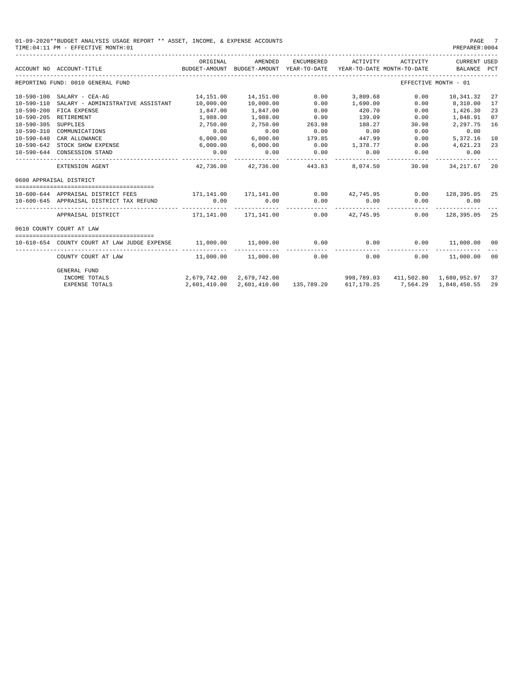#### 01-09-2020\*\*BUDGET ANALYSIS USAGE REPORT \*\* ASSET, INCOME, & EXPENSE ACCOUNTS PAGE 7<br>TIME:04:11 PM - EFFECTIVE MONTH:01 TIME:04:11 PM - EFFECTIVE MONTH:01

|                  | ACCOUNT NO ACCOUNT-TITLE                                                              | ORIGINAL                       | AMENDED<br>BUDGET-AMOUNT BUDGET-AMOUNT YEAR-TO-DATE | ENCUMBERED | ACTIVITY           | ACTIVITY<br>YEAR-TO-DATE MONTH-TO-DATE | <b>CURRENT USED</b><br>BALANCE PCT |    |
|------------------|---------------------------------------------------------------------------------------|--------------------------------|-----------------------------------------------------|------------|--------------------|----------------------------------------|------------------------------------|----|
|                  | REPORTING FUND: 0010 GENERAL FUND                                                     |                                |                                                     |            |                    |                                        | EFFECTIVE MONTH - 01               |    |
| 10-590-100       | SALARY - CEA-AG                                                                       | 14,151.00                      | 14,151.00                                           | 0.00       | 3,809.68           | 0.00                                   | 10,341.32                          | 27 |
| $10 - 590 - 110$ | SALARY - ADMINISTRATIVE ASSISTANT                                                     | 10,000.00                      | 10,000.00                                           | 0.00       | 1,690.00           | 0.00                                   | 8,310.00                           | 17 |
| $10 - 590 - 200$ | FICA EXPENSE                                                                          | 1,847.00                       | 1,847.00                                            | 0.00       | 420.70             | 0.00                                   | 1,426.30                           | 23 |
| $10 - 590 - 205$ | RETIREMENT                                                                            | 1,988.00                       | 1,988.00                                            | 0.00       | 139.09             | 0.00                                   | 1,848.91                           | 07 |
| $10 - 590 - 305$ | SUPPLIES                                                                              | 2,750.00                       | 2,750.00                                            | 263.98     | 188.27             | 30.98                                  | 2,297.75                           | 16 |
| $10 - 590 - 310$ | COMMUNICATIONS                                                                        | 0.00                           | 0.00                                                | 0.00       | 0.00               | 0.00                                   | 0.00                               |    |
| $10 - 590 - 640$ | CAR ALLOWANCE                                                                         | 6,000.00                       | 6,000.00                                            | 179.85     | 447.99             | 0.00                                   | 5,372.16                           | 10 |
| $10 - 590 - 642$ | STOCK SHOW EXPENSE                                                                    | 6,000.00                       | 6,000.00                                            | 0.00       | 1,378.77           | 0.00                                   | 4,621.23                           | 23 |
|                  | 10-590-644 CONSESSION STAND                                                           | 0.00                           | 0.00                                                | 0.00       | 0.00               | 0.00                                   | 0.00                               |    |
|                  | EXTENSION AGENT                                                                       |                                | 42.736.00 42.736.00                                 | 443.83     | 8,074.50           | 30.98                                  | 34, 217, 67 20                     |    |
|                  | 0600 APPRAISAL DISTRICT                                                               |                                |                                                     |            |                    |                                        |                                    |    |
|                  |                                                                                       |                                |                                                     |            |                    |                                        |                                    |    |
|                  | 10-600-644 APPRAISAL DISTRICT FEES                                                    | $171.141.00$ $171.141.00$ 0.00 |                                                     |            | 42,745,95          | 0.00                                   | 128,395.05 25                      |    |
|                  | 10-600-645 APPRAISAL DISTRICT TAX REFUND                                              | 0.00                           | 0.00                                                | 0.00       | 0.00               | 0.00                                   | 0.00                               |    |
|                  | APPRAISAL DISTRICT                                                                    |                                | 171.141.00 171.141.00                               |            | $0.00$ $42.745.95$ | 0.00                                   | 128,395.05                         | 25 |
|                  | 0610 COUNTY COURT AT LAW                                                              |                                |                                                     |            |                    |                                        |                                    |    |
|                  |                                                                                       |                                |                                                     |            |                    |                                        |                                    |    |
|                  | 10-610-654 COUNTY COURT AT LAW JUDGE EXPENSE<br>_____________________________________ | 11,000.00 11,000.00            |                                                     | 0.00       | 0.00               |                                        | $0.00$ 11,000.00                   | 00 |
|                  | COUNTY COURT AT LAW                                                                   |                                | 11,000.00 11,000.00                                 | 0.00       | 0.00               |                                        | $0.00$ 11,000.00                   | 00 |
|                  | GENERAL FUND                                                                          |                                |                                                     |            |                    |                                        |                                    |    |
|                  | INCOME TOTALS                                                                         |                                | 2,679,742.00 2,679,742.00                           |            |                    | 998,789.03 411,502.80 1,680,952.97 37  |                                    |    |

EXPENSE TOTALS 2,601,410.00 2,601,410.00 135,789.20 617,170.25 7,564.29 1,848,450.55 29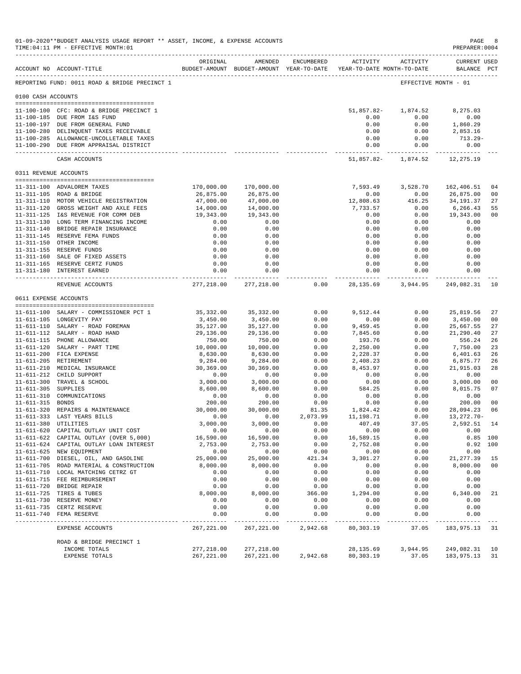|                       | 01-09-2020**BUDGET ANALYSIS USAGE REPORT ** ASSET, INCOME, & EXPENSE ACCOUNTS<br>TIME: 04:11 PM - EFFECTIVE MONTH: 01 |                            |                         |                     |                                                                                 |                        | PAGE<br>PREPARER: 0004                         | 8                    |
|-----------------------|-----------------------------------------------------------------------------------------------------------------------|----------------------------|-------------------------|---------------------|---------------------------------------------------------------------------------|------------------------|------------------------------------------------|----------------------|
|                       | ACCOUNT NO ACCOUNT-TITLE                                                                                              | ORIGINAL                   | AMENDED                 | ENCUMBERED          | ACTIVITY<br>BUDGET-AMOUNT BUDGET-AMOUNT YEAR-TO-DATE YEAR-TO-DATE MONTH-TO-DATE | ACTIVITY               | <b>CURRENT USED</b><br>BALANCE PCT             |                      |
|                       | REPORTING FUND: 0011 ROAD & BRIDGE PRECINCT 1                                                                         |                            |                         |                     |                                                                                 |                        | EFFECTIVE MONTH - 01                           |                      |
| 0100 CASH ACCOUNTS    |                                                                                                                       |                            |                         |                     |                                                                                 |                        |                                                |                      |
|                       |                                                                                                                       |                            |                         |                     |                                                                                 |                        |                                                |                      |
|                       | 11-100-100 CFC: ROAD & BRIDGE PRECINCT 1                                                                              |                            |                         |                     | 51,857.82-                                                                      | 1,874.52               | 8,275.03                                       |                      |
|                       | 11-100-185 DUE FROM I&S FUND                                                                                          |                            |                         |                     | 0.00                                                                            | 0.00                   | 0.00                                           |                      |
|                       | 11-100-197 DUE FROM GENERAL FUND<br>11-100-280 DELINQUENT TAXES RECEIVABLE                                            |                            |                         |                     | 0.00<br>0.00                                                                    | 0.00<br>0.00           | 1,860.29<br>2,853.16                           |                      |
|                       | 11-100-285 ALLOWANCE-UNCOLLETABLE TAXES                                                                               |                            |                         |                     | 0.00                                                                            | 0.00                   | 713.29-                                        |                      |
|                       | 11-100-290 DUE FROM APPRAISAL DISTRICT                                                                                |                            |                         |                     | 0.00                                                                            | 0.00                   | 0.00                                           |                      |
|                       | CASH ACCOUNTS                                                                                                         |                            |                         |                     |                                                                                 |                        | -------------<br>51,857.82- 1,874.52 12,275.19 |                      |
| 0311 REVENUE ACCOUNTS |                                                                                                                       |                            |                         |                     |                                                                                 |                        |                                                |                      |
|                       |                                                                                                                       |                            |                         |                     |                                                                                 |                        |                                                |                      |
|                       | 11-311-100 ADVALOREM TAXES<br>11-311-105 ROAD & BRIDGE                                                                | 170,000.00<br>26,875.00    | 170,000.00<br>26,875.00 |                     | 7,593.49<br>0.00                                                                | 3,528.70<br>0.00       | 162,406.51<br>26,875.00                        | 04<br>0 <sub>0</sub> |
|                       | 11-311-110 MOTOR VEHICLE REGISTRATION                                                                                 | 47,000.00                  | 47,000.00               |                     | 12,808.63                                                                       | 416.25                 | 34,191.37                                      | 27                   |
|                       | 11-311-120 GROSS WEIGHT AND AXLE FEES                                                                                 | 14,000.00                  | 14,000.00               |                     | 7,733.57                                                                        | 0.00                   | 6,266.43                                       | 55                   |
|                       | 11-311-125 I&S REVENUE FOR COMM DEB                                                                                   | 19,343.00                  | 19,343.00               |                     | 0.00                                                                            | 0.00                   | 19,343.00                                      | 0 <sub>0</sub>       |
|                       | 11-311-130 LONG TERM FINANCING INCOME                                                                                 | 0.00                       | 0.00                    |                     | 0.00                                                                            | 0.00                   | 0.00                                           |                      |
|                       | 11-311-140 BRIDGE REPAIR INSURANCE                                                                                    | 0.00                       | 0.00                    |                     | 0.00                                                                            | 0.00                   | 0.00                                           |                      |
|                       | 11-311-145 RESERVE FEMA FUNDS                                                                                         | 0.00                       | 0.00                    |                     | 0.00                                                                            | 0.00                   | 0.00                                           |                      |
|                       | 11-311-150 OTHER INCOME                                                                                               | 0.00                       | 0.00                    |                     | 0.00                                                                            | 0.00                   | 0.00                                           |                      |
|                       | 11-311-155 RESERVE FUNDS                                                                                              | 0.00                       | 0.00                    |                     | 0.00                                                                            | 0.00                   | 0.00                                           |                      |
|                       | 11-311-160 SALE OF FIXED ASSETS                                                                                       | 0.00                       | 0.00                    |                     | 0.00                                                                            | 0.00                   | 0.00                                           |                      |
|                       | 11-311-165 RESERVE CERTZ FUNDS                                                                                        | 0.00                       | 0.00                    |                     | 0.00                                                                            | 0.00                   | 0.00                                           |                      |
|                       | 11-311-180 INTEREST EARNED                                                                                            | 0.00                       | 0.00<br>------------    |                     | 0.00                                                                            | 0.00<br>-----------    | 0.00<br>------------                           |                      |
|                       | REVENUE ACCOUNTS                                                                                                      | 277,218.00                 | 277,218.00              | 0.00                | 28,135.69                                                                       | 3,944.95               | 249,082.31                                     | 10                   |
| 0611 EXPENSE ACCOUNTS |                                                                                                                       |                            |                         |                     |                                                                                 |                        |                                                |                      |
|                       |                                                                                                                       |                            |                         |                     |                                                                                 |                        |                                                |                      |
|                       | 11-611-100 SALARY - COMMISSIONER PCT 1<br>11-611-105 LONGEVITY PAY                                                    | 35,332.00                  | 35,332.00               | 0.00<br>0.00        | 9,512.44<br>0.00                                                                | 0.00<br>0.00           | 25,819.56                                      | 27<br>0 <sub>0</sub> |
|                       | 11-611-110 SALARY - ROAD FOREMAN                                                                                      | 3,450.00<br>35,127.00      | 3,450.00<br>35,127.00   | 0.00                | 9,459.45                                                                        | 0.00                   | 3,450.00<br>25,667.55                          | 27                   |
|                       | 11-611-112 SALARY - ROAD HAND                                                                                         | 29,136.00                  | 29,136.00               | 0.00                | 7,845.60                                                                        | 0.00                   | 21,290.40                                      | 27                   |
|                       | 11-611-115 PHONE ALLOWANCE                                                                                            | 750.00                     | 750.00                  | 0.00                | 193.76                                                                          | 0.00                   | 556.24                                         | 26                   |
|                       | 11-611-120 SALARY - PART TIME                                                                                         | 10,000.00                  | 10,000.00               | 0.00                | 2,250.00                                                                        | 0.00                   | 7,750.00                                       | 23                   |
|                       | 11-611-200 FICA EXPENSE                                                                                               | 8,630.00                   | 8,630.00                | 0.00                | 2,228.37                                                                        | 0.00                   | 6,401.63                                       | 26                   |
|                       | 11-611-205 RETIREMENT                                                                                                 | 9,284.00                   | 9,284.00                | 0.00                | 2,408.23                                                                        | 0.00                   | 6,875.77                                       | 26                   |
|                       | 11-611-210 MEDICAL INSURANCE                                                                                          | 30,369.00                  | 30,369.00               | 0.00                | 8,453.97                                                                        | 0.00                   | 21,915.03                                      | 28                   |
|                       | 11-611-212 CHILD SUPPORT                                                                                              | 0.00                       | 0.00                    | 0.00                | 0.00                                                                            | 0.00                   | 0.00                                           |                      |
|                       | 11-611-300 TRAVEL & SCHOOL                                                                                            | 3,000.00                   | 3,000.00                | 0.00                | 0.00                                                                            | 0.00                   | 3,000.00                                       | 0 <sub>0</sub>       |
| 11-611-305 SUPPLIES   |                                                                                                                       | 8,600.00                   | 8,600.00                | 0.00                | 584.25                                                                          | 0.00                   | 8,015.75                                       | 07                   |
|                       | 11-611-310 COMMUNICATIONS                                                                                             | 0.00                       | 0.00                    | 0.00                | 0.00                                                                            | 0.00                   | 0.00                                           |                      |
| 11-611-315 BONDS      | 11-611-320 REPAIRS & MAINTENANCE                                                                                      | 200.00<br>30,000.00        | 200.00<br>30,000.00     | 0.00<br>81.35       | 0.00<br>1,824.42                                                                | 0.00<br>0.00           | 200.00<br>28,094.23                            | 0 <sub>0</sub><br>06 |
|                       | 11-611-333 LAST YEARS BILLS                                                                                           | 0.00                       | 0.00                    | 2,073.99            | 11,198.71                                                                       | 0.00                   | 13, 272. 70-                                   |                      |
|                       | 11-611-380 UTILITIES                                                                                                  | 3,000.00                   | 3,000.00                | 0.00                | 407.49                                                                          | 37.05                  | 2,592.51 14                                    |                      |
|                       | 11-611-620 CAPITAL OUTLAY UNIT COST                                                                                   | 0.00                       | 0.00                    | 0.00                | 0.00                                                                            | 0.00                   | 0.00                                           |                      |
|                       | 11-611-622 CAPITAL OUTLAY (OVER 5,000)                                                                                | 16,590.00                  | 16,590.00               | 0.00                | 16,589.15                                                                       | 0.00                   |                                                | $0.85$ 100           |
|                       | 11-611-624 CAPITAL OUTLAY LOAN INTEREST                                                                               | 2,753.00                   | 2,753.00                | 0.00                | 2,752.08                                                                        | 0.00                   |                                                | 0.92 100             |
|                       | 11-611-625 NEW EQUIPMENT                                                                                              | 0.00                       | 0.00                    | 0.00                | 0.00                                                                            | 0.00                   | 0.00                                           |                      |
|                       | 11-611-700 DIESEL, OIL, AND GASOLINE                                                                                  | 25,000.00                  | 25,000.00               | 421.34              | 3,301.27                                                                        | 0.00                   | 21, 277.39                                     | 15                   |
|                       | 11-611-705 ROAD MATERIAL & CONSTRUCTION                                                                               | 8,000.00                   | 8,000.00                | 0.00                | 0.00                                                                            | 0.00                   | 8,000.00                                       | 00                   |
|                       | 11-611-710 LOCAL MATCHING CETRZ GT                                                                                    | 0.00                       | 0.00                    | 0.00                | 0.00                                                                            | 0.00                   | 0.00                                           |                      |
|                       | 11-611-715 FEE REIMBURSEMENT                                                                                          | 0.00                       | 0.00                    | 0.00                | 0.00                                                                            | 0.00                   | 0.00                                           |                      |
|                       | 11-611-720 BRIDGE REPAIR                                                                                              | 0.00                       | 0.00                    | 0.00                | 0.00                                                                            | 0.00                   | 0.00                                           |                      |
|                       | 11-611-725 TIRES & TUBES                                                                                              | 8,000.00                   | 8,000.00                | 366.00              | 1,294.00                                                                        | 0.00                   | 6,340.00                                       | 21                   |
|                       | 11-611-730 RESERVE MONEY<br>11-611-735 CERTZ RESERVE                                                                  | 0.00<br>0.00               | 0.00<br>0.00            | 0.00<br>0.00        | 0.00<br>0.00                                                                    | 0.00<br>0.00           | 0.00<br>0.00                                   |                      |
|                       | 11-611-740 FEMA RESERVE                                                                                               | 0.00                       | 0.00                    | 0.00                | 0.00                                                                            | 0.00                   | 0.00                                           |                      |
|                       | EXPENSE ACCOUNTS                                                                                                      | ___________<br>267, 221.00 | --------<br>267, 221.00 | -------<br>2,942.68 | $- - - - - -$<br>80,303.19                                                      | $- - - - - -$<br>37.05 | --------<br>183,975.13                         | 31                   |
|                       |                                                                                                                       |                            |                         |                     |                                                                                 |                        |                                                |                      |
|                       | ROAD & BRIDGE PRECINCT 1<br>INCOME TOTALS                                                                             | 277,218.00                 | 277,218.00              |                     | 28, 135.69                                                                      | 3,944.95               | 249,082.31                                     | 10                   |
|                       | EXPENSE TOTALS                                                                                                        | 267, 221.00                | 267, 221.00             | 2,942.68            | 80,303.19                                                                       | 37.05                  | 183,975.13                                     | 31                   |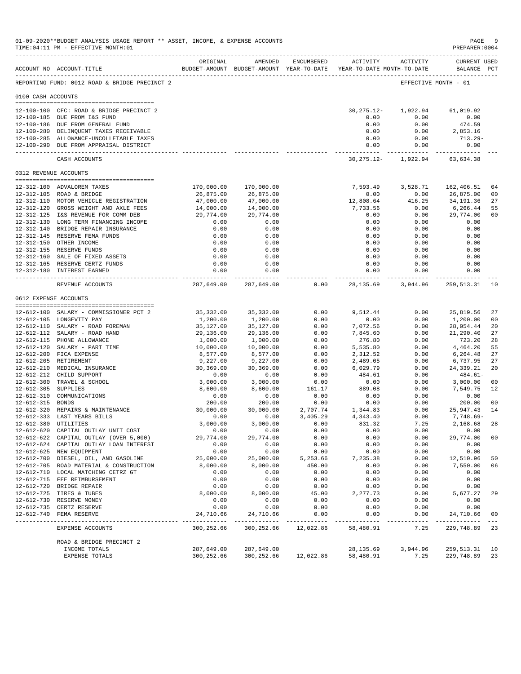|                       | 01-09-2020**BUDGET ANALYSIS USAGE REPORT ** ASSET, INCOME, & EXPENSE ACCOUNTS<br>TIME: 04:11 PM - EFFECTIVE MONTH: 01 |                          |                                                                                |                     |                  |                     | PAGE<br>PREPARER: 0004             | -9                               |
|-----------------------|-----------------------------------------------------------------------------------------------------------------------|--------------------------|--------------------------------------------------------------------------------|---------------------|------------------|---------------------|------------------------------------|----------------------------------|
|                       | ACCOUNT NO ACCOUNT-TITLE                                                                                              | ORIGINAL                 | AMENDED<br>BUDGET-AMOUNT BUDGET-AMOUNT YEAR-TO-DATE YEAR-TO-DATE MONTH-TO-DATE | ENCUMBERED          |                  | ACTIVITY ACTIVITY   | <b>CURRENT USED</b><br>BALANCE PCT |                                  |
|                       | REPORTING FUND: 0012 ROAD & BRIDGE PRECINCT 2                                                                         |                          |                                                                                |                     |                  |                     | EFFECTIVE MONTH - 01               |                                  |
| 0100 CASH ACCOUNTS    |                                                                                                                       |                          |                                                                                |                     |                  |                     |                                    |                                  |
|                       | 12-100-100 CFC: ROAD & BRIDGE PRECINCT 2                                                                              |                          |                                                                                |                     | $30, 275.12 -$   | 1,922.94            | 61,019.92                          |                                  |
|                       | 12-100-185 DUE FROM I&S FUND                                                                                          |                          |                                                                                |                     | 0.00             | 0.00                | 0.00                               |                                  |
|                       | 12-100-186 DUE FROM GENERAL FUND                                                                                      |                          |                                                                                |                     | 0.00             | 0.00                | 474.59                             |                                  |
|                       | 12-100-280 DELINQUENT TAXES RECEIVABLE                                                                                |                          |                                                                                |                     | 0.00             | 0.00                | 2,853.16                           |                                  |
|                       | 12-100-285 ALLOWANCE-UNCOLLETABLE TAXES<br>12-100-290 DUE FROM APPRAISAL DISTRICT                                     |                          |                                                                                |                     | 0.00<br>0.00     | 0.00<br>0.00        | $713.29-$<br>0.00                  |                                  |
|                       | CASH ACCOUNTS                                                                                                         |                          |                                                                                |                     | $30, 275.12 -$   | 1,922.94            | -------------<br>63,634.38         |                                  |
| 0312 REVENUE ACCOUNTS |                                                                                                                       |                          |                                                                                |                     |                  |                     |                                    |                                  |
|                       |                                                                                                                       |                          |                                                                                |                     |                  |                     |                                    |                                  |
|                       | 12-312-100 ADVALOREM TAXES<br>12-312-105 ROAD & BRIDGE                                                                | 170,000.00<br>26,875.00  | 170,000.00<br>26,875.00                                                        |                     | 7,593.49<br>0.00 | 3,528.71<br>0.00    | 162,406.51<br>26,875.00            | 0 <sub>4</sub><br>0 <sub>0</sub> |
|                       | 12-312-110 MOTOR VEHICLE REGISTRATION                                                                                 | 47,000.00                | 47,000.00                                                                      |                     | 12,808.64        | 416.25              | 34,191.36                          | 27                               |
|                       | 12-312-120 GROSS WEIGHT AND AXLE FEES                                                                                 | 14,000.00                | 14,000.00                                                                      |                     | 7,733.56         | 0.00                | 6,266.44                           | 55                               |
|                       | 12-312-125 I&S REVENUE FOR COMM DEB                                                                                   | 29,774.00                | 29,774.00                                                                      |                     | 0.00             | 0.00                | 29,774.00                          | 0 <sub>0</sub>                   |
|                       | 12-312-130 LONG TERM FINANCING INCOME                                                                                 | 0.00                     | 0.00                                                                           |                     | 0.00             | 0.00                | 0.00                               |                                  |
|                       | 12-312-140 BRIDGE REPAIR INSURANCE                                                                                    | 0.00                     | 0.00                                                                           |                     | 0.00             | 0.00                | 0.00                               |                                  |
|                       | 12-312-145 RESERVE FEMA FUNDS                                                                                         | 0.00                     | 0.00                                                                           |                     | 0.00             | 0.00                | 0.00                               |                                  |
|                       | 12-312-150 OTHER INCOME<br>12-312-155 RESERVE FUNDS                                                                   | 0.00<br>0.00             | 0.00<br>0.00                                                                   |                     | 0.00<br>0.00     | 0.00<br>0.00        | 0.00<br>0.00                       |                                  |
|                       | 12-312-160 SALE OF FIXED ASSETS                                                                                       | 0.00                     | 0.00                                                                           |                     | 0.00             | 0.00                | 0.00                               |                                  |
|                       | 12-312-165 RESERVE CERTZ FUNDS                                                                                        | 0.00                     | 0.00                                                                           |                     | 0.00             | 0.00                | 0.00                               |                                  |
|                       | 12-312-180 INTEREST EARNED                                                                                            | 0.00                     | 0.00<br>------------                                                           |                     | 0.00<br>.        | 0.00<br>----------- | 0.00<br>. _ _ _ _ _ _ _ _ _ _ _ _  |                                  |
|                       | REVENUE ACCOUNTS                                                                                                      | 287,649.00               | 287,649.00                                                                     | 0.00                | 28,135.69        | 3,944.96            | 259,513.31                         | 10                               |
| 0612 EXPENSE ACCOUNTS |                                                                                                                       |                          |                                                                                |                     |                  |                     |                                    |                                  |
|                       |                                                                                                                       |                          |                                                                                |                     |                  |                     |                                    |                                  |
|                       | 12-612-100 SALARY - COMMISSIONER PCT 2                                                                                | 35,332.00                | 35, 332.00                                                                     | 0.00                | 9,512.44         | 0.00                | 25,819.56                          | 27                               |
|                       | 12-612-105 LONGEVITY PAY<br>12-612-110 SALARY - ROAD FOREMAN                                                          | 1,200.00<br>35,127.00    | 1,200.00<br>35,127.00                                                          | 0.00<br>0.00        | 0.00<br>7,072.56 | 0.00<br>0.00        | 1,200.00<br>28,054.44              | 0 <sub>0</sub><br>20             |
|                       | 12-612-112 SALARY - ROAD HAND                                                                                         | 29,136.00                | 29,136.00                                                                      | 0.00                | 7,845.60         | 0.00                | 21,290.40                          | 27                               |
|                       | 12-612-115 PHONE ALLOWANCE                                                                                            | 1,000.00                 | 1,000.00                                                                       | 0.00                | 276.80           | 0.00                | 723.20                             | 28                               |
|                       | 12-612-120 SALARY - PART TIME                                                                                         | 10,000.00                | 10,000.00                                                                      | 0.00                | 5,535.80         | 0.00                | 4,464.20                           | 55                               |
|                       | 12-612-200 FICA EXPENSE                                                                                               | 8,577.00                 | 8,577.00                                                                       | 0.00                | 2,312.52         | 0.00                | 6,264.48                           | 27                               |
|                       | 12-612-205 RETIREMENT                                                                                                 | 9,227.00                 | 9,227.00                                                                       | 0.00                | 2,489.05         | 0.00                | 6,737.95                           | 27                               |
|                       | 12-612-210 MEDICAL INSURANCE                                                                                          | 30,369.00                | 30,369.00                                                                      | 0.00                | 6,029.79         | 0.00                | 24, 339.21                         | 20                               |
|                       | 12-612-212 CHILD SUPPORT<br>12-612-300 TRAVEL & SCHOOL                                                                | 0.00<br>3,000.00         | 0.00<br>3,000.00                                                               | 0.00<br>0.00        | 484.61<br>0.00   | 0.00<br>0.00        | $484.61-$<br>3,000.00              | 0 <sub>0</sub>                   |
| 12-612-305 SUPPLIES   |                                                                                                                       | 8,600.00                 | 8,600.00                                                                       | 161.17              | 889.08           | 0.00                | 7,549.75                           | 12                               |
|                       | 12-612-310 COMMUNICATIONS                                                                                             | 0.00                     | 0.00                                                                           | 0.00                | 0.00             | 0.00                | 0.00                               |                                  |
| 12-612-315 BONDS      |                                                                                                                       | 200.00                   | 200.00                                                                         | 0.00                | 0.00             | 0.00                | 200.00                             | 0 <sub>0</sub>                   |
|                       | 12-612-320 REPAIRS & MAINTENANCE                                                                                      | 30,000.00                | 30,000.00                                                                      | 2,707.74            | 1,344.83         | 0.00                | 25,947.43                          | 14                               |
|                       | 12-612-333 LAST YEARS BILLS                                                                                           | 0.00                     | 0.00                                                                           | 3,405.29            | 4,343.40         | 0.00                | $7,748.69-$                        |                                  |
|                       | 12-612-380 UTILITIES                                                                                                  | 3,000.00                 | 3,000.00                                                                       | 0.00                | 831.32           | 7.25                | 2,168.68                           | 28                               |
|                       | 12-612-620 CAPITAL OUTLAY UNIT COST<br>12-612-622 CAPITAL OUTLAY (OVER 5,000)                                         | 0.00<br>29,774.00        | 0.00<br>29,774.00                                                              | 0.00<br>0.00        | 0.00<br>0.00     | 0.00<br>0.00        | 0.00<br>29,774.00                  | 0 <sub>0</sub>                   |
|                       | 12-612-624 CAPITAL OUTLAY LOAN INTEREST                                                                               | 0.00                     | 0.00                                                                           | 0.00                | 0.00             | 0.00                | 0.00                               |                                  |
|                       | 12-612-625 NEW EQUIPMENT                                                                                              | 0.00                     | 0.00                                                                           | 0.00                | 0.00             | 0.00                | 0.00                               |                                  |
|                       | 12-612-700 DIESEL, OIL, AND GASOLINE                                                                                  | 25,000.00                | 25,000.00                                                                      | 5,253.66            | 7,235.38         | 0.00                | 12,510.96                          | 50                               |
|                       | 12-612-705 ROAD MATERIAL & CONSTRUCTION                                                                               | 8,000.00                 | 8,000.00                                                                       | 450.00              | 0.00             | 0.00                | 7,550.00                           | 06                               |
|                       | 12-612-710 LOCAL MATCHING CETRZ GT                                                                                    | 0.00                     | 0.00                                                                           | 0.00                | 0.00             | 0.00                | 0.00                               |                                  |
|                       | 12-612-715 FEE REIMBURSEMENT                                                                                          | 0.00                     | 0.00                                                                           | 0.00                | 0.00             | 0.00                | 0.00                               |                                  |
|                       | 12-612-720 BRIDGE REPAIR<br>12-612-725 TIRES & TUBES                                                                  | 0.00<br>8,000.00         | 0.00<br>8,000.00                                                               | 0.00<br>45.00       | 0.00<br>2,277.73 | 0.00<br>0.00        | 0.00<br>5,677.27                   | 29                               |
|                       | 12-612-730 RESERVE MONEY                                                                                              | 0.00                     | 0.00                                                                           | 0.00                | 0.00             | 0.00                | 0.00                               |                                  |
|                       | 12-612-735 CERTZ RESERVE                                                                                              | 0.00                     | 0.00                                                                           | 0.00                | 0.00             | 0.00                | 0.00                               |                                  |
|                       | 12-612-740 FEMA RESERVE                                                                                               | 24,710.66<br>----------- | 24,710.66<br>-------------                                                     | 0.00<br>----------- | 0.00             | 0.00<br>-----       | 24,710.66<br>----------            | 0 <sub>0</sub><br>$- - -$        |
|                       | EXPENSE ACCOUNTS                                                                                                      | 300,252.66               | 300,252.66                                                                     | 12,022.86           | 58,480.91        | 7.25                | 229,748.89                         | 23                               |
|                       | ROAD & BRIDGE PRECINCT 2                                                                                              |                          |                                                                                |                     |                  |                     |                                    |                                  |
|                       | INCOME TOTALS                                                                                                         | 287,649.00               | 287,649.00                                                                     |                     | 28, 135.69       | 3,944.96            | 259,513.31                         | 10                               |
|                       | EXPENSE TOTALS                                                                                                        | 300,252.66               | 300,252.66                                                                     | 12,022.86           | 58,480.91        | 7.25                | 229,748.89                         | 23                               |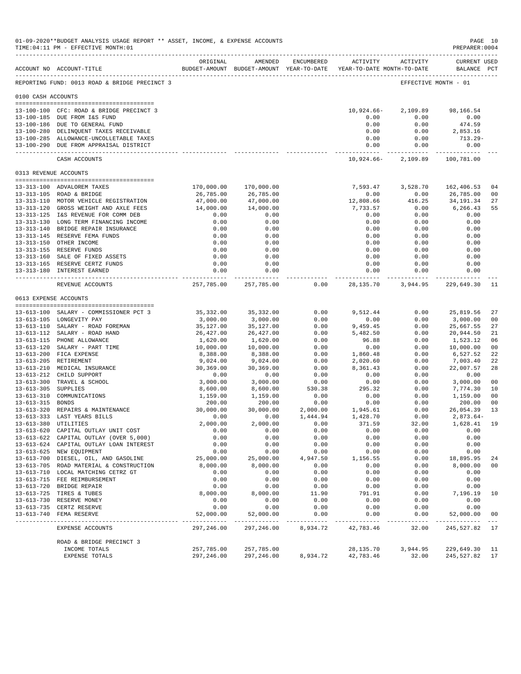|                       | 01-09-2020**BUDGET ANALYSIS USAGE REPORT ** ASSET, INCOME, & EXPENSE ACCOUNTS<br>TIME: 04:11 PM - EFFECTIVE MONTH: 01<br>______________________________________ |                          |                         |              |                                                                                          |                        | PAGE 10<br>PREPARER: 0004         |                |
|-----------------------|-----------------------------------------------------------------------------------------------------------------------------------------------------------------|--------------------------|-------------------------|--------------|------------------------------------------------------------------------------------------|------------------------|-----------------------------------|----------------|
|                       | ACCOUNT NO ACCOUNT-TITLE                                                                                                                                        | ORIGINAL                 | AMENDED                 | ENCUMBERED   | ACTIVITY ACTIVITY<br>BUDGET-AMOUNT BUDGET-AMOUNT YEAR-TO-DATE YEAR-TO-DATE MONTH-TO-DATE |                        | CURRENT USED<br>BALANCE PCT       |                |
|                       | REPORTING FUND: 0013 ROAD & BRIDGE PRECINCT 3                                                                                                                   |                          |                         |              |                                                                                          |                        | EFFECTIVE MONTH - 01              |                |
| 0100 CASH ACCOUNTS    |                                                                                                                                                                 |                          |                         |              |                                                                                          |                        |                                   |                |
|                       |                                                                                                                                                                 |                          |                         |              |                                                                                          |                        |                                   |                |
|                       | 13-100-100 CFC: ROAD & BRIDGE PRECINCT 3                                                                                                                        |                          |                         |              | 10,924.66-                                                                               | 2,109.89               | 98,166.54                         |                |
|                       | 13-100-185 DUE FROM I&S FUND<br>13-100-186 DUE TO GENERAL FUND                                                                                                  |                          |                         |              | 0.00                                                                                     | 0.00                   | 0.00                              |                |
|                       | 13-100-280 DELINQUENT TAXES RECEIVABLE                                                                                                                          |                          |                         |              | 0.00<br>0.00                                                                             | 0.00<br>0.00           | 474.59<br>2,853.16                |                |
|                       | 13-100-285 ALLOWANCE-UNCOLLETABLE TAXES                                                                                                                         |                          |                         |              | 0.00                                                                                     | 0.00                   | 713.29-                           |                |
|                       | 13-100-290 DUE FROM APPRAISAL DISTRICT                                                                                                                          |                          |                         |              | 0.00                                                                                     | 0.00                   | 0.00                              |                |
|                       | CASH ACCOUNTS                                                                                                                                                   |                          |                         |              | ------------ -<br>10,924.66-                                                             | ------------           | 2,109.89 100,781.00               |                |
| 0313 REVENUE ACCOUNTS |                                                                                                                                                                 |                          |                         |              |                                                                                          |                        |                                   |                |
|                       |                                                                                                                                                                 |                          |                         |              |                                                                                          |                        |                                   |                |
|                       | 13-313-100 ADVALOREM TAXES<br>13-313-105 ROAD & BRIDGE                                                                                                          | 170,000.00<br>26,785.00  | 170,000.00<br>26,785.00 |              | 7,593.47<br>0.00                                                                         | 3,528.70<br>0.00       | 162,406.53<br>26,785.00           | 04<br>00       |
|                       | 13-313-110 MOTOR VEHICLE REGISTRATION                                                                                                                           | 47,000.00                | 47,000.00               |              | 12,808.66                                                                                | 416.25                 | 34,191.34                         | 27             |
|                       | 13-313-120 GROSS WEIGHT AND AXLE FEES                                                                                                                           | 14,000.00                | 14,000.00               |              | 7,733.57                                                                                 | 0.00                   | 6,266.43                          | 55             |
|                       | 13-313-125 I&S REVENUE FOR COMM DEB                                                                                                                             | 0.00                     | 0.00                    |              | 0.00                                                                                     | 0.00                   | 0.00                              |                |
|                       | 13-313-130 LONG TERM FINANCING INCOME                                                                                                                           | 0.00                     | 0.00                    |              | 0.00                                                                                     | 0.00                   | 0.00                              |                |
|                       | 13-313-140 BRIDGE REPAIR INSURANCE                                                                                                                              | 0.00                     | 0.00                    |              | 0.00                                                                                     | 0.00                   | 0.00                              |                |
|                       | 13-313-145 RESERVE FEMA FUNDS                                                                                                                                   | 0.00                     | 0.00                    |              | 0.00                                                                                     | 0.00                   | 0.00                              |                |
|                       | 13-313-150 OTHER INCOME                                                                                                                                         | 0.00                     | 0.00                    |              | 0.00                                                                                     | 0.00                   | 0.00                              |                |
|                       | 13-313-155 RESERVE FUNDS                                                                                                                                        | 0.00                     | 0.00                    |              | 0.00                                                                                     | 0.00                   | 0.00                              |                |
|                       | 13-313-160 SALE OF FIXED ASSETS                                                                                                                                 | 0.00                     | 0.00                    |              | 0.00                                                                                     | 0.00                   | 0.00                              |                |
|                       | 13-313-165 RESERVE CERTZ FUNDS                                                                                                                                  | 0.00                     | 0.00                    |              | 0.00                                                                                     | 0.00                   | 0.00                              |                |
|                       | 13-313-180 INTEREST EARNED                                                                                                                                      | 0.00                     | 0.00<br>-------------   |              | 0.00<br>------------ -                                                                   | 0.00<br>----------- -  | 0.00<br>. _ _ _ _ _ _ _ _ _ _ _ _ |                |
|                       | REVENUE ACCOUNTS                                                                                                                                                | 257,785.00               | 257,785.00              | 0.00         |                                                                                          | 28, 135, 70 3, 944, 95 | 229,649.30                        | -11            |
|                       | 0613 EXPENSE ACCOUNTS                                                                                                                                           |                          |                         |              |                                                                                          |                        |                                   |                |
|                       |                                                                                                                                                                 |                          |                         |              |                                                                                          |                        |                                   |                |
|                       | 13-613-100 SALARY - COMMISSIONER PCT 3                                                                                                                          | 35,332.00                | 35,332.00               | 0.00         | 9,512.44                                                                                 | 0.00                   | 25,819.56                         | 27             |
|                       | 13-613-105 LONGEVITY PAY                                                                                                                                        | 3,000.00                 | 3,000.00                | 0.00         | 0.00                                                                                     | 0.00                   | 3,000.00                          | 0 <sup>0</sup> |
|                       | 13-613-110 SALARY - ROAD FOREMAN                                                                                                                                | 35,127.00                | 35,127.00               | 0.00         | 9,459.45                                                                                 | 0.00                   | 25,667.55                         | 27             |
|                       | 13-613-112 SALARY - ROAD HAND                                                                                                                                   | 26,427.00                | 26,427.00               | 0.00<br>0.00 | 5,482.50                                                                                 | 0.00<br>0.00           | 20,944.50                         | 21<br>06       |
|                       | 13-613-115 PHONE ALLOWANCE<br>13-613-120 SALARY - PART TIME                                                                                                     | 1,620.00<br>10,000.00    | 1,620.00<br>10,000.00   | 0.00         | 96.88<br>0.00                                                                            | 0.00                   | 1,523.12<br>10,000.00             | 00             |
|                       | 13-613-200 FICA EXPENSE                                                                                                                                         | 8,388.00                 | 8,388.00                | 0.00         | 1,860.48                                                                                 | 0.00                   | 6,527.52                          | 22             |
|                       | 13-613-205 RETIREMENT                                                                                                                                           | 9,024.00                 | 9,024.00                | 0.00         | 2,020.60                                                                                 | 0.00                   | 7,003.40                          | 22             |
|                       | 13-613-210 MEDICAL INSURANCE                                                                                                                                    | 30,369.00                | 30,369.00               | 0.00         | 8,361.43                                                                                 | 0.00                   | 22,007.57                         | 28             |
|                       | 13-613-212 CHILD SUPPORT                                                                                                                                        | 0.00                     | 0.00                    | 0.00         | 0.00                                                                                     | 0.00                   | 0.00                              |                |
|                       | 13-613-300 TRAVEL & SCHOOL                                                                                                                                      | 3,000.00                 | 3,000.00                | 0.00         | 0.00                                                                                     | 0.00                   | 3,000.00                          | 00             |
| 13-613-305 SUPPLIES   |                                                                                                                                                                 | 8,600.00                 | 8,600.00                | 530.38       | 295.32                                                                                   | 0.00                   | 7,774.30                          | 10             |
|                       | 13-613-310 COMMUNICATIONS                                                                                                                                       | 1,159.00                 | 1,159.00                | 0.00         | 0.00                                                                                     | 0.00                   | 1,159.00                          | 0 <sup>0</sup> |
| 13-613-315 BONDS      |                                                                                                                                                                 | 200.00                   | 200.00                  | 0.00         | 0.00                                                                                     | 0.00                   | 200.00                            | 0 <sub>0</sub> |
|                       | 13-613-320 REPAIRS & MAINTENANCE                                                                                                                                | 30,000.00                | 30,000.00               | 2,000.00     | 1,945.61                                                                                 | 0.00                   | 26,054.39                         | 13             |
|                       | 13-613-333 LAST YEARS BILLS                                                                                                                                     | 0.00                     | 0.00                    | 1,444.94     | 1,428.70                                                                                 | 0.00                   | $2,873.64-$                       |                |
|                       | 13-613-380 UTILITIES                                                                                                                                            | 2,000.00                 | 2,000.00                | 0.00         | 371.59                                                                                   | 32.00                  | 1,628.41                          | 19             |
|                       | 13-613-620 CAPITAL OUTLAY UNIT COST                                                                                                                             | 0.00                     | 0.00                    | 0.00         | 0.00                                                                                     | 0.00                   | 0.00                              |                |
|                       | 13-613-622 CAPITAL OUTLAY (OVER 5,000)                                                                                                                          | 0.00                     | 0.00                    | 0.00         | 0.00                                                                                     | 0.00                   | 0.00                              |                |
|                       | 13-613-624 CAPITAL OUTLAY LOAN INTEREST                                                                                                                         | 0.00                     | 0.00                    | 0.00         | 0.00                                                                                     | 0.00                   | 0.00                              |                |
|                       | 13-613-625 NEW EQUIPMENT                                                                                                                                        | 0.00                     | 0.00                    | 0.00         | 0.00                                                                                     | 0.00                   | 0.00                              |                |
|                       | 13-613-700 DIESEL, OIL, AND GASOLINE                                                                                                                            | 25,000.00                | 25,000.00               | 4,947.50     | 1,156.55                                                                                 | 0.00                   | 18,895.95                         | 24             |
|                       | 13-613-705 ROAD MATERIAL & CONSTRUCTION<br>13-613-710 LOCAL MATCHING CETRZ GT                                                                                   | 8,000.00                 | 8,000.00                | 0.00         | 0.00<br>0.00                                                                             | 0.00                   | 8,000.00                          | 0 <sub>0</sub> |
|                       | 13-613-715 FEE REIMBURSEMENT                                                                                                                                    | 0.00<br>0.00             | 0.00<br>0.00            | 0.00<br>0.00 | 0.00                                                                                     | 0.00<br>0.00           | 0.00<br>0.00                      |                |
|                       | 13-613-720 BRIDGE REPAIR                                                                                                                                        | 0.00                     | 0.00                    | 0.00         | 0.00                                                                                     | 0.00                   | 0.00                              |                |
|                       | 13-613-725 TIRES & TUBES                                                                                                                                        | 8,000.00                 | 8,000.00                | 11.90        | 791.91                                                                                   | 0.00                   | 7,196.19                          | 10             |
|                       | 13-613-730 RESERVE MONEY                                                                                                                                        | 0.00                     | 0.00                    | 0.00         | 0.00                                                                                     | 0.00                   | 0.00                              |                |
|                       | 13-613-735 CERTZ RESERVE                                                                                                                                        | 0.00                     | 0.00                    | 0.00         | 0.00                                                                                     | 0.00                   | 0.00                              |                |
|                       | 13-613-740 FEMA RESERVE                                                                                                                                         | 52,000.00                | 52,000.00               | 0.00         | 0.00                                                                                     | 0.00                   | 52,000.00                         | 0 <sub>0</sub> |
|                       | <b>EXPENSE ACCOUNTS</b>                                                                                                                                         | ----------<br>297,246.00 | 297,246.00              | 8,934.72     | 42,783.46                                                                                | 32.00                  | 245,527.82                        | 17             |
|                       | ROAD & BRIDGE PRECINCT 3                                                                                                                                        |                          |                         |              |                                                                                          |                        |                                   |                |
|                       | INCOME TOTALS                                                                                                                                                   | 257,785.00               | 257,785.00              |              | 28, 135. 70                                                                              | 3,944.95               | 229,649.30                        | 11             |
|                       | EXPENSE TOTALS                                                                                                                                                  | 297,246.00               | 297,246.00              | 8,934.72     | 42,783.46                                                                                | 32.00                  | 245, 527.82 17                    |                |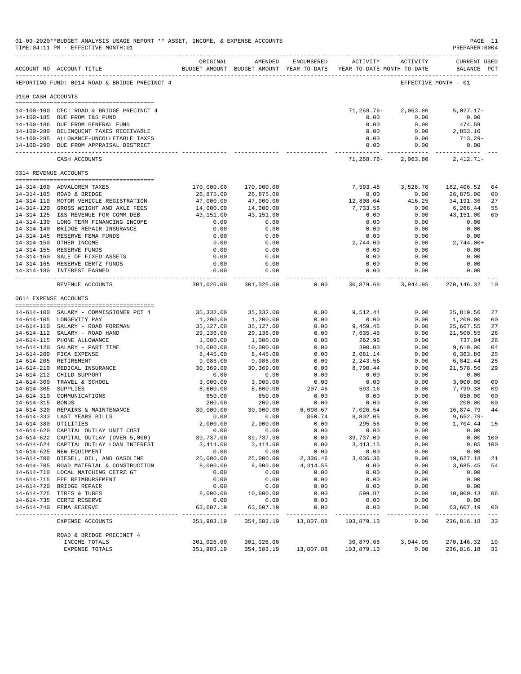|                     | 01-09-2020**BUDGET ANALYSIS USAGE REPORT ** ASSET, INCOME, & EXPENSE ACCOUNTS<br>TIME: 04:11 PM - EFFECTIVE MONTH: 01 |                            |                       |                                 |                                                                                 |                     | PAGE 11<br>PREPARER: 0004          |                |
|---------------------|-----------------------------------------------------------------------------------------------------------------------|----------------------------|-----------------------|---------------------------------|---------------------------------------------------------------------------------|---------------------|------------------------------------|----------------|
|                     | ACCOUNT NO ACCOUNT-TITLE                                                                                              | ORIGINAL                   | AMENDED               | ENCUMBERED                      | ACTIVITY<br>BUDGET-AMOUNT BUDGET-AMOUNT YEAR-TO-DATE YEAR-TO-DATE MONTH-TO-DATE | ACTIVITY            | <b>CURRENT USED</b><br>BALANCE PCT |                |
|                     | REPORTING FUND: 0014 ROAD & BRIDGE PRECINCT 4                                                                         |                            |                       |                                 |                                                                                 |                     | EFFECTIVE MONTH - 01               |                |
| 0100 CASH ACCOUNTS  |                                                                                                                       |                            |                       |                                 |                                                                                 |                     |                                    |                |
|                     | 14-100-100 CFC: ROAD & BRIDGE PRECINCT 4                                                                              |                            |                       |                                 | $71, 268.76 -$                                                                  | 2,063.80            | $5,027.17-$                        |                |
|                     | 14-100-185 DUE FROM I&S FUND                                                                                          |                            |                       |                                 | 0.00                                                                            | 0.00                | 0.00                               |                |
|                     | 14-100-186 DUE FROM GENERAL FUND                                                                                      |                            |                       |                                 | 0.00                                                                            | 0.00                | 474.59                             |                |
|                     | 14-100-280 DELINQUENT TAXES RECEIVABLE                                                                                |                            |                       |                                 | 0.00                                                                            | 0.00                | 2,853.16                           |                |
|                     | 14-100-285 ALLOWANCE-UNCOLLETABLE TAXES                                                                               |                            |                       |                                 | 0.00                                                                            | 0.00                | $713.29-$                          |                |
|                     | 14-100-290 DUE FROM APPRAISAL DISTRICT                                                                                |                            |                       |                                 | 0.00<br>-------------- -------------                                            | 0.00                | 0.00<br>-----------                |                |
|                     | CASH ACCOUNTS                                                                                                         |                            |                       |                                 | 71,268.76-                                                                      | 2,063.80            | $2,412.71-$                        |                |
|                     | 0314 REVENUE ACCOUNTS                                                                                                 |                            |                       |                                 |                                                                                 |                     |                                    |                |
|                     | 14-314-100 ADVALOREM TAXES                                                                                            | 170,000.00                 | 170,000.00            |                                 | 7,593.48                                                                        | 3,528.70            | 162,406.52                         | 04             |
|                     | 14-314-105 ROAD & BRIDGE                                                                                              | 26,875.00                  | 26,875.00             |                                 | 0.00                                                                            | 0.00                | 26,875.00                          | 00             |
|                     | 14-314-110 MOTOR VEHICLE REGISTRATION                                                                                 | 47,000.00                  | 47,000.00             |                                 | 12,808.64                                                                       | 416.25              | 34, 191.36                         | 27             |
|                     | 14-314-120 GROSS WEIGHT AND AXLE FEES                                                                                 | 14,000.00                  | 14,000.00             |                                 | 7,733.56                                                                        | 0.00                | 6,266.44                           | 55             |
|                     | 14-314-125 I&S REVENUE FOR COMM DEB                                                                                   | 43,151.00                  | 43,151.00             |                                 | 0.00                                                                            | 0.00                | 43,151.00                          | 00             |
|                     | 14-314-130 LONG TERM FINANCING INCOME                                                                                 | 0.00                       | 0.00                  |                                 | 0.00                                                                            | 0.00                | 0.00                               |                |
|                     | 14-314-140 BRIDGE REPAIR INSURANCE<br>14-314-145 RESERVE FEMA FUNDS                                                   | 0.00<br>0.00               | 0.00<br>0.00          |                                 | 0.00<br>0.00                                                                    | 0.00<br>0.00        | 0.00<br>0.00                       |                |
|                     | 14-314-150 OTHER INCOME                                                                                               | 0.00                       | 0.00                  |                                 | 2,744.00                                                                        | 0.00                | $2,744.00+$                        |                |
|                     | 14-314-155 RESERVE FUNDS                                                                                              | 0.00                       | 0.00                  |                                 | 0.00                                                                            | 0.00                | 0.00                               |                |
|                     | 14-314-160 SALE OF FIXED ASSETS                                                                                       | 0.00                       | 0.00                  |                                 | 0.00                                                                            | 0.00                | 0.00                               |                |
|                     | 14-314-165 RESERVE CERTZ FUNDS                                                                                        | 0.00                       | 0.00                  |                                 | 0.00                                                                            | 0.00                | 0.00                               |                |
|                     | 14-314-180 INTEREST EARNED                                                                                            | 0.00                       | 0.00<br>------------  |                                 | 0.00<br>------------                                                            | 0.00<br>----------- | 0.00<br>.                          |                |
|                     | REVENUE ACCOUNTS                                                                                                      | 301,026.00                 | 301,026.00            | 0.00                            | 30,879.68                                                                       | 3,944.95            | 270,146.32                         | 10             |
|                     | 0614 EXPENSE ACCOUNTS                                                                                                 |                            |                       |                                 |                                                                                 |                     |                                    |                |
|                     | 14-614-100 SALARY - COMMISSIONER PCT 4                                                                                | 35,332.00                  | 35, 332.00            | 0.00                            | 9,512.44                                                                        | 0.00                | 25,819.56                          | 27             |
|                     | 14-614-105 LONGEVITY PAY                                                                                              | 1,200.00                   | 1,200.00              | 0.00                            | 0.00                                                                            | 0.00                | 1,200.00                           | 00             |
|                     | 14-614-110 SALARY - ROAD FOREMAN                                                                                      | 35,127.00                  | 35,127.00             | 0.00                            | 9,459.45                                                                        | 0.00                | 25,667.55                          | 27             |
|                     | 14-614-112 SALARY - ROAD HAND                                                                                         | 29,136.00                  | 29,136.00             | 0.00                            | 7,635.45                                                                        | 0.00                | 21,500.55                          | 26             |
|                     | 14-614-115 PHONE ALLOWANCE                                                                                            | 1,000.00                   | 1,000.00              | 0.00                            | 262.96                                                                          | 0.00                | 737.04                             | 26             |
|                     | 14-614-120 SALARY - PART TIME<br>14-614-200 FICA EXPENSE                                                              | 10,000.00<br>8,445.00      | 10,000.00<br>8,445.00 | 0.00<br>0.00                    | 390.00<br>2,081.14                                                              | 0.00<br>0.00        | 9,610.00<br>6,363.86               | 04<br>25       |
|                     | 14-614-205 RETIREMENT                                                                                                 | 9,086.00                   | 9,086.00              | 0.00                            | 2,243.56                                                                        | 0.00                | 6,842.44                           | 25             |
|                     | 14-614-210 MEDICAL INSURANCE                                                                                          | 30,369.00                  | 30,369.00             | 0.00                            | 8,790.44                                                                        | 0.00                | 21,578.56                          | 29             |
|                     | 14-614-212 CHILD SUPPORT                                                                                              | 0.00                       | 0.00                  | 0.00                            | 0.00                                                                            | 0.00                | 0.00                               |                |
|                     | 14-614-300 TRAVEL & SCHOOL                                                                                            | 3,000.00                   | 3,000.00              | 0.00                            | 0.00                                                                            | 0.00                | 3,000.00                           | 0 <sub>0</sub> |
| 14-614-305 SUPPLIES |                                                                                                                       | 8,600.00                   | 8,600.00              | 207.46                          | 593.16                                                                          | 0.00                | 7,799.38                           | 09             |
| 14-614-315 BONDS    | 14-614-310 COMMUNICATIONS                                                                                             | 650.00<br>200.00           | 650.00<br>200.00      | 0.00<br>0.00                    | 0.00<br>0.00                                                                    | 0.00<br>0.00        | 650.00<br>200.00                   | 00<br>00       |
|                     | 14-614-320 REPAIRS & MAINTENANCE                                                                                      | 30,000.00                  | 30,000.00             | 6,098.67                        | 7,026.54                                                                        | 0.00                | 16,874.79                          | 44             |
|                     | 14-614-333 LAST YEARS BILLS                                                                                           | 0.00                       | 0.00                  | 850.74                          | 8,802.05                                                                        | 0.00                | $9,652.79 -$                       |                |
|                     | 14-614-380 UTILITIES                                                                                                  | 2,000.00                   | 2,000.00              | 0.00                            | 295.56                                                                          | 0.00                | 1,704.44 15                        |                |
|                     | 14-614-620 CAPITAL OUTLAY UNIT COST                                                                                   | 0.00                       | 0.00                  | 0.00                            | 0.00                                                                            | 0.00                | 0.00                               |                |
|                     | 14-614-622 CAPITAL OUTLAY (OVER 5,000)                                                                                | 39,737.00                  | 39,737.00             | 0.00                            | 39,737.00                                                                       | 0.00                |                                    | 0.00 100       |
|                     | 14-614-624 CAPITAL OUTLAY LOAN INTEREST                                                                               | 3,414.00                   | 3,414.00              | 0.00                            | 3, 413.15                                                                       | 0.00                |                                    | $0.85$ 100     |
|                     | 14-614-625 NEW EQUIPMENT                                                                                              | 0.00<br>25,000.00          | 0.00<br>25,000.00     | 0.00                            | 0.00<br>3,036.36                                                                | 0.00                | 0.00<br>19,627.18                  |                |
|                     | 14-614-700 DIESEL, OIL, AND GASOLINE<br>14-614-705 ROAD MATERIAL & CONSTRUCTION                                       | 8,000.00                   | 8,000.00              | 2,336.46<br>4,314.55            | 0.00                                                                            | 0.00<br>0.00        | 3,685.45                           | 21<br>54       |
|                     | 14-614-710 LOCAL MATCHING CETRZ GT                                                                                    | 0.00                       | 0.00                  | 0.00                            | 0.00                                                                            | 0.00                | 0.00                               |                |
|                     | 14-614-715 FEE REIMBURSEMENT                                                                                          | 0.00                       | 0.00                  | 0.00                            | 0.00                                                                            | 0.00                | 0.00                               |                |
|                     | 14-614-720 BRIDGE REPAIR                                                                                              | 0.00                       | 0.00                  | 0.00                            | 0.00                                                                            | 0.00                | 0.00                               |                |
|                     | 14-614-725 TIRES & TUBES                                                                                              | 8,000.00                   | 10,600.00             | 0.00                            | 599.87                                                                          | 0.00                | 10,000.13                          | 06             |
|                     | 14-614-735 CERTZ RESERVE                                                                                              | 0.00                       | 0.00                  | 0.00                            | 0.00                                                                            | 0.00                | 0.00                               |                |
|                     | 14-614-740 FEMA RESERVE                                                                                               | 63,607.19<br>------------- | 63,607.19             | 0.00<br>. _ _ _ _ _ _ _ _ _ _ _ | 0.00<br>------------                                                            | 0.00<br>.           | 63,607.19<br>--------------        | 00             |
|                     | EXPENSE ACCOUNTS                                                                                                      | 351,903.19                 |                       | 354,503.19 13,807.88            | 103,879.13                                                                      | 0.00                | 236,816.18 33                      |                |
|                     | ROAD & BRIDGE PRECINCT 4                                                                                              |                            |                       |                                 |                                                                                 |                     |                                    |                |
|                     | INCOME TOTALS<br>EXPENSE TOTALS                                                                                       | 301,026.00<br>351,903.19   | 301,026.00            | 354,503.19 13,807.88            | 30,879.68<br>103,879.13                                                         | 3,944.95<br>0.00    | 270, 146. 32 10<br>236,816.18 33   |                |
|                     |                                                                                                                       |                            |                       |                                 |                                                                                 |                     |                                    |                |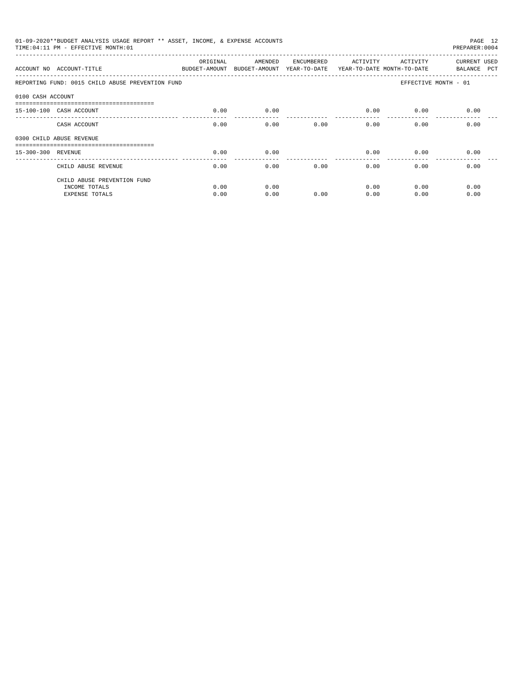|                    | 01-09-2020**BUDGET ANALYSIS USAGE REPORT ** ASSET, INCOME, & EXPENSE ACCOUNTS<br>TIME: 04:11 PM - EFFECTIVE MONTH: 01 |          |                                       |            |                                        |                      | PAGE 12<br>PREPARER: 0004   |
|--------------------|-----------------------------------------------------------------------------------------------------------------------|----------|---------------------------------------|------------|----------------------------------------|----------------------|-----------------------------|
|                    | ACCOUNT NO ACCOUNT-TITLE BUDGET-AMOUNT                                                                                | ORIGINAL | AMENDED<br>BUDGET-AMOUNT YEAR-TO-DATE | ENCUMBERED | ACTIVITY<br>YEAR-TO-DATE MONTH-TO-DATE | ACTIVITY             | CURRENT USED<br>BALANCE PCT |
|                    | REPORTING FUND: 0015 CHILD ABUSE PREVENTION FUND                                                                      |          |                                       |            |                                        | EFFECTIVE MONTH - 01 |                             |
| 0100 CASH ACCOUNT  |                                                                                                                       |          |                                       |            |                                        |                      |                             |
|                    | 15-100-100 CASH ACCOUNT                                                                                               | 0.00     | 0.00                                  |            | 0.00                                   | 0.00                 | 0.00                        |
|                    | CASH ACCOUNT                                                                                                          | 0.00     | 0.00                                  | 0.00       |                                        | 0.00<br>0.00         | 0.00                        |
|                    | 0300 CHILD ABUSE REVENUE                                                                                              |          |                                       |            |                                        |                      |                             |
| 15-300-300 REVENUE |                                                                                                                       | 0.00     | 0.00                                  |            | 0.00                                   | 0.00                 | 0.00                        |
|                    | CHILD ABUSE REVENUE                                                                                                   | 0.00     | 0.00                                  | 0.00       | 0.00                                   | 0.00                 | 0.00                        |
|                    | CHILD ABUSE PREVENTION FUND                                                                                           |          |                                       |            |                                        |                      |                             |
|                    | INCOME TOTALS                                                                                                         | 0.00     | 0.00                                  |            | 0.00                                   | 0.00                 | 0.00                        |
|                    | <b>EXPENSE TOTALS</b>                                                                                                 | 0.00     | 0.00                                  | 0.00       | 0.00                                   | 0.00                 | 0.00                        |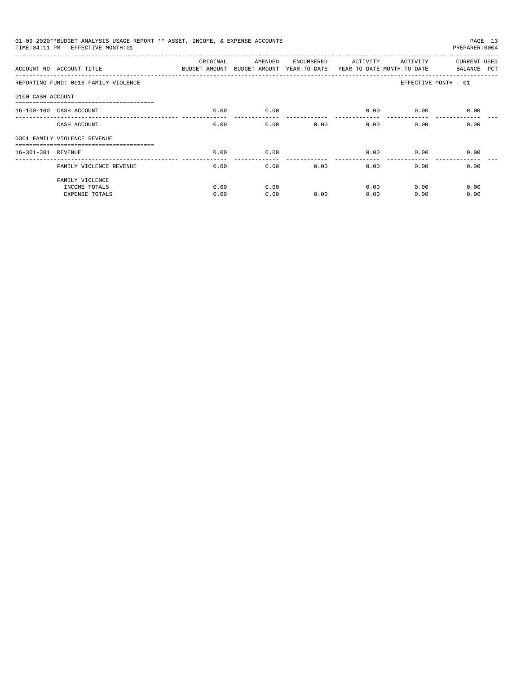| 01-09-2020**BUDGET ANALYSIS USAGE REPORT ** ASSET, INCOME, & EXPENSE ACCOUNTS<br>PAGE 13<br>TIME: 04:11 PM - EFFECTIVE MONTH: 01<br>PREPARER: 0004<br>CURRENT USED<br>ORIGINAL<br>AMENDED<br>ACTIVITY<br>ENCUMBERED<br>ACTIVITY<br>ACCOUNT NO ACCOUNT-TITLE<br>BUDGET-AMOUNT BUDGET-AMOUNT YEAR-TO-DATE YEAR-TO-DATE MONTH-TO-DATE<br>BALANCE PCT<br>REPORTING FUND: 0016 FAMILY VIOLENCE<br>EFFECTIVE MONTH - 01<br>0100 CASH ACCOUNT<br>0.00<br>0.00<br>0.00<br>0.00<br>0.00<br>16-100-100 CASH ACCOUNT<br>0.00<br>0.00<br>0.00<br>0.00<br>0.00<br>0.00<br>CASH ACCOUNT<br>0301 FAMILY VIOLENCE REVENUE<br>0.00<br>16-301-301 REVENUE<br>0.00<br>0.00<br>0.00<br>0.00 |              |              |      |              |              |              |  |  |
|-------------------------------------------------------------------------------------------------------------------------------------------------------------------------------------------------------------------------------------------------------------------------------------------------------------------------------------------------------------------------------------------------------------------------------------------------------------------------------------------------------------------------------------------------------------------------------------------------------------------------------------------------------------------------|--------------|--------------|------|--------------|--------------|--------------|--|--|
|                                                                                                                                                                                                                                                                                                                                                                                                                                                                                                                                                                                                                                                                         |              |              |      |              |              |              |  |  |
|                                                                                                                                                                                                                                                                                                                                                                                                                                                                                                                                                                                                                                                                         |              |              |      |              |              |              |  |  |
|                                                                                                                                                                                                                                                                                                                                                                                                                                                                                                                                                                                                                                                                         |              |              |      |              |              |              |  |  |
|                                                                                                                                                                                                                                                                                                                                                                                                                                                                                                                                                                                                                                                                         |              |              |      |              |              |              |  |  |
|                                                                                                                                                                                                                                                                                                                                                                                                                                                                                                                                                                                                                                                                         |              |              |      |              |              |              |  |  |
|                                                                                                                                                                                                                                                                                                                                                                                                                                                                                                                                                                                                                                                                         |              |              |      |              |              |              |  |  |
|                                                                                                                                                                                                                                                                                                                                                                                                                                                                                                                                                                                                                                                                         |              |              |      |              |              |              |  |  |
| FAMILY VIOLENCE REVENUE                                                                                                                                                                                                                                                                                                                                                                                                                                                                                                                                                                                                                                                 | 0.00         | 0.00         | 0.00 | 0.00         | 0.00         | 0.00         |  |  |
| FAMILY VIOLENCE                                                                                                                                                                                                                                                                                                                                                                                                                                                                                                                                                                                                                                                         |              |              |      |              |              |              |  |  |
| INCOME TOTALS<br><b>EXPENSE TOTALS</b>                                                                                                                                                                                                                                                                                                                                                                                                                                                                                                                                                                                                                                  | 0.00<br>0.00 | 0.00<br>0.00 | 0.00 | 0.00<br>0.00 | 0.00<br>0.00 | 0.00<br>0.00 |  |  |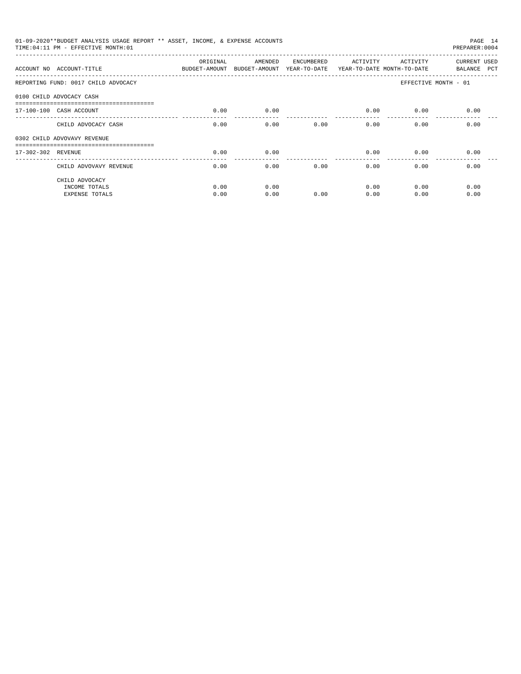| 01-09-2020**BUDGET ANALYSIS USAGE REPORT ** ASSET, INCOME, & EXPENSE ACCOUNTS<br>PAGE 14<br>TIME: 04:11 PM - EFFECTIVE MONTH: 01<br>PREPARER: 0004<br><b>CURRENT USED</b><br>ORIGINAL<br>AMENDED<br>ACTIVITY<br>ACTIVITY<br>ENCUMBERED<br>ACCOUNT NO ACCOUNT-TITLE COMPUTE BUDGET-AMOUNT BUDGET-AMOUNT YEAR-TO-DATE YEAR-TO-DATE MONTH-TO-DATE<br>BALANCE PCT<br>EFFECTIVE MONTH - 01<br>0.00<br>0.00<br>0.00<br>0.00<br>0.00<br>0.00<br>0.00<br>0.00<br>0.00<br>0.00<br>0.00<br>CHILD ADVOCACY CASH<br>0.00<br>0.00<br>0.00<br>0.00<br>0.00<br>-------<br>0.00<br>0.00<br>0.00<br>0.00<br>0.00<br>0.00<br>CHILD ADVOVAVY REVENUE |              |              |      |              |              |              |  |
|-----------------------------------------------------------------------------------------------------------------------------------------------------------------------------------------------------------------------------------------------------------------------------------------------------------------------------------------------------------------------------------------------------------------------------------------------------------------------------------------------------------------------------------------------------------------------------------------------------------------------------------|--------------|--------------|------|--------------|--------------|--------------|--|
|                                                                                                                                                                                                                                                                                                                                                                                                                                                                                                                                                                                                                                   |              |              |      |              |              |              |  |
| REPORTING FUND: 0017 CHILD ADVOCACY                                                                                                                                                                                                                                                                                                                                                                                                                                                                                                                                                                                               |              |              |      |              |              |              |  |
| 0100 CHILD ADVOCACY CASH                                                                                                                                                                                                                                                                                                                                                                                                                                                                                                                                                                                                          |              |              |      |              |              |              |  |
| 17-100-100 CASH ACCOUNT                                                                                                                                                                                                                                                                                                                                                                                                                                                                                                                                                                                                           |              |              |      |              |              |              |  |
|                                                                                                                                                                                                                                                                                                                                                                                                                                                                                                                                                                                                                                   |              |              |      |              |              |              |  |
| 0302 CHILD ADVOVAVY REVENUE                                                                                                                                                                                                                                                                                                                                                                                                                                                                                                                                                                                                       |              |              |      |              |              |              |  |
| 17-302-302 REVENUE                                                                                                                                                                                                                                                                                                                                                                                                                                                                                                                                                                                                                |              |              |      |              |              |              |  |
|                                                                                                                                                                                                                                                                                                                                                                                                                                                                                                                                                                                                                                   |              |              |      |              |              |              |  |
| CHILD ADVOCACY<br>INCOME TOTALS<br><b>EXPENSE TOTALS</b>                                                                                                                                                                                                                                                                                                                                                                                                                                                                                                                                                                          | 0.00<br>0.00 | 0.00<br>0.00 | 0.00 | 0.00<br>0.00 | 0.00<br>0.00 | 0.00<br>0.00 |  |
|                                                                                                                                                                                                                                                                                                                                                                                                                                                                                                                                                                                                                                   |              |              |      |              |              |              |  |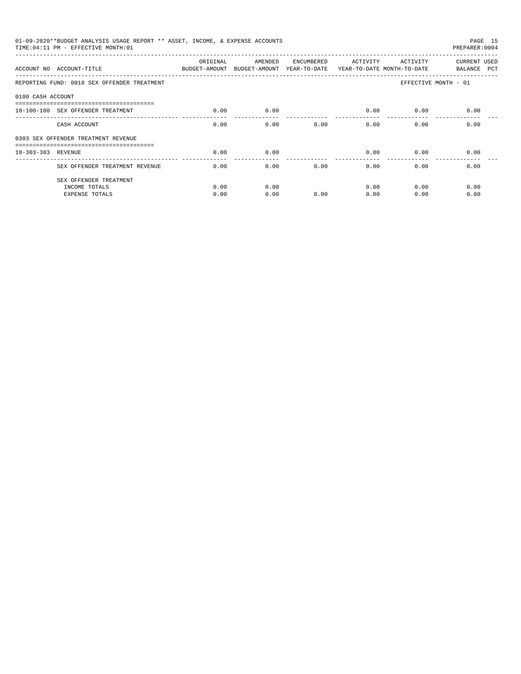|                    | 01-09-2020**BUDGET ANALYSIS USAGE REPORT ** ASSET, INCOME, & EXPENSE ACCOUNTS<br>TIME: 04:11 PM - EFFECTIVE MONTH: 01 |                           |                                       |            |          |                                        | PAGE 15<br>PREPARER: 0004   |
|--------------------|-----------------------------------------------------------------------------------------------------------------------|---------------------------|---------------------------------------|------------|----------|----------------------------------------|-----------------------------|
|                    | ACCOUNT NO ACCOUNT-TITLE                                                                                              | ORIGINAL<br>BUDGET-AMOUNT | AMENDED<br>BUDGET-AMOUNT YEAR-TO-DATE | ENCUMBERED | ACTIVITY | ACTIVITY<br>YEAR-TO-DATE MONTH-TO-DATE | CURRENT USED<br>BALANCE PCT |
|                    | REPORTING FUND: 0018 SEX OFFENDER TREATMENT                                                                           |                           |                                       |            |          |                                        | EFFECTIVE MONTH - 01        |
| 0100 CASH ACCOUNT  |                                                                                                                       |                           |                                       |            |          |                                        |                             |
|                    | 18-100-100 SEX OFFENDER TREATMENT                                                                                     | 0.00                      | 0.00                                  |            | 0.00     | 0.00                                   | 0.00                        |
|                    | CASH ACCOUNT                                                                                                          | 0.00                      | 0.00                                  | 0.00       | 0.00     | 0.00                                   | 0.00                        |
|                    | 0303 SEX OFFENDER TREATMENT REVENUE                                                                                   |                           |                                       |            |          |                                        |                             |
| 18-303-303 REVENUE | ======================================                                                                                | 0.00                      | 0.00                                  |            | 0.00     | 0.00                                   | 0.00                        |
|                    | SEX OFFENDER TREATMENT REVENUE                                                                                        | 0.00                      | 0.00                                  | 0.00       | 0.00     | 0.00                                   | 0.00                        |
|                    | SEX OFFENDER TREATMENT                                                                                                |                           |                                       |            |          |                                        |                             |
|                    | INCOME TOTALS                                                                                                         | 0.00                      | 0.00                                  |            | 0.00     | 0.00                                   | 0.00                        |
|                    | <b>EXPENSE TOTALS</b>                                                                                                 | 0.00                      | 0.00                                  | 0.00       | 0.00     | 0.00                                   | 0.00                        |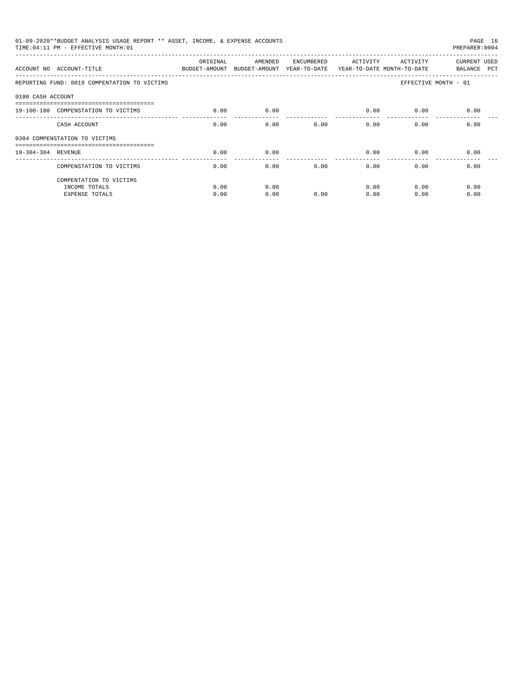| 01-09-2020**BUDGET ANALYSIS USAGE REPORT ** ASSET, INCOME, & EXPENSE ACCOUNTS<br>PAGE 16<br>TIME: 04:11 PM - EFFECTIVE MONTH: 01<br>PREPARER: 0004<br>ORIGINAL<br>AMENDED<br>ACTIVITY<br>CURRENT USED<br>ENCUMBERED<br>ACTIVITY<br>ACCOUNT NO ACCOUNT-TITLE<br>BUDGET-AMOUNT<br>BUDGET-AMOUNT YEAR-TO-DATE YEAR-TO-DATE MONTH-TO-DATE<br>BALANCE PCT<br>REPORTING FUND: 0019 COMPENTATION TO VICTIMS<br>EFFECTIVE MONTH - 01<br>0100 CASH ACCOUNT<br>19-100-100 COMPENSTATION TO VICTIMS<br>0.00<br>0.00<br>0.00<br>0.00<br>0.00<br>0.00<br>0.00<br>0.00<br>0.00<br>0.00<br>0.00<br>CASH ACCOUNT<br>0304 COMPENSTATION TO VICTIMS<br>0.00<br>0.00<br>0.00<br>0.00<br>19-304-304 REVENUE<br>0.00<br>__________________________________<br>0.00<br>0.00<br>0.00<br>0.00<br>0.00<br>0.00<br>COMPENSTATION TO VICTIMS<br>COMPENTATION TO VICTIMS |      |      |      |      |      |      |
|----------------------------------------------------------------------------------------------------------------------------------------------------------------------------------------------------------------------------------------------------------------------------------------------------------------------------------------------------------------------------------------------------------------------------------------------------------------------------------------------------------------------------------------------------------------------------------------------------------------------------------------------------------------------------------------------------------------------------------------------------------------------------------------------------------------------------------------------|------|------|------|------|------|------|
|                                                                                                                                                                                                                                                                                                                                                                                                                                                                                                                                                                                                                                                                                                                                                                                                                                              |      |      |      |      |      |      |
|                                                                                                                                                                                                                                                                                                                                                                                                                                                                                                                                                                                                                                                                                                                                                                                                                                              |      |      |      |      |      |      |
|                                                                                                                                                                                                                                                                                                                                                                                                                                                                                                                                                                                                                                                                                                                                                                                                                                              |      |      |      |      |      |      |
|                                                                                                                                                                                                                                                                                                                                                                                                                                                                                                                                                                                                                                                                                                                                                                                                                                              |      |      |      |      |      |      |
|                                                                                                                                                                                                                                                                                                                                                                                                                                                                                                                                                                                                                                                                                                                                                                                                                                              |      |      |      |      |      |      |
|                                                                                                                                                                                                                                                                                                                                                                                                                                                                                                                                                                                                                                                                                                                                                                                                                                              |      |      |      |      |      |      |
|                                                                                                                                                                                                                                                                                                                                                                                                                                                                                                                                                                                                                                                                                                                                                                                                                                              |      |      |      |      |      |      |
|                                                                                                                                                                                                                                                                                                                                                                                                                                                                                                                                                                                                                                                                                                                                                                                                                                              |      |      |      |      |      |      |
|                                                                                                                                                                                                                                                                                                                                                                                                                                                                                                                                                                                                                                                                                                                                                                                                                                              |      |      |      |      |      |      |
| INCOME TOTALS                                                                                                                                                                                                                                                                                                                                                                                                                                                                                                                                                                                                                                                                                                                                                                                                                                | 0.00 | 0.00 |      | 0.00 | 0.00 | 0.00 |
| <b>EXPENSE TOTALS</b>                                                                                                                                                                                                                                                                                                                                                                                                                                                                                                                                                                                                                                                                                                                                                                                                                        | 0.00 | 0.00 | 0.00 | 0.00 | 0.00 | 0.00 |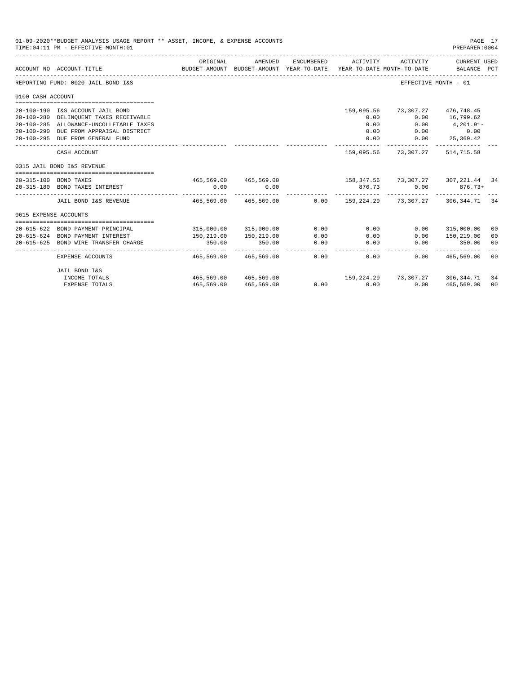|                       | 01-09-2020**BUDGET ANALYSIS USAGE REPORT ** ASSET, INCOME, & EXPENSE ACCOUNTS<br>TIME: 04:11 PM - EFFECTIVE MONTH: 01                                                                               |                                                                             |                                                                  |                    |                                            |                                          | PAGE 17<br>PREPARER: 0004                                          |    |
|-----------------------|-----------------------------------------------------------------------------------------------------------------------------------------------------------------------------------------------------|-----------------------------------------------------------------------------|------------------------------------------------------------------|--------------------|--------------------------------------------|------------------------------------------|--------------------------------------------------------------------|----|
|                       | ACCOUNT NO ACCOUNT-TITLE                                                                                                                                                                            | ORIGINAL                                                                    | AMENDED<br>BUDGET-AMOUNT BUDGET-AMOUNT YEAR-TO-DATE              | ENCUMBERED         | ACTIVITY                                   | ACTIVITY<br>YEAR-TO-DATE MONTH-TO-DATE   | CURRENT USED<br>BALANCE PCT                                        |    |
|                       | REPORTING FUND: 0020 JAIL BOND I&S                                                                                                                                                                  |                                                                             |                                                                  |                    |                                            |                                          | EFFECTIVE MONTH - 01                                               |    |
| 0100 CASH ACCOUNT     |                                                                                                                                                                                                     |                                                                             |                                                                  |                    |                                            |                                          |                                                                    |    |
|                       | 20-100-190 I&S ACCOUNT JAIL BOND<br>20-100-280 DELINQUENT TAXES RECEIVABLE<br>20-100-285 ALLOWANCE-UNCOLLETABLE TAXES<br>20-100-290 DUE FROM APPRAISAL DISTRICT<br>20-100-295 DUE FROM GENERAL FUND |                                                                             |                                                                  |                    | 159,095.56<br>0.00<br>0.00<br>0.00<br>0.00 | 0.00<br>0.00<br>$0.00$ 0.00              | 73,307.27 476,748.45<br>16,799.62<br>4,201.91-<br>$0.00$ 25,369.42 |    |
|                       | CASH ACCOUNT                                                                                                                                                                                        |                                                                             |                                                                  |                    | -----------                                | 159,095.56 73,307.27 514,715.58          | ------------                                                       |    |
|                       | 0315 JAIL BOND I&S REVENUE                                                                                                                                                                          |                                                                             |                                                                  |                    |                                            |                                          |                                                                    |    |
| 20-315-100 BOND TAXES | 20-315-180 BOND TAXES INTEREST                                                                                                                                                                      | 0.00                                                                        | 465,569.00 465,569.00 158,347.56 73,307.27 307,221.44 34<br>0.00 |                    | 876.73<br>------------                     | 0.00                                     | $876.73+$                                                          |    |
|                       | JAIL BOND I&S REVENUE                                                                                                                                                                               | 465,569.00   465,569.00      0.00   159,224.29   73,307.27   306,344.71  34 |                                                                  |                    |                                            |                                          |                                                                    |    |
| 0615 EXPENSE ACCOUNTS |                                                                                                                                                                                                     |                                                                             |                                                                  |                    |                                            |                                          |                                                                    |    |
|                       | 20-615-622 BOND PAYMENT PRINCIPAL                                                                                                                                                                   |                                                                             | 315,000.00 315,000.00                                            | 0.00               | 0.00                                       | 0.00                                     | 315,000.00                                                         | 00 |
|                       | 20-615-624 BOND PAYMENT INTEREST                                                                                                                                                                    | 150,219.00                                                                  | 150,219.00                                                       | 0.00               | 0.00                                       | 0.00                                     | 150,219.00                                                         | 00 |
| $20 - 615 - 625$      | BOND WIRE TRANSFER CHARGE                                                                                                                                                                           | 350.00                                                                      | 350.00                                                           | 0.00               | 0.00                                       | 0.00                                     | 350.00                                                             | 00 |
|                       | EXPENSE ACCOUNTS                                                                                                                                                                                    | -------------<br>465,569.00                                                 | 465,569.00                                                       | ----------<br>0.00 | 0.00                                       | 0.00                                     | 465,569.00                                                         | 00 |
|                       | JAIL BOND I&S                                                                                                                                                                                       |                                                                             |                                                                  |                    |                                            |                                          |                                                                    |    |
|                       | INCOME TOTALS                                                                                                                                                                                       | 465,569.00 465,569.00                                                       |                                                                  |                    |                                            | 159, 224. 29 73, 307. 27 306, 344. 71 34 |                                                                    |    |
|                       | <b>EXPENSE TOTALS</b>                                                                                                                                                                               |                                                                             | 465,569.00 465,569.00                                            |                    | $0.00$ 0.00                                |                                          | $0.00$ 465,569,00                                                  | 00 |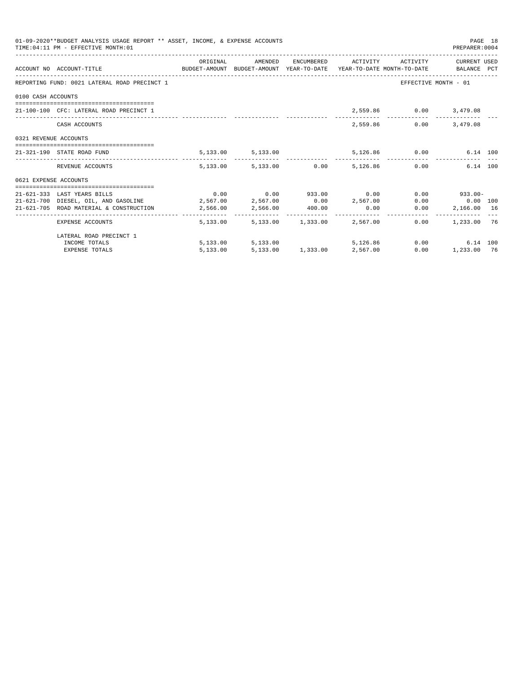|                       | 01-09-2020**BUDGET ANALYSIS USAGE REPORT ** ASSET, INCOME, & EXPENSE ACCOUNTS<br>TIME: 04:11 PM - EFFECTIVE MONTH: 01 |          |                                                           |          |               | PREPARER:0004          | PAGE 18 |
|-----------------------|-----------------------------------------------------------------------------------------------------------------------|----------|-----------------------------------------------------------|----------|---------------|------------------------|---------|
|                       | ACCOUNT NO ACCOUNT-TITLE CONTROL BUDGET-AMOUNT BUDGET-AMOUNT YEAR-TO-DATE YEAR-TO-DATE MONTH-TO-DATE BALANCE PCT      |          | ORIGINAL AMENDED ENCUMBERED ACTIVITY ACTIVITY CURRENTUSED |          |               |                        |         |
|                       | REPORTING FUND: 0021 LATERAL ROAD PRECINCT 1                                                                          |          |                                                           |          |               | EFFECTIVE MONTH - 01   |         |
| 0100 CASH ACCOUNTS    |                                                                                                                       |          |                                                           |          |               |                        |         |
|                       | 21-100-100 CFC: LATERAL ROAD PRECINCT 1                                                                               |          |                                                           |          |               | 2,559.86 0.00 3,479.08 |         |
|                       | CASH ACCOUNTS                                                                                                         |          |                                                           |          | 2,559.86 0.00 | 3,479.08               |         |
| 0321 REVENUE ACCOUNTS |                                                                                                                       |          |                                                           |          |               |                        |         |
|                       | 21-321-190 STATE ROAD FUND                                                                                            |          | 5,133.00 5,133.00 5,126.86 0.00 6.14 100                  |          |               |                        |         |
|                       | REVENUE ACCOUNTS                                                                                                      |          | 5,133.00 5,133.00 0.00 5,126.86 0.00                      |          |               | 6.14 100               |         |
| 0621 EXPENSE ACCOUNTS |                                                                                                                       |          |                                                           |          |               |                        |         |
|                       |                                                                                                                       |          |                                                           |          |               |                        |         |
|                       | 21-621-333 LAST YEARS BILLS                                                                                           |          | $0.00$ $0.00$ $933.00$ $0.00$                             |          |               | $0.00$ 933.00-         |         |
|                       | $21-621-700$ DIESEL, OIL, AND GASOLINE $2,567.00$ $2,567.00$ $0.00$ $2,567.00$                                        |          |                                                           |          |               | $0.00$ $0.00$ $100$    |         |
|                       | 21-621-705 ROAD MATERIAL & CONSTRUCTION 2,566.00 2,566.00 400.00                                                      |          |                                                           | 0.00     | 0.00          | 2,166.00 16            |         |
|                       | EXPENSE ACCOUNTS                                                                                                      |          | 5,133.00 5,133.00 1,333.00 2,567.00                       |          | 0.00          | 1,233.00 76            |         |
|                       | LATERAL ROAD PRECINCT 1                                                                                               |          |                                                           |          |               |                        |         |
|                       | INCOME TOTALS                                                                                                         |          | 5,133.00 5,133.00                                         | 5,126,86 |               | 0.00<br>6.14 100       |         |
|                       | <b>EXPENSE TOTALS</b>                                                                                                 | 5,133.00 | 5,133.00 1,333.00 2,567.00                                |          |               | 0.00<br>1,233.00 76    |         |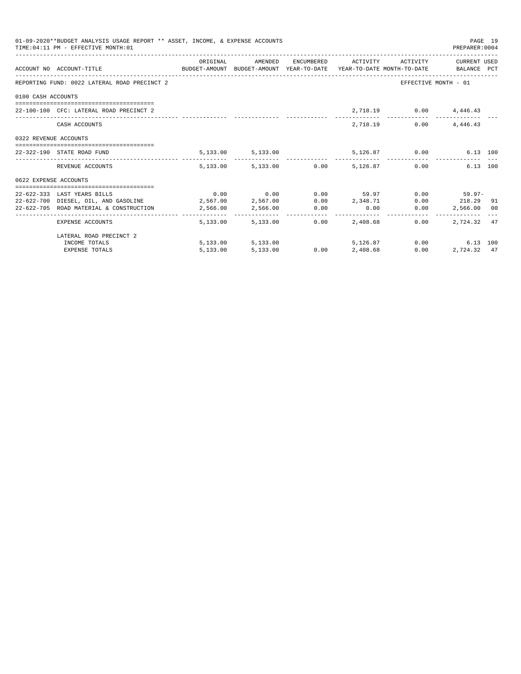|                       | 01-09-2020**BUDGET ANALYSIS USAGE REPORT ** ASSET, INCOME, & EXPENSE ACCOUNTS<br>TIME: 04:11 PM - EFFECTIVE MONTH: 01 |          |                   |      |                                                            |               | PREPARER: 0004         | PAGE 19 |
|-----------------------|-----------------------------------------------------------------------------------------------------------------------|----------|-------------------|------|------------------------------------------------------------|---------------|------------------------|---------|
|                       | ACCOUNT NO ACCOUNT-TITLE CONTROL BUDGET-AMOUNT BUDGET-AMOUNT YEAR-TO-DATE YEAR-TO-DATE MONTH-TO-DATE BALANCE PCT      |          |                   |      | ORIGINAL AMENDED ENCUMBERED ACTIVITY ACTIVITY CURRENTUSED  |               |                        |         |
|                       | REPORTING FUND: 0022 LATERAL ROAD PRECINCT 2                                                                          |          |                   |      |                                                            |               | EFFECTIVE MONTH - 01   |         |
| 0100 CASH ACCOUNTS    |                                                                                                                       |          |                   |      |                                                            |               |                        |         |
|                       | 22-100-100 CFC: LATERAL ROAD PRECINCT 2                                                                               |          |                   |      |                                                            |               | 2,718.19 0.00 4,446.43 |         |
|                       | CASH ACCOUNTS                                                                                                         |          |                   |      |                                                            | 2,718.19 0.00 | 4,446.43               |         |
| 0322 REVENUE ACCOUNTS |                                                                                                                       |          |                   |      |                                                            |               |                        |         |
|                       | 22-322-190 STATE ROAD FUND                                                                                            |          |                   |      | 5,133.00 5,133.00 5,126.87 0.00 6.13 100                   |               |                        |         |
|                       | REVENUE ACCOUNTS                                                                                                      |          |                   |      | $5.133.00$ $5.133.00$ $0.00$ $5.126.87$ $0.00$             |               | 6.13 100               |         |
| 0622 EXPENSE ACCOUNTS |                                                                                                                       |          |                   |      |                                                            |               |                        |         |
|                       |                                                                                                                       |          |                   |      |                                                            |               |                        |         |
|                       | 22-622-333 LAST YEARS BILLS                                                                                           |          |                   |      | $0.00$ $0.00$ $0.00$ $59.97$ $0.00$ $59.97$ $0.00$ $59.97$ |               |                        |         |
|                       | 22-622-700 DIESEL, OIL, AND GASOLINE $2,567.00$ $2,567.00$ $0.00$ $2,348.71$ $0.00$ $218.29$ 91                       |          |                   |      |                                                            |               |                        |         |
|                       | $22-622-705$ ROAD MATERIAL & CONSTRUCTION $2,566.00$ $2,566.00$ $0.00$ $0.00$ $0.00$ $0.00$                           |          |                   |      |                                                            |               | 2,566.00 00            |         |
|                       | EXPENSE ACCOUNTS                                                                                                      |          | 5,133,00 5,133,00 | 0.00 | 2,408.68                                                   | 0.00          | 2.724.32 47            |         |
|                       | LATERAL ROAD PRECINCT 2                                                                                               |          |                   |      |                                                            |               |                        |         |
|                       | INCOME TOTALS                                                                                                         |          |                   |      | 5,133.00 5,133.00 5,126.87                                 |               | 0.00<br>6.13 100       |         |
|                       | <b>EXPENSE TOTALS</b>                                                                                                 | 5,133.00 | 5,133.00          |      | $0.00$ $2,408.68$                                          | 0.00          | 2,724.32 47            |         |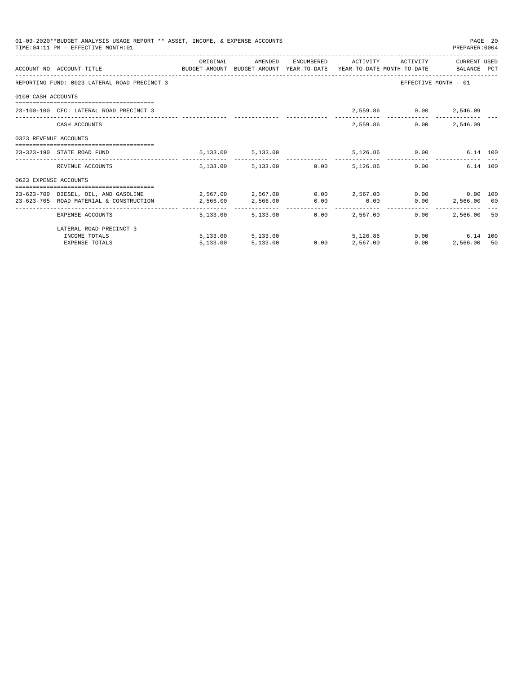|                       | 01-09-2020**BUDGET ANALYSIS USAGE REPORT ** ASSET, INCOME, & EXPENSE ACCOUNTS<br>TIME: 04:11 PM - EFFECTIVE MONTH: 01 |            |                        |      |                                 |                              | PREPARER: 0004       | PAGE 20 |
|-----------------------|-----------------------------------------------------------------------------------------------------------------------|------------|------------------------|------|---------------------------------|------------------------------|----------------------|---------|
|                       |                                                                                                                       | ORIGINAL   | AMENDED                |      |                                 | ENCUMBERED ACTIVITY ACTIVITY | CURRENT USED         |         |
|                       | ACCOUNT NO ACCOUNT-TITLE CONTROL SUDGET-AMOUNT BUDGET-AMOUNT YEAR-TO-DATE YEAR-TO-DATE MONTH-TO-DATE BALANCE PCT      |            |                        |      |                                 |                              |                      |         |
|                       | REPORTING FUND: 0023 LATERAL ROAD PRECINCT 3                                                                          |            |                        |      |                                 |                              | EFFECTIVE MONTH - 01 |         |
| 0100 CASH ACCOUNTS    |                                                                                                                       |            |                        |      |                                 |                              |                      |         |
|                       | 23-100-100 CFC: LATERAL ROAD PRECINCT 3                                                                               |            |                        |      |                                 | 2,559.86 0.00 2,546.09       |                      |         |
|                       | CASH ACCOUNTS                                                                                                         |            |                        |      |                                 | 2,559.86                     | $0.00$ 2,546.09      |         |
| 0323 REVENUE ACCOUNTS |                                                                                                                       |            |                        |      |                                 |                              |                      |         |
|                       | 23-323-190 STATE ROAD FUND                                                                                            |            | 5, 133.00 5, 133.00    |      |                                 | 5,126.86 0.00                | 6.14 100             |         |
|                       | REVENUE ACCOUNTS                                                                                                      |            | 5,133.00 5,133.00 0.00 |      | 5,126.86                        |                              | 6.14 100<br>0.00     |         |
| 0623 EXPENSE ACCOUNTS |                                                                                                                       |            |                        |      |                                 |                              |                      |         |
|                       | 23-623-700 DIESEL, OIL, AND GASOLINE $2,567.00$ $2,567.00$ $0.00$ $2,567.00$ $0.00$ $0.00$ $0.00$ $0.00$              |            |                        |      |                                 |                              |                      |         |
|                       | 23-623-705 ROAD MATERIAL & CONSTRUCTION 2,566.00                                                                      |            | 2,566.00 0.00          |      | 0.00                            |                              | $0.00$ 2,566.00 00   |         |
|                       | EXPENSE ACCOUNTS                                                                                                      | -------- - | 5,133,00 5,133,00      |      | ------------<br>$0.00$ 2.567.00 | 0.00                         | 2,566,00 50          |         |
|                       | LATERAL ROAD PRECINCT 3                                                                                               |            |                        |      |                                 |                              |                      |         |
|                       | INCOME TOTALS                                                                                                         |            | 5,133.00 5,133.00      |      | 5,126,86                        |                              | 0.00<br>6.14 100     |         |
|                       | <b>EXPENSE TOTALS</b>                                                                                                 | 5.133.00   | 5,133.00               | 0.00 | 2,567.00                        | 0.00                         | 2,566.00 50          |         |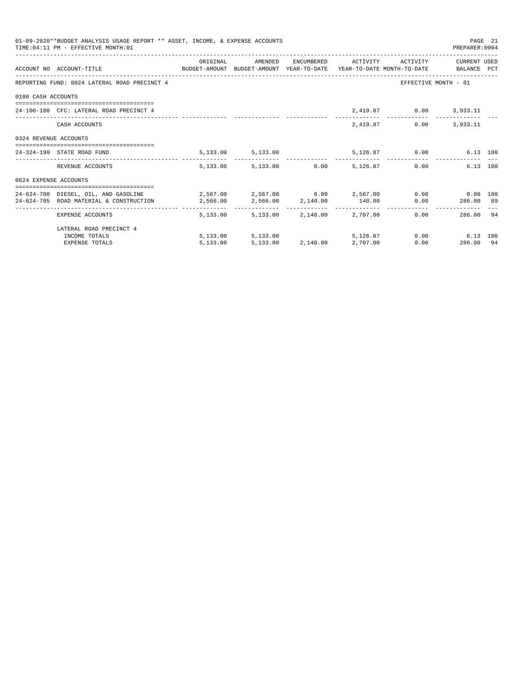|                       | 01-09-2020**BUDGET ANALYSIS USAGE REPORT ** ASSET, INCOME, & EXPENSE ACCOUNTS<br>TIME: 04:11 PM - EFFECTIVE MONTH: 01 |          |                                     |                                  |          |                              | PREPARER: 0004                | PAGE 21 |
|-----------------------|-----------------------------------------------------------------------------------------------------------------------|----------|-------------------------------------|----------------------------------|----------|------------------------------|-------------------------------|---------|
|                       |                                                                                                                       | ORIGINAL | AMENDED                             |                                  |          | ENCUMBERED ACTIVITY ACTIVITY | CURRENT USED                  |         |
|                       | ACCOUNT NO ACCOUNT-TITLE CONTROL SUDGET-AMOUNT BUDGET-AMOUNT YEAR-TO-DATE YEAR-TO-DATE MONTH-TO-DATE BALANCE PCT      |          |                                     |                                  |          |                              |                               |         |
|                       | REPORTING FUND: 0024 LATERAL ROAD PRECINCT 4                                                                          |          |                                     |                                  |          |                              | EFFECTIVE MONTH - 01          |         |
| 0100 CASH ACCOUNTS    |                                                                                                                       |          |                                     |                                  |          |                              |                               |         |
|                       | 24-100-100 CFC: LATERAL ROAD PRECINCT 4                                                                               |          |                                     |                                  |          | 2,419.87 0.00 3,933.11       |                               |         |
|                       | CASH ACCOUNTS                                                                                                         |          |                                     |                                  | 2,419.87 | 0.00                         | 3,933.11                      |         |
| 0324 REVENUE ACCOUNTS |                                                                                                                       |          |                                     |                                  |          |                              |                               |         |
|                       | 24-324-190 STATE ROAD FUND                                                                                            |          | 5, 133.00 5, 133.00                 |                                  |          | 5,126.87 0.00                | 6.13 100                      |         |
|                       | REVENUE ACCOUNTS                                                                                                      |          | 5,133.00 5,133.00 0.00 5,126.87     |                                  |          |                              | 6.13 100<br>0.00              |         |
| 0624 EXPENSE ACCOUNTS |                                                                                                                       |          |                                     |                                  |          |                              |                               |         |
|                       | 24-624-700 DIESEL, OIL, AND GASOLINE $2,567.00$ $2,567.00$ $0.00$ $2,567.00$ $0.00$ $0.00$ $0.00$ $0.00$              |          |                                     |                                  |          |                              |                               |         |
|                       | 24-624-705 ROAD MATERIAL & CONSTRUCTION<br>2,566.00<br>2,566.00<br>2,140.00<br>140.00                                 |          |                                     |                                  |          |                              | $0.00$ 286.00 89              |         |
|                       | EXPENSE ACCOUNTS                                                                                                      |          | 5,133.00 5,133.00 2,140.00 2,707.00 |                                  |          |                              | 286.00 94<br>0.00             |         |
|                       | LATERAL ROAD PRECINCT 4                                                                                               |          |                                     |                                  |          |                              |                               |         |
|                       | INCOME TOTALS                                                                                                         |          | 5,133.00 5,133.00                   |                                  | 5,126,87 |                              | $0.00$ and $0.00$<br>6.13 100 |         |
|                       | <b>EXPENSE TOTALS</b>                                                                                                 | 5.133.00 |                                     | $5.133.00$ $2.140.00$ $2.707.00$ |          |                              | 0.00<br>286.00 94             |         |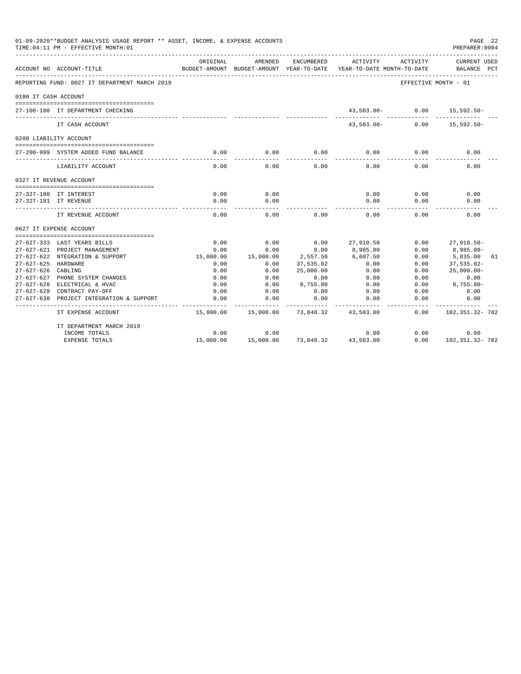|                      | 01-09-2020**BUDGET ANALYSIS USAGE REPORT ** ASSET, INCOME, & EXPENSE ACCOUNTS<br>TIME: 04:11 PM - EFFECTIVE MONTH: 01 |                   |                                                     |                       |                                        |                      | PAGE 22<br>PREPARER: 0004          |    |
|----------------------|-----------------------------------------------------------------------------------------------------------------------|-------------------|-----------------------------------------------------|-----------------------|----------------------------------------|----------------------|------------------------------------|----|
|                      | ACCOUNT NO ACCOUNT-TITLE                                                                                              | ORIGINAL          | AMENDED<br>BUDGET-AMOUNT BUDGET-AMOUNT YEAR-TO-DATE | ENCUMBERED            | ACTIVITY<br>YEAR-TO-DATE MONTH-TO-DATE | ACTIVITY             | <b>CURRENT USED</b><br>BALANCE PCT |    |
|                      | REPORTING FUND: 0027 IT DEPARTMENT MARCH 2019                                                                         |                   |                                                     |                       |                                        | EFFECTIVE MONTH - 01 |                                    |    |
| 0100 IT CASH ACCOUNT |                                                                                                                       |                   |                                                     |                       |                                        |                      |                                    |    |
|                      | 27-100-100 IT DEPARTMENT CHECKING                                                                                     |                   |                                                     |                       | $43,503.00 -$                          | 0.00                 | 15,592.50-                         |    |
|                      | IT CASH ACCOUNT                                                                                                       |                   |                                                     |                       | $43,503.00 -$                          | 0.00                 | $15,592.50 -$                      |    |
|                      | 0200 LIABILITY ACCOUNT                                                                                                |                   |                                                     |                       |                                        |                      |                                    |    |
|                      | 27-200-999 SYSTEM ADDED FUND BALANCE                                                                                  | 0.00              | 0.00                                                | 0.00                  | 0.00<br>$- - - - -$                    | 0.00                 | 0.00                               |    |
|                      | LIABILITY ACCOUNT                                                                                                     | 0.00              | -----<br>0.00                                       | 0.00                  | 0.00                                   | 0.00                 | 0.00                               |    |
|                      | 0327 IT REVENUE ACCOUNT<br>====================================                                                       |                   |                                                     |                       |                                        |                      |                                    |    |
|                      | 27-327-180 IT INTEREST                                                                                                | 0.00              | 0.00                                                |                       | 0.00                                   | 0.00                 | 0.00                               |    |
|                      | 27-327-181 IT REVENUE                                                                                                 | 0.00<br>$- - - -$ | 0.00<br>$- - - -$                                   |                       | 0.00<br>$- - - - -$                    | 0.00                 | 0.00                               |    |
|                      | IT REVENUE ACCOUNT                                                                                                    | 0.00              | 0.00                                                | 0.00                  | 0.00                                   | 0.00                 | 0.00                               |    |
|                      | 0627 IT EXPENSE ACCOUNT                                                                                               |                   |                                                     |                       |                                        |                      |                                    |    |
|                      |                                                                                                                       |                   |                                                     |                       |                                        |                      |                                    |    |
|                      | 27-627-333 LAST YEARS BILLS                                                                                           | 0.00              | 0.00                                                | 0.00                  | 27,910.50                              | 0.00                 | $27,910.50 -$                      |    |
|                      | 27-627-621 PROJECT MANAGEMENT                                                                                         | 0.00              | 0.00                                                | 0.00                  | 8,985.00                               | 0.00                 | $8,985.00 -$                       |    |
| 27-627-625 HARDWARE  | 27-627-622 NTEGRATION & SUPPORT                                                                                       | 15,000.00<br>0.00 | 15,000.00<br>0.00                                   | 2,557.50<br>37,535.02 | 6,607.50<br>0.00                       | 0.00<br>0.00         | 5,835.00<br>$37,535.02 -$          | 61 |
| 27-627-626 CABLING   |                                                                                                                       | 0.00              | 0.00                                                | 25,000.00             | 0.00                                   | 0.00                 | $25,000.00 -$                      |    |
|                      | 27-627-627 PHONE SYSTEM CHANGES                                                                                       | 0.00              | 0.00                                                | 0.00                  | 0.00                                   | 0.00                 | 0.00                               |    |
|                      | 27-627-628 ELECTRICAL & HVAC                                                                                          | 0.00              | 0.00                                                | 8,755.80              | 0.00                                   | 0.00                 | $8,755.80-$                        |    |
|                      | 27-627-629 CONTRACT PAY-OFF                                                                                           | 0.00              | 0.00                                                | 0.00                  | 0.00                                   | 0.00                 | 0.00                               |    |
| $27 - 627 - 630$     | PROJECT INTEGRATION & SUPPORT                                                                                         | 0.00              | 0.00                                                | 0.00                  | 0.00                                   | 0.00                 | 0.00                               |    |
|                      |                                                                                                                       |                   |                                                     |                       |                                        |                      | ----------                         |    |
|                      | IT EXPENSE ACCOUNT                                                                                                    | 15,000.00         | 15,000.00                                           | 73,848.32             | 43,503.00                              | 0.00                 | 102, 351. 32- 782                  |    |
|                      | IT DEPARTMENT MARCH 2019                                                                                              |                   |                                                     |                       |                                        |                      |                                    |    |
|                      | INCOME TOTALS                                                                                                         | 0.00              | 0.00                                                |                       | 0.00                                   | 0.00                 | 0.00                               |    |
|                      | <b>EXPENSE TOTALS</b>                                                                                                 | 15,000.00         | 15,000.00                                           | 73,848.32             | 43,503.00                              | 0.00                 | 102, 351, 32-782                   |    |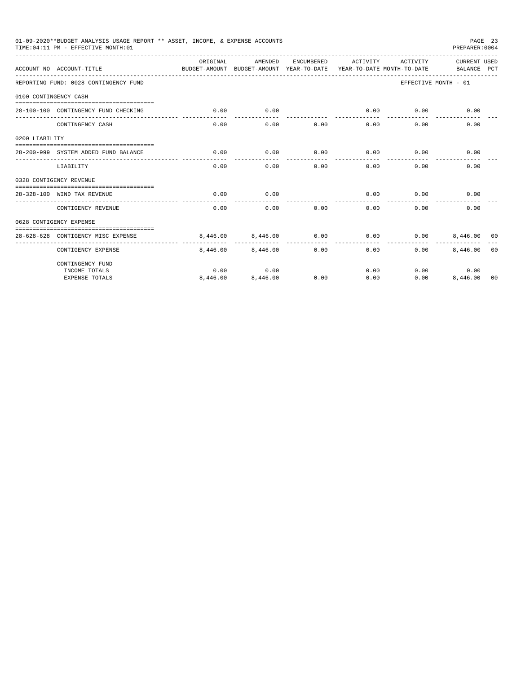|                       | 01-09-2020**BUDGET ANALYSIS USAGE REPORT ** ASSET, INCOME, & EXPENSE ACCOUNTS<br>TIME: 04:11 PM - EFFECTIVE MONTH: 01 |           |                         |              |           |                   | PAGE 23<br>PREPARER: 0004   |                |
|-----------------------|-----------------------------------------------------------------------------------------------------------------------|-----------|-------------------------|--------------|-----------|-------------------|-----------------------------|----------------|
|                       | ACCOUNT NO ACCOUNT-TITLE<br>BUDGET-AMOUNT BUDGET-AMOUNT YEAR-TO-DATE YEAR-TO-DATE MONTH-TO-DATE                       | OR TGTNAL | AMENDED                 | ENCUMBERED   |           | ACTIVITY ACTIVITY | CURRENT USED<br>BALANCE PCT |                |
|                       | REPORTING FUND: 0028 CONTINGENCY FUND                                                                                 |           |                         |              |           |                   | EFFECTIVE MONTH - 01        |                |
| 0100 CONTINGENCY CASH |                                                                                                                       |           |                         |              |           |                   |                             |                |
|                       |                                                                                                                       |           |                         |              |           |                   |                             |                |
|                       | 28-100-100 CONTINGENCY FUND CHECKING                                                                                  | 0.00      | 0.00<br>$- - - - - - -$ | ---------- - | 0.00<br>. | 0.00              | 0.00                        |                |
|                       | CONTINGENCY CASH                                                                                                      | 0.00      | 0.00                    | 0.00         | 0.00      | 0.00              | 0.00                        |                |
| 0200 LIABILITY        |                                                                                                                       |           |                         |              |           |                   |                             |                |
|                       |                                                                                                                       |           |                         |              |           |                   |                             |                |
|                       | 28-200-999 SYSTEM ADDED FUND BALANCE                                                                                  | 0.00      | 0.00                    | 0.00         | 0.00      | 0.00              | 0.00                        |                |
|                       | LIABILITY                                                                                                             | 0.00      | 0.00                    | 0.00         | 0.00      | 0.00              | 0.00                        |                |
|                       | 0328 CONTIGENCY REVENUE                                                                                               |           |                         |              |           |                   |                             |                |
|                       |                                                                                                                       |           |                         |              |           |                   |                             |                |
|                       | 28-328-100 WIND TAX REVENUE                                                                                           | 0.00      | 0.00                    |              | 0.00      | 0.00              | 0.00                        |                |
|                       | CONTIGENCY REVENUE                                                                                                    | 0.00      | 0.00                    | 0.00         | 0.00      | 0.00              | 0.00                        |                |
|                       | 0628 CONTIGENCY EXPENSE                                                                                               |           |                         |              |           |                   |                             |                |
|                       |                                                                                                                       |           |                         |              |           |                   |                             |                |
|                       | 28-628-628 CONTIGENCY MISC EXPENSE<br>____________________                                                            | 8.446.00  | 8,446.00                | 0.00         | 0.00      | 0.00              | 8,446,00 00                 |                |
|                       | CONTIGENCY EXPENSE                                                                                                    | 8,446.00  | 8,446.00                | 0.00         | 0.00      | 0.00              | 8,446.00                    | 0 <sub>0</sub> |
|                       | CONTINGENCY FUND                                                                                                      |           |                         |              |           |                   |                             |                |
|                       | INCOME TOTALS                                                                                                         | 0.00      | 0.00                    |              | 0.00      |                   | 0.00<br>0.00                |                |
|                       | <b>EXPENSE TOTALS</b>                                                                                                 | 8,446.00  | 8,446.00                | 0.00         | 0.00      | 0.00              | 8,446.00                    | 00             |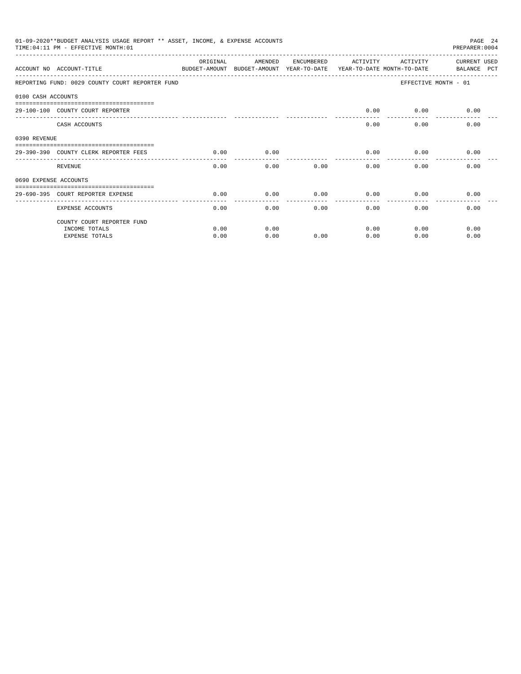|              | 01-09-2020**BUDGET ANALYSIS USAGE REPORT ** ASSET, INCOME, & EXPENSE ACCOUNTS<br>PAGE 24<br>TIME: 04:11 PM - EFFECTIVE MONTH: 01<br>PREPARER: 0004<br>ORIGINAL<br>AMENDED<br>ENCUMBERED<br>ACTIVITY<br><b>CURRENT USED</b><br>ACTIVITY<br>ACCOUNT NO ACCOUNT-TITLE<br>BUDGET-AMOUNT BUDGET-AMOUNT YEAR-TO-DATE YEAR-TO-DATE MONTH-TO-DATE<br>BALANCE PCT<br>REPORTING FUND: 0029 COUNTY COURT REPORTER FUND<br>EFFECTIVE MONTH - 01<br>0100 CASH ACCOUNTS<br>0.00<br>29-100-100 COUNTY COURT REPORTER<br>$0.00$ 0.00<br>CASH ACCOUNTS<br>0.00<br>0.00<br>0.00<br>0.00<br>0.00<br>0.00<br>0.00<br>0.00<br>29-390-390 COUNTY CLERK REPORTER FEES<br>0.00<br>0.00<br>REVENUE<br>0.00<br>0.00<br>0.00<br>0.00<br>0690 EXPENSE ACCOUNTS<br>0.00<br>0.00<br>0.00<br>0.00<br>0.00<br>0.00<br>29-690-395 COURT REPORTER EXPENSE<br>0.00<br>0.00<br>0.00<br>0.00<br>0.00<br>0.00<br><b>EXPENSE ACCOUNTS</b><br>COUNTY COURT REPORTER FUND<br>INCOME TOTALS<br>0.00<br>0.00<br>0.00<br>0.00<br>0.00 |      |      |      |      |      |      |
|--------------|-------------------------------------------------------------------------------------------------------------------------------------------------------------------------------------------------------------------------------------------------------------------------------------------------------------------------------------------------------------------------------------------------------------------------------------------------------------------------------------------------------------------------------------------------------------------------------------------------------------------------------------------------------------------------------------------------------------------------------------------------------------------------------------------------------------------------------------------------------------------------------------------------------------------------------------------------------------------------------------------|------|------|------|------|------|------|
|              |                                                                                                                                                                                                                                                                                                                                                                                                                                                                                                                                                                                                                                                                                                                                                                                                                                                                                                                                                                                           |      |      |      |      |      |      |
|              |                                                                                                                                                                                                                                                                                                                                                                                                                                                                                                                                                                                                                                                                                                                                                                                                                                                                                                                                                                                           |      |      |      |      |      |      |
|              |                                                                                                                                                                                                                                                                                                                                                                                                                                                                                                                                                                                                                                                                                                                                                                                                                                                                                                                                                                                           |      |      |      |      |      |      |
|              |                                                                                                                                                                                                                                                                                                                                                                                                                                                                                                                                                                                                                                                                                                                                                                                                                                                                                                                                                                                           |      |      |      |      |      |      |
|              |                                                                                                                                                                                                                                                                                                                                                                                                                                                                                                                                                                                                                                                                                                                                                                                                                                                                                                                                                                                           |      |      |      |      |      |      |
|              |                                                                                                                                                                                                                                                                                                                                                                                                                                                                                                                                                                                                                                                                                                                                                                                                                                                                                                                                                                                           |      |      |      |      |      |      |
| 0390 REVENUE |                                                                                                                                                                                                                                                                                                                                                                                                                                                                                                                                                                                                                                                                                                                                                                                                                                                                                                                                                                                           |      |      |      |      |      |      |
|              |                                                                                                                                                                                                                                                                                                                                                                                                                                                                                                                                                                                                                                                                                                                                                                                                                                                                                                                                                                                           |      |      |      |      |      |      |
|              |                                                                                                                                                                                                                                                                                                                                                                                                                                                                                                                                                                                                                                                                                                                                                                                                                                                                                                                                                                                           |      |      |      |      |      |      |
|              |                                                                                                                                                                                                                                                                                                                                                                                                                                                                                                                                                                                                                                                                                                                                                                                                                                                                                                                                                                                           |      |      |      |      |      |      |
|              |                                                                                                                                                                                                                                                                                                                                                                                                                                                                                                                                                                                                                                                                                                                                                                                                                                                                                                                                                                                           |      |      |      |      |      |      |
|              |                                                                                                                                                                                                                                                                                                                                                                                                                                                                                                                                                                                                                                                                                                                                                                                                                                                                                                                                                                                           |      |      |      |      |      |      |
|              |                                                                                                                                                                                                                                                                                                                                                                                                                                                                                                                                                                                                                                                                                                                                                                                                                                                                                                                                                                                           |      |      |      |      |      |      |
|              | <b>EXPENSE TOTALS</b>                                                                                                                                                                                                                                                                                                                                                                                                                                                                                                                                                                                                                                                                                                                                                                                                                                                                                                                                                                     | 0.00 | 0.00 | 0.00 | 0.00 | 0.00 | 0.00 |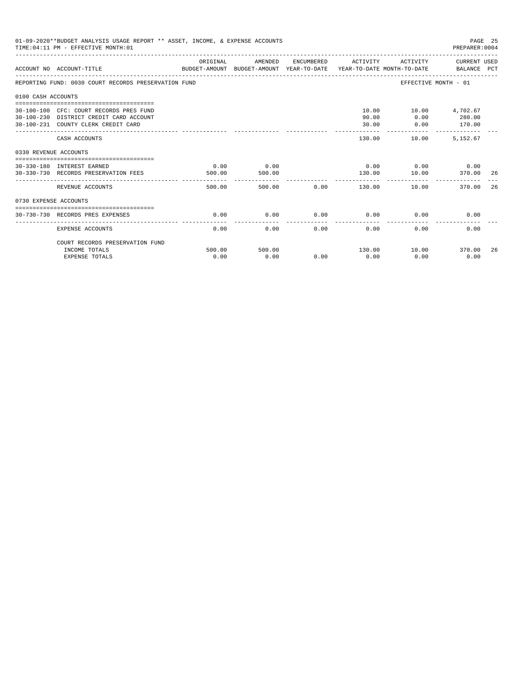|                       | 01-09-2020**BUDGET ANALYSIS USAGE REPORT ** ASSET, INCOME, & EXPENSE ACCOUNTS<br>TIME: 04:11 PM - EFFECTIVE MONTH: 01     |                |                |             |                             |                                                           | PAGE 25<br>PREPARER:0004  |     |
|-----------------------|---------------------------------------------------------------------------------------------------------------------------|----------------|----------------|-------------|-----------------------------|-----------------------------------------------------------|---------------------------|-----|
|                       | ACCOUNT NO ACCOUNT-TITLE<br>BUDGET-AMOUNT BUDGET-AMOUNT YEAR-TO-DATE YEAR-TO-DATE MONTH-TO-DATE BALANCE PCT               | ORIGINAL       | AMENDED        |             | ENCUMBERED ACTIVITY         |                                                           | ACTIVITY CURRENT USED     |     |
|                       | REPORTING FUND: 0030 COURT RECORDS PRESERVATION FUND                                                                      |                |                |             |                             | EFFECTIVE MONTH - 01                                      |                           |     |
| 0100 CASH ACCOUNTS    |                                                                                                                           |                |                |             |                             |                                                           |                           |     |
|                       | 30-100-100 CFC: COURT RECORDS PRES FUND<br>30-100-230 DISTRICT CREDIT CARD ACCOUNT<br>30-100-231 COUNTY CLERK CREDIT CARD |                |                |             | 90.00<br>30.00<br>--------- | 10.00   10.00   4,702.67<br>0.00<br>0.00<br>------------- | 280.00<br>170.00          |     |
|                       | CASH ACCOUNTS                                                                                                             |                |                |             | 130.00                      | 10.00                                                     | -------------<br>5.152.67 |     |
|                       |                                                                                                                           |                |                |             |                             |                                                           |                           |     |
| 0330 REVENUE ACCOUNTS | 30-330-180 INTEREST EARNED<br>30-330-730 RECORDS PRESERVATION FEES                                                        | 0.00<br>500.00 | 0.00<br>500.00 |             | 130.00                      | $0.00$ $0.00$ $0.00$ $0.00$<br>10.00                      | 370.00                    | -26 |
|                       | REVENUE ACCOUNTS                                                                                                          | 500.00         | -------------  | 500.00 0.00 | -------------<br>130.00     | ------------ -------------<br>10.00                       | 370.00                    | 26  |
| 0730 EXPENSE ACCOUNTS |                                                                                                                           |                |                |             |                             |                                                           |                           |     |
|                       | 30-730-730 RECORDS PRES EXPENSES                                                                                          | 0.00           | 0.00           | 0.00        | 0.00                        | 0.00                                                      | 0.00                      |     |
|                       | <b>EXPENSE ACCOUNTS</b>                                                                                                   | 0.00           | 0.00           | 0.00        | 0.00                        | 0.00                                                      | 0.00                      |     |
|                       | COURT RECORDS PRESERVATION FUND<br>INCOME TOTALS                                                                          | 500.00         | 500.00         |             | 130.00                      | 10.00 370.00                                              |                           | 26  |
|                       | <b>EXPENSE TOTALS</b>                                                                                                     | 0.00           | 0.00           | 0.00        | 0.00                        | 0.00                                                      | 0.00                      |     |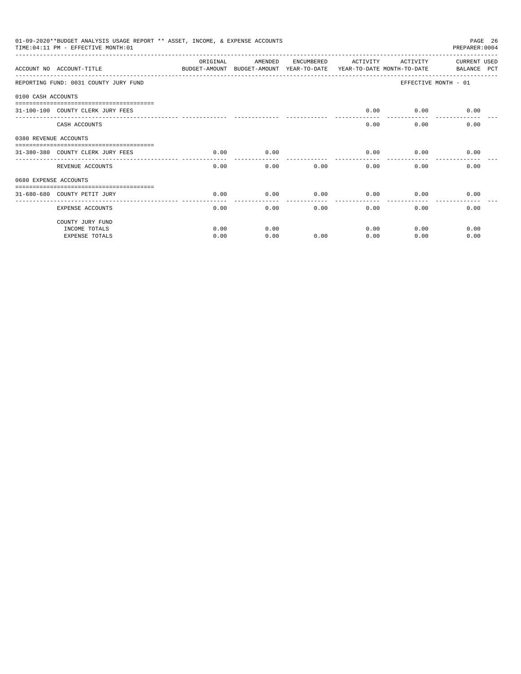| 01-09-2020**BUDGET ANALYSIS USAGE REPORT ** ASSET, INCOME, & EXPENSE ACCOUNTS<br>PAGE 26<br>PREPARER: 0004<br>TIME: 04:11 PM - EFFECTIVE MONTH: 01<br>OR TGTNAL<br>AMENDED<br>ENCUMBERED<br>ACTIVITY<br>ACTIVITY<br><b>CURRENT USED</b><br>ACCOUNT NO ACCOUNT-TITLE<br>BUDGET-AMOUNT<br>BUDGET-AMOUNT YEAR-TO-DATE<br>YEAR-TO-DATE MONTH-TO-DATE<br>BALANCE PCT<br>REPORTING FUND: 0031 COUNTY JURY FUND<br>EFFECTIVE MONTH - 01<br>0100 CASH ACCOUNTS<br>0.00<br>$0.00$ 0.00<br>31-100-100 COUNTY CLERK JURY FEES<br>----------------- --------------<br>0.00<br>0.00<br>0.00<br>CASH ACCOUNTS<br>0380 REVENUE ACCOUNTS<br>0.00<br>0.00<br>0.00<br>0.00<br>0.00<br>31-380-380 COUNTY CLERK JURY FEES<br>0.00<br>0.00<br>0.00<br>0.00<br>0.00<br>REVENUE ACCOUNTS<br>0.00<br>0680 EXPENSE ACCOUNTS<br>0.00<br>0.00<br>0.00<br>0.00<br>0.00<br>31-680-680 COUNTY PETIT JURY<br>0.00<br>0.00<br>0.00<br>0.00<br>$0.00 -$<br>0.00<br>0.00<br>EXPENSE ACCOUNTS<br>COUNTY JURY FUND |      |      |      |      |      |      |
|--------------------------------------------------------------------------------------------------------------------------------------------------------------------------------------------------------------------------------------------------------------------------------------------------------------------------------------------------------------------------------------------------------------------------------------------------------------------------------------------------------------------------------------------------------------------------------------------------------------------------------------------------------------------------------------------------------------------------------------------------------------------------------------------------------------------------------------------------------------------------------------------------------------------------------------------------------------------------------|------|------|------|------|------|------|
|                                                                                                                                                                                                                                                                                                                                                                                                                                                                                                                                                                                                                                                                                                                                                                                                                                                                                                                                                                                |      |      |      |      |      |      |
|                                                                                                                                                                                                                                                                                                                                                                                                                                                                                                                                                                                                                                                                                                                                                                                                                                                                                                                                                                                |      |      |      |      |      |      |
|                                                                                                                                                                                                                                                                                                                                                                                                                                                                                                                                                                                                                                                                                                                                                                                                                                                                                                                                                                                |      |      |      |      |      |      |
|                                                                                                                                                                                                                                                                                                                                                                                                                                                                                                                                                                                                                                                                                                                                                                                                                                                                                                                                                                                |      |      |      |      |      |      |
|                                                                                                                                                                                                                                                                                                                                                                                                                                                                                                                                                                                                                                                                                                                                                                                                                                                                                                                                                                                |      |      |      |      |      |      |
|                                                                                                                                                                                                                                                                                                                                                                                                                                                                                                                                                                                                                                                                                                                                                                                                                                                                                                                                                                                |      |      |      |      |      |      |
|                                                                                                                                                                                                                                                                                                                                                                                                                                                                                                                                                                                                                                                                                                                                                                                                                                                                                                                                                                                |      |      |      |      |      |      |
|                                                                                                                                                                                                                                                                                                                                                                                                                                                                                                                                                                                                                                                                                                                                                                                                                                                                                                                                                                                |      |      |      |      |      |      |
|                                                                                                                                                                                                                                                                                                                                                                                                                                                                                                                                                                                                                                                                                                                                                                                                                                                                                                                                                                                |      |      |      |      |      |      |
|                                                                                                                                                                                                                                                                                                                                                                                                                                                                                                                                                                                                                                                                                                                                                                                                                                                                                                                                                                                |      |      |      |      |      |      |
|                                                                                                                                                                                                                                                                                                                                                                                                                                                                                                                                                                                                                                                                                                                                                                                                                                                                                                                                                                                |      |      |      |      |      |      |
|                                                                                                                                                                                                                                                                                                                                                                                                                                                                                                                                                                                                                                                                                                                                                                                                                                                                                                                                                                                |      |      |      |      |      |      |
| INCOME TOTALS                                                                                                                                                                                                                                                                                                                                                                                                                                                                                                                                                                                                                                                                                                                                                                                                                                                                                                                                                                  | 0.00 | 0.00 |      | 0.00 | 0.00 | 0.00 |
| <b>EXPENSE TOTALS</b>                                                                                                                                                                                                                                                                                                                                                                                                                                                                                                                                                                                                                                                                                                                                                                                                                                                                                                                                                          | 0.00 | 0.00 | 0.00 | 0.00 | 0.00 | 0.00 |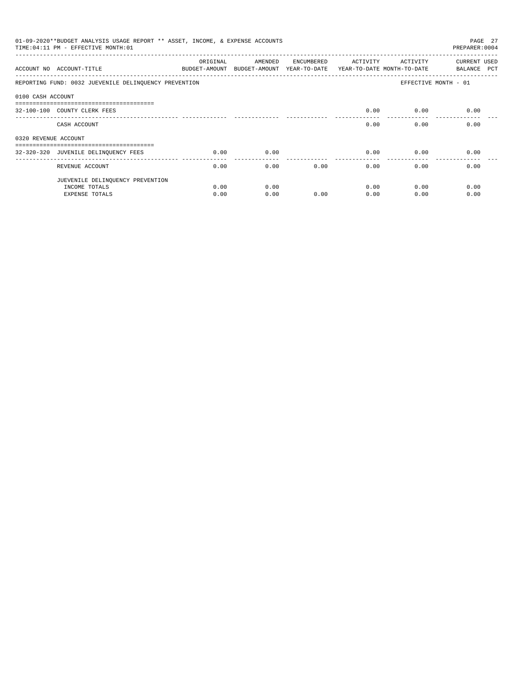| 01-09-2020**BUDGET ANALYSIS USAGE REPORT ** ASSET, INCOME, & EXPENSE ACCOUNTS<br>PAGE 27<br>TIME: 04:11 PM - EFFECTIVE MONTH: 01<br>PREPARER: 0004<br>ORIGINAL<br>AMENDED<br>ACTIVITY<br>ACTIVITY<br>CURRENT USED<br>ENCUMBERED<br>ACCOUNT NO ACCOUNT-TITLE<br>BUDGET-AMOUNT<br>BUDGET-AMOUNT YEAR-TO-DATE<br>YEAR-TO-DATE MONTH-TO-DATE<br>BALANCE PCT<br>REPORTING FUND: 0032 JUEVENILE DELINQUENCY PREVENTION<br>EFFECTIVE MONTH - 01<br>0100 CASH ACCOUNT<br>-------------------------------------<br>32-100-100 COUNTY CLERK FEES<br>0.00<br>0.00<br>0.00<br>0.00<br>0.00<br>0.00<br>CASH ACCOUNT<br>0320 REVENUE ACCOUNT<br>------------------------------------<br>0.00<br>0.00<br>32-320-320 JUVENILE DELINQUENCY FEES<br>0.00<br>0.00<br>0.00<br>0.00<br>0.00<br>0.00<br>0.00<br>0.00<br>0.00<br>REVENUE ACCOUNT |      |      |      |      |      |      |
|---------------------------------------------------------------------------------------------------------------------------------------------------------------------------------------------------------------------------------------------------------------------------------------------------------------------------------------------------------------------------------------------------------------------------------------------------------------------------------------------------------------------------------------------------------------------------------------------------------------------------------------------------------------------------------------------------------------------------------------------------------------------------------------------------------------------------|------|------|------|------|------|------|
|                                                                                                                                                                                                                                                                                                                                                                                                                                                                                                                                                                                                                                                                                                                                                                                                                           |      |      |      |      |      |      |
|                                                                                                                                                                                                                                                                                                                                                                                                                                                                                                                                                                                                                                                                                                                                                                                                                           |      |      |      |      |      |      |
|                                                                                                                                                                                                                                                                                                                                                                                                                                                                                                                                                                                                                                                                                                                                                                                                                           |      |      |      |      |      |      |
|                                                                                                                                                                                                                                                                                                                                                                                                                                                                                                                                                                                                                                                                                                                                                                                                                           |      |      |      |      |      |      |
|                                                                                                                                                                                                                                                                                                                                                                                                                                                                                                                                                                                                                                                                                                                                                                                                                           |      |      |      |      |      |      |
|                                                                                                                                                                                                                                                                                                                                                                                                                                                                                                                                                                                                                                                                                                                                                                                                                           |      |      |      |      |      |      |
|                                                                                                                                                                                                                                                                                                                                                                                                                                                                                                                                                                                                                                                                                                                                                                                                                           |      |      |      |      |      |      |
|                                                                                                                                                                                                                                                                                                                                                                                                                                                                                                                                                                                                                                                                                                                                                                                                                           |      |      |      |      |      |      |
|                                                                                                                                                                                                                                                                                                                                                                                                                                                                                                                                                                                                                                                                                                                                                                                                                           |      |      |      |      |      |      |
| JUEVENILE DELINQUENCY PREVENTION                                                                                                                                                                                                                                                                                                                                                                                                                                                                                                                                                                                                                                                                                                                                                                                          |      |      |      |      |      |      |
| INCOME TOTALS                                                                                                                                                                                                                                                                                                                                                                                                                                                                                                                                                                                                                                                                                                                                                                                                             | 0.00 | 0.00 |      | 0.00 | 0.00 | 0.00 |
| EXPENSE TOTALS                                                                                                                                                                                                                                                                                                                                                                                                                                                                                                                                                                                                                                                                                                                                                                                                            | 0.00 | 0.00 | 0.00 | 0.00 | 0.00 | 0.00 |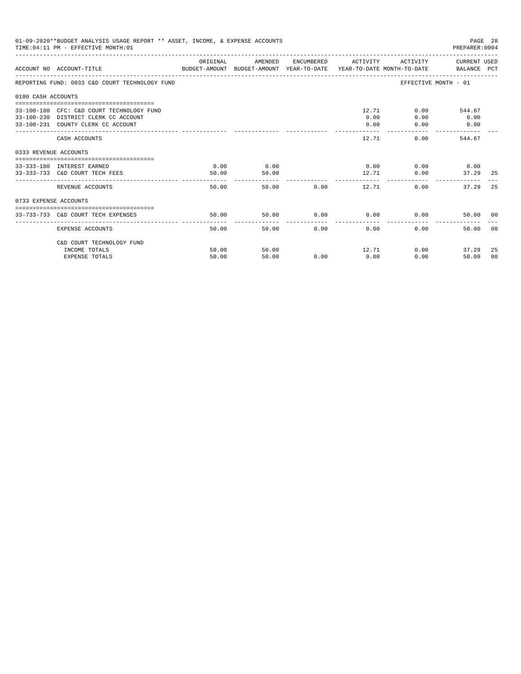| 01-09-2020**BUDGET ANALYSIS USAGE REPORT ** ASSET, INCOME, & EXPENSE ACCOUNTS<br>PAGE 28<br>TIME: 04:11 PM - EFFECTIVE MONTH: 01<br>PREPARER: 0004<br>ACTIVITY CURRENT USED<br>ORIGINAL<br>AMENDED<br>ENCUMBERED ACTIVITY<br>BUDGET-AMOUNT BUDGET-AMOUNT YEAR-TO-DATE  YEAR-TO-DATE MONTH-TO-DATE     BALANCE PCT<br>ACCOUNT NO ACCOUNT-TITLE<br>EFFECTIVE MONTH - 01<br>REPORTING FUND: 0033 C&D COURT TECHNOLOGY FUND<br>0100 CASH ACCOUNTS<br>12.71<br>33-100-100 CFC: C&D COURT TECHNOLOGY FUND<br>0.00<br>544.67<br>0.00<br>33-100-230 DISTRICT CLERK CC ACCOUNT<br>0.00<br>0.00<br>33-100-231 COUNTY CLERK CC ACCOUNT<br>0.00<br>0.00<br>0.00<br>12.71<br>0.00<br>544.67<br>CASH ACCOUNTS<br>0333 REVENUE ACCOUNTS<br>$0.00$ $0.00$ $0.00$ $0.00$<br>0.00<br>0.00<br>33-333-180 INTEREST EARNED<br>50.00<br>33-333-733 C&D COURT TECH FEES<br>12.71<br>50.00<br>0.00<br>50.00<br>50.00 0.00<br>12.71<br>0.00<br>REVENUE ACCOUNTS<br>37.29<br>0733 EXPENSE ACCOUNTS<br>50.00<br>$0.00$ 0.00<br>0.00<br>50.00<br>33-733-733 C&D COURT TECH EXPENSES<br>50.00<br>50.00<br>0.00<br>0.00<br>0.00<br>EXPENSE ACCOUNTS<br>50.00 |                                        |                |                |      |      |               |                        |                |
|--------------------------------------------------------------------------------------------------------------------------------------------------------------------------------------------------------------------------------------------------------------------------------------------------------------------------------------------------------------------------------------------------------------------------------------------------------------------------------------------------------------------------------------------------------------------------------------------------------------------------------------------------------------------------------------------------------------------------------------------------------------------------------------------------------------------------------------------------------------------------------------------------------------------------------------------------------------------------------------------------------------------------------------------------------------------------------------------------------------------------------|----------------------------------------|----------------|----------------|------|------|---------------|------------------------|----------------|
|                                                                                                                                                                                                                                                                                                                                                                                                                                                                                                                                                                                                                                                                                                                                                                                                                                                                                                                                                                                                                                                                                                                                |                                        |                |                |      |      |               |                        |                |
|                                                                                                                                                                                                                                                                                                                                                                                                                                                                                                                                                                                                                                                                                                                                                                                                                                                                                                                                                                                                                                                                                                                                |                                        |                |                |      |      |               |                        |                |
|                                                                                                                                                                                                                                                                                                                                                                                                                                                                                                                                                                                                                                                                                                                                                                                                                                                                                                                                                                                                                                                                                                                                |                                        |                |                |      |      |               |                        |                |
|                                                                                                                                                                                                                                                                                                                                                                                                                                                                                                                                                                                                                                                                                                                                                                                                                                                                                                                                                                                                                                                                                                                                |                                        |                |                |      |      |               |                        |                |
|                                                                                                                                                                                                                                                                                                                                                                                                                                                                                                                                                                                                                                                                                                                                                                                                                                                                                                                                                                                                                                                                                                                                |                                        |                |                |      |      |               |                        |                |
|                                                                                                                                                                                                                                                                                                                                                                                                                                                                                                                                                                                                                                                                                                                                                                                                                                                                                                                                                                                                                                                                                                                                |                                        |                |                |      |      |               |                        |                |
|                                                                                                                                                                                                                                                                                                                                                                                                                                                                                                                                                                                                                                                                                                                                                                                                                                                                                                                                                                                                                                                                                                                                |                                        |                |                |      |      |               | 37.29 25               |                |
|                                                                                                                                                                                                                                                                                                                                                                                                                                                                                                                                                                                                                                                                                                                                                                                                                                                                                                                                                                                                                                                                                                                                |                                        |                |                |      |      |               |                        | 25             |
|                                                                                                                                                                                                                                                                                                                                                                                                                                                                                                                                                                                                                                                                                                                                                                                                                                                                                                                                                                                                                                                                                                                                |                                        |                |                |      |      |               |                        |                |
|                                                                                                                                                                                                                                                                                                                                                                                                                                                                                                                                                                                                                                                                                                                                                                                                                                                                                                                                                                                                                                                                                                                                |                                        |                |                |      |      |               | 50.00 00               |                |
|                                                                                                                                                                                                                                                                                                                                                                                                                                                                                                                                                                                                                                                                                                                                                                                                                                                                                                                                                                                                                                                                                                                                |                                        |                |                |      |      |               |                        | 0 <sub>0</sub> |
|                                                                                                                                                                                                                                                                                                                                                                                                                                                                                                                                                                                                                                                                                                                                                                                                                                                                                                                                                                                                                                                                                                                                | C&D COURT TECHNOLOGY FUND              |                |                |      |      |               |                        |                |
|                                                                                                                                                                                                                                                                                                                                                                                                                                                                                                                                                                                                                                                                                                                                                                                                                                                                                                                                                                                                                                                                                                                                | INCOME TOTALS<br><b>EXPENSE TOTALS</b> | 50.00<br>50.00 | 50.00<br>50.00 | 0.00 | 0.00 | 12.71<br>0.00 | 0.00<br>37.29<br>50.00 | 25<br>00       |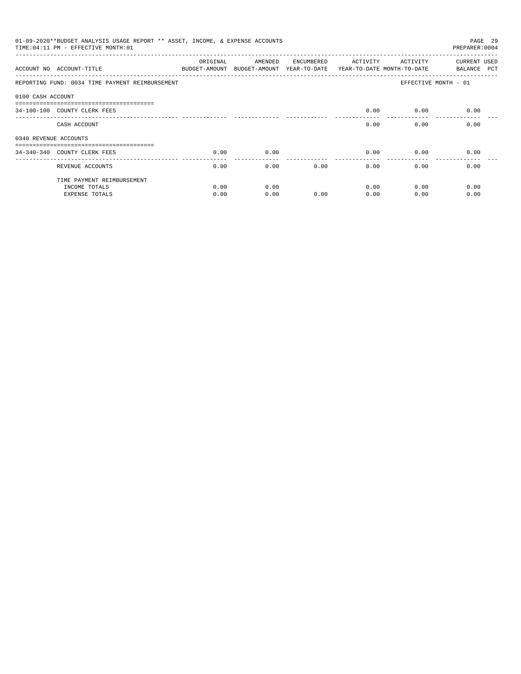| 01-09-2020**BUDGET ANALYSIS USAGE REPORT ** ASSET, INCOME, & EXPENSE ACCOUNTS<br>PAGE 29<br>TIME: 04:11 PM - EFFECTIVE MONTH: 01<br>PREPARER: 0004<br>ORIGINAL<br><b>CURRENT USED</b><br>AMENDED<br>ENCUMBERED<br>ACTIVITY<br>ACTIVITY<br>ACCOUNT NO ACCOUNT-TITLE<br>BUDGET-AMOUNT<br>BUDGET-AMOUNT YEAR-TO-DATE<br>YEAR-TO-DATE MONTH-TO-DATE<br>BALANCE PCT<br>REPORTING FUND: 0034 TIME PAYMENT REIMBURSEMENT<br>EFFECTIVE MONTH - 01<br>0100 CASH ACCOUNT<br>------------------------------<br>0.00<br>0.00<br>0.00<br>34-100-100 COUNTY CLERK FEES<br>0.00<br>0.00<br>0.00<br>CASH ACCOUNT<br>0340 REVENUE ACCOUNTS<br>0.00<br>0.00<br>0.00<br>0.00<br>0.00<br>34-340-340 COUNTY CLERK FEES<br>-------------<br>0.00<br>0.00<br>0.00<br>0.00<br>0.00<br>0.00<br>REVENUE ACCOUNTS<br>TIME PAYMENT REIMBURSEMENT |      |      |      |      |      |      |
|----------------------------------------------------------------------------------------------------------------------------------------------------------------------------------------------------------------------------------------------------------------------------------------------------------------------------------------------------------------------------------------------------------------------------------------------------------------------------------------------------------------------------------------------------------------------------------------------------------------------------------------------------------------------------------------------------------------------------------------------------------------------------------------------------------------------|------|------|------|------|------|------|
|                                                                                                                                                                                                                                                                                                                                                                                                                                                                                                                                                                                                                                                                                                                                                                                                                      |      |      |      |      |      |      |
|                                                                                                                                                                                                                                                                                                                                                                                                                                                                                                                                                                                                                                                                                                                                                                                                                      |      |      |      |      |      |      |
|                                                                                                                                                                                                                                                                                                                                                                                                                                                                                                                                                                                                                                                                                                                                                                                                                      |      |      |      |      |      |      |
|                                                                                                                                                                                                                                                                                                                                                                                                                                                                                                                                                                                                                                                                                                                                                                                                                      |      |      |      |      |      |      |
|                                                                                                                                                                                                                                                                                                                                                                                                                                                                                                                                                                                                                                                                                                                                                                                                                      |      |      |      |      |      |      |
|                                                                                                                                                                                                                                                                                                                                                                                                                                                                                                                                                                                                                                                                                                                                                                                                                      |      |      |      |      |      |      |
|                                                                                                                                                                                                                                                                                                                                                                                                                                                                                                                                                                                                                                                                                                                                                                                                                      |      |      |      |      |      |      |
|                                                                                                                                                                                                                                                                                                                                                                                                                                                                                                                                                                                                                                                                                                                                                                                                                      |      |      |      |      |      |      |
|                                                                                                                                                                                                                                                                                                                                                                                                                                                                                                                                                                                                                                                                                                                                                                                                                      |      |      |      |      |      |      |
| INCOME TOTALS                                                                                                                                                                                                                                                                                                                                                                                                                                                                                                                                                                                                                                                                                                                                                                                                        | 0.00 | 0.00 |      | 0.00 | 0.00 | 0.00 |
| <b>EXPENSE TOTALS</b>                                                                                                                                                                                                                                                                                                                                                                                                                                                                                                                                                                                                                                                                                                                                                                                                | 0.00 | 0.00 | 0.00 | 0.00 | 0.00 | 0.00 |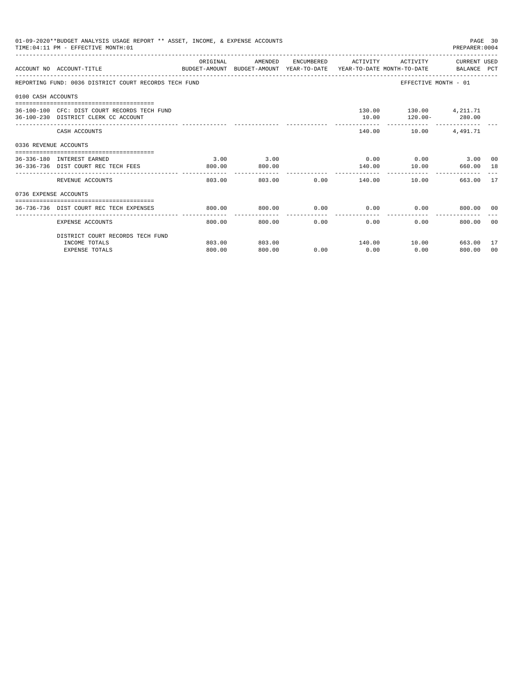| 01-09-2020**BUDGET ANALYSIS USAGE REPORT ** ASSET, INCOME, & EXPENSE ACCOUNTS<br>PAGE 30<br>TIME: 04:11 PM - EFFECTIVE MONTH: 01<br>PREPARER: 0004<br>ENCUMBERED ACTIVITY ACTIVITY CURRENT USED<br>ORIGINAL<br>AMENDED<br>ACCOUNT NO ACCOUNT-TITLE<br>BUDGET-AMOUNT BUDGET-AMOUNT YEAR-TO-DATE YEAR-TO-DATE MONTH-TO-DATE BALANCE PCT<br>REPORTING FUND: 0036 DISTRICT COURT RECORDS TECH FUND<br>EFFECTIVE MONTH - 01<br>0100 CASH ACCOUNTS<br>130.00 130.00 4,211.71<br>36-100-100 CFC: DIST COURT RECORDS TECH FUND<br>$120.00 - 280.00$<br>36-100-230 DISTRICT CLERK CC ACCOUNT<br>10.00<br>140.00    10.00    4,491.71<br>CASH ACCOUNTS<br>0336 REVENUE ACCOUNTS<br>3.00<br>$0.00$ $0.00$ $0.00$ $3.00$ $00$<br>3.00<br>36-336-180 INTEREST EARNED<br>140.00    10.00    660.00    18<br>36-336-736 DIST COURT REC TECH FEES<br>800.00<br>800.00<br>------------<br>--------------<br>-----------<br>803.00 0.00 140.00<br>10.00<br>663.00 17<br>REVENUE ACCOUNTS<br>803.00<br>0736 EXPENSE ACCOUNTS<br>$0.00$ $0.00$ $0.00$ $0.00$<br>800.00<br>800.00<br>800.00 00<br>36-736-736 DIST COURT REC TECH EXPENSES<br>------------<br>800.00<br>800.00<br>0.00<br>0.00<br>0.00<br>800.00<br>- 0.0<br>EXPENSE ACCOUNTS |        |        |      |      |      |                     |     |
|-------------------------------------------------------------------------------------------------------------------------------------------------------------------------------------------------------------------------------------------------------------------------------------------------------------------------------------------------------------------------------------------------------------------------------------------------------------------------------------------------------------------------------------------------------------------------------------------------------------------------------------------------------------------------------------------------------------------------------------------------------------------------------------------------------------------------------------------------------------------------------------------------------------------------------------------------------------------------------------------------------------------------------------------------------------------------------------------------------------------------------------------------------------------------------------------------------------------------|--------|--------|------|------|------|---------------------|-----|
|                                                                                                                                                                                                                                                                                                                                                                                                                                                                                                                                                                                                                                                                                                                                                                                                                                                                                                                                                                                                                                                                                                                                                                                                                         |        |        |      |      |      |                     |     |
|                                                                                                                                                                                                                                                                                                                                                                                                                                                                                                                                                                                                                                                                                                                                                                                                                                                                                                                                                                                                                                                                                                                                                                                                                         |        |        |      |      |      |                     |     |
|                                                                                                                                                                                                                                                                                                                                                                                                                                                                                                                                                                                                                                                                                                                                                                                                                                                                                                                                                                                                                                                                                                                                                                                                                         |        |        |      |      |      |                     |     |
|                                                                                                                                                                                                                                                                                                                                                                                                                                                                                                                                                                                                                                                                                                                                                                                                                                                                                                                                                                                                                                                                                                                                                                                                                         |        |        |      |      |      |                     |     |
|                                                                                                                                                                                                                                                                                                                                                                                                                                                                                                                                                                                                                                                                                                                                                                                                                                                                                                                                                                                                                                                                                                                                                                                                                         |        |        |      |      |      |                     |     |
|                                                                                                                                                                                                                                                                                                                                                                                                                                                                                                                                                                                                                                                                                                                                                                                                                                                                                                                                                                                                                                                                                                                                                                                                                         |        |        |      |      |      |                     |     |
|                                                                                                                                                                                                                                                                                                                                                                                                                                                                                                                                                                                                                                                                                                                                                                                                                                                                                                                                                                                                                                                                                                                                                                                                                         |        |        |      |      |      |                     |     |
|                                                                                                                                                                                                                                                                                                                                                                                                                                                                                                                                                                                                                                                                                                                                                                                                                                                                                                                                                                                                                                                                                                                                                                                                                         |        |        |      |      |      |                     |     |
|                                                                                                                                                                                                                                                                                                                                                                                                                                                                                                                                                                                                                                                                                                                                                                                                                                                                                                                                                                                                                                                                                                                                                                                                                         |        |        |      |      |      |                     |     |
|                                                                                                                                                                                                                                                                                                                                                                                                                                                                                                                                                                                                                                                                                                                                                                                                                                                                                                                                                                                                                                                                                                                                                                                                                         |        |        |      |      |      |                     |     |
|                                                                                                                                                                                                                                                                                                                                                                                                                                                                                                                                                                                                                                                                                                                                                                                                                                                                                                                                                                                                                                                                                                                                                                                                                         |        |        |      |      |      |                     |     |
| DISTRICT COURT RECORDS TECH FUND                                                                                                                                                                                                                                                                                                                                                                                                                                                                                                                                                                                                                                                                                                                                                                                                                                                                                                                                                                                                                                                                                                                                                                                        |        |        |      |      |      |                     |     |
| INCOME TOTALS                                                                                                                                                                                                                                                                                                                                                                                                                                                                                                                                                                                                                                                                                                                                                                                                                                                                                                                                                                                                                                                                                                                                                                                                           | 803.00 | 803.00 |      |      |      | 140.00 10.00 663.00 | -17 |
| <b>EXPENSE TOTALS</b>                                                                                                                                                                                                                                                                                                                                                                                                                                                                                                                                                                                                                                                                                                                                                                                                                                                                                                                                                                                                                                                                                                                                                                                                   | 800.00 | 800.00 | 0.00 | 0.00 | 0.00 | 800.00              | 00  |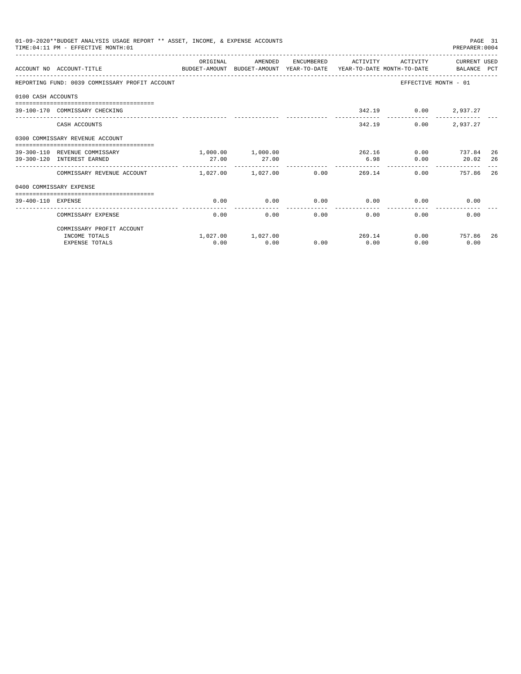|                    | 01-09-2020**BUDGET ANALYSIS USAGE REPORT ** ASSET, INCOME, & EXPENSE ACCOUNTS<br>TIME: 04:11 PM - EFFECTIVE MONTH: 01 |                            |                   |                      |                    |                      |                                                                                                           | PAGE 31 |
|--------------------|-----------------------------------------------------------------------------------------------------------------------|----------------------------|-------------------|----------------------|--------------------|----------------------|-----------------------------------------------------------------------------------------------------------|---------|
|                    | ACCOUNT NO ACCOUNT-TITLE<br>BUDGET-AMOUNT BUDGET-AMOUNT YEAR-TO-DATE YEAR-TO-DATE MONTH-TO-DATE BALANCE PCT           | OR TGTNAL                  | AMENDED           | ENCUMBERED           | ACTIVITY           | ACTIVITY             |                                                                                                           |         |
|                    | REPORTING FUND: 0039 COMMISSARY PROFIT ACCOUNT                                                                        |                            |                   |                      |                    |                      | EFFECTIVE MONTH - 01                                                                                      |         |
| 0100 CASH ACCOUNTS |                                                                                                                       |                            |                   |                      |                    |                      |                                                                                                           |         |
|                    | 39-100-170 COMMISSARY CHECKING                                                                                        |                            |                   |                      |                    | 342.19 0.00 2,937.27 |                                                                                                           |         |
|                    | CASH ACCOUNTS                                                                                                         |                            |                   |                      | 342.19             | 0.00                 | 2,937.27                                                                                                  |         |
|                    | 0300 COMMISSARY REVENUE ACCOUNT                                                                                       |                            |                   |                      |                    |                      |                                                                                                           |         |
|                    | 39-300-110 REVENUE COMMISSARY                                                                                         |                            | 1,000.00 1,000.00 |                      |                    | 262.16               |                                                                                                           | -26     |
|                    | 39-300-120 INTEREST EARNED                                                                                            | 27.00                      | 27.00             |                      | 6.98               | 0.00                 | PREPARER: 0004<br>CURRENT USED<br>$0.00$ 737.84<br>20.02<br>757.86<br>0.00<br>0.00<br>0.00 757.86<br>0.00 | 26      |
|                    | COMMISSARY REVENUE ACCOUNT                                                                                            | $1.027.00$ $1.027.00$ 0.00 |                   |                      | 269.14             |                      | 0.00                                                                                                      | 26      |
|                    | 0400 COMMISSARY EXPENSE                                                                                               |                            |                   |                      |                    |                      |                                                                                                           |         |
| 39-400-110 EXPENSE |                                                                                                                       | 0.00                       | 0.00              | 0.00                 | 0.00               |                      | 0.00                                                                                                      |         |
|                    | COMMISSARY EXPENSE                                                                                                    | 0.00                       | 0.00              | ------------<br>0.00 | . <u>.</u><br>0.00 | 0.00                 |                                                                                                           |         |
|                    | COMMISSARY PROFIT ACCOUNT                                                                                             |                            |                   |                      |                    |                      |                                                                                                           |         |
|                    | INCOME TOTALS                                                                                                         |                            | 1,027.00 1,027.00 |                      |                    | 269.14               |                                                                                                           | 26      |
|                    | <b>EXPENSE TOTALS</b>                                                                                                 | 0.00                       | 0.00              | 0.00                 | 0.00               | 0.00                 |                                                                                                           |         |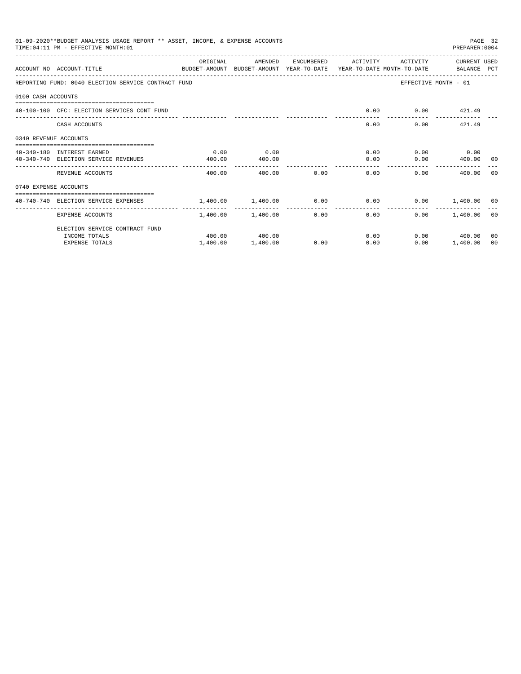| 01-09-2020**BUDGET ANALYSIS USAGE REPORT ** ASSET, INCOME, & EXPENSE ACCOUNTS<br>PAGE 32<br>TIME: 04:11 PM - EFFECTIVE MONTH: 01<br>PREPARER: 0004<br>ORIGINAL<br>ENCUMBERED ACTIVITY<br>ACTIVITY<br>CURRENT USED<br>AMENDED<br>ACCOUNT NO ACCOUNT-TITLE<br>BUDGET-AMOUNT BUDGET-AMOUNT YEAR-TO-DATE YEAR-TO-DATE MONTH-TO-DATE BALANCE PCT<br>REPORTING FUND: 0040 ELECTION SERVICE CONTRACT FUND<br>EFFECTIVE MONTH - 01<br>0100 CASH ACCOUNTS<br>0.00<br>$0.00$ $421.49$<br>40-100-100 CFC: ELECTION SERVICES CONT FUND<br>0.00<br>$0.00$ $421.49$<br>CASH ACCOUNTS<br>0340 REVENUE ACCOUNTS<br>0.00<br>$0.00$ $0.00$ $0.00$<br>0.00<br>40-340-180 INTEREST EARNED<br>$0.00$ 400.00 00<br>40-340-740 ELECTION SERVICE REVENUES<br>400.00<br>0.00<br>400.00<br>. <u>.</u><br>0.00<br>0.00<br>REVENUE ACCOUNTS<br>400.00<br>400.00<br>0.00<br>400.00<br>- 0.0<br>0740 EXPENSE ACCOUNTS<br>$1.400.00$ $1.400.00$ $0.00$ $0.00$ $0.00$ $0.00$ $1.400.00$ $0.0$<br>40-740-740 ELECTION SERVICE EXPENSES<br>---------------<br>1,400.00 1,400.00<br>$0.00$ and $0.00$<br>0.00<br>$0.00$ 1.400.00 00<br>EXPENSE ACCOUNTS<br>ELECTION SERVICE CONTRACT FUND<br>$0.00$ 400.00<br>400.00 400.00<br>0.00<br>INCOME TOTALS<br>00 |                       |          |          |      |      |      |          |    |
|-------------------------------------------------------------------------------------------------------------------------------------------------------------------------------------------------------------------------------------------------------------------------------------------------------------------------------------------------------------------------------------------------------------------------------------------------------------------------------------------------------------------------------------------------------------------------------------------------------------------------------------------------------------------------------------------------------------------------------------------------------------------------------------------------------------------------------------------------------------------------------------------------------------------------------------------------------------------------------------------------------------------------------------------------------------------------------------------------------------------------------------------------------------------------------------------------------------------------|-----------------------|----------|----------|------|------|------|----------|----|
|                                                                                                                                                                                                                                                                                                                                                                                                                                                                                                                                                                                                                                                                                                                                                                                                                                                                                                                                                                                                                                                                                                                                                                                                                         |                       |          |          |      |      |      |          |    |
|                                                                                                                                                                                                                                                                                                                                                                                                                                                                                                                                                                                                                                                                                                                                                                                                                                                                                                                                                                                                                                                                                                                                                                                                                         |                       |          |          |      |      |      |          |    |
|                                                                                                                                                                                                                                                                                                                                                                                                                                                                                                                                                                                                                                                                                                                                                                                                                                                                                                                                                                                                                                                                                                                                                                                                                         |                       |          |          |      |      |      |          |    |
|                                                                                                                                                                                                                                                                                                                                                                                                                                                                                                                                                                                                                                                                                                                                                                                                                                                                                                                                                                                                                                                                                                                                                                                                                         |                       |          |          |      |      |      |          |    |
|                                                                                                                                                                                                                                                                                                                                                                                                                                                                                                                                                                                                                                                                                                                                                                                                                                                                                                                                                                                                                                                                                                                                                                                                                         |                       |          |          |      |      |      |          |    |
|                                                                                                                                                                                                                                                                                                                                                                                                                                                                                                                                                                                                                                                                                                                                                                                                                                                                                                                                                                                                                                                                                                                                                                                                                         |                       |          |          |      |      |      |          |    |
|                                                                                                                                                                                                                                                                                                                                                                                                                                                                                                                                                                                                                                                                                                                                                                                                                                                                                                                                                                                                                                                                                                                                                                                                                         |                       |          |          |      |      |      |          |    |
|                                                                                                                                                                                                                                                                                                                                                                                                                                                                                                                                                                                                                                                                                                                                                                                                                                                                                                                                                                                                                                                                                                                                                                                                                         |                       |          |          |      |      |      | 1,400.00 |    |
|                                                                                                                                                                                                                                                                                                                                                                                                                                                                                                                                                                                                                                                                                                                                                                                                                                                                                                                                                                                                                                                                                                                                                                                                                         |                       |          |          |      |      |      |          |    |
|                                                                                                                                                                                                                                                                                                                                                                                                                                                                                                                                                                                                                                                                                                                                                                                                                                                                                                                                                                                                                                                                                                                                                                                                                         |                       |          |          |      |      |      |          |    |
|                                                                                                                                                                                                                                                                                                                                                                                                                                                                                                                                                                                                                                                                                                                                                                                                                                                                                                                                                                                                                                                                                                                                                                                                                         |                       |          |          |      |      |      |          |    |
|                                                                                                                                                                                                                                                                                                                                                                                                                                                                                                                                                                                                                                                                                                                                                                                                                                                                                                                                                                                                                                                                                                                                                                                                                         |                       |          |          |      |      |      |          |    |
|                                                                                                                                                                                                                                                                                                                                                                                                                                                                                                                                                                                                                                                                                                                                                                                                                                                                                                                                                                                                                                                                                                                                                                                                                         |                       |          |          |      |      |      |          |    |
|                                                                                                                                                                                                                                                                                                                                                                                                                                                                                                                                                                                                                                                                                                                                                                                                                                                                                                                                                                                                                                                                                                                                                                                                                         |                       |          |          |      |      |      |          |    |
|                                                                                                                                                                                                                                                                                                                                                                                                                                                                                                                                                                                                                                                                                                                                                                                                                                                                                                                                                                                                                                                                                                                                                                                                                         | <b>EXPENSE TOTALS</b> | 1,400.00 | 1,400.00 | 0.00 | 0.00 | 0.00 |          | 00 |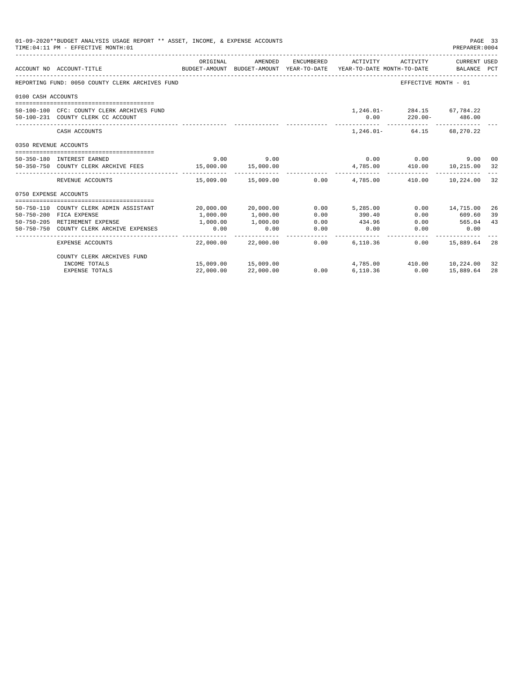|                            | 01-09-2020**BUDGET ANALYSIS USAGE REPORT ** ASSET, INCOME, & EXPENSE ACCOUNTS<br>TIME: 04:11 PM - EFFECTIVE MONTH: 01 |                  |                     |                    |                                                                |                              | PAGE 33<br>PREPARER: 0004 |    |
|----------------------------|-----------------------------------------------------------------------------------------------------------------------|------------------|---------------------|--------------------|----------------------------------------------------------------|------------------------------|---------------------------|----|
|                            | ACCOUNT NO ACCOUNT-TITLE<br>BUDGET-AMOUNT BUDGET-AMOUNT YEAR-TO-DATE YEAR-TO-DATE MONTH-TO-DATE BALANCE PCT           | ORIGINAL         | AMENDED             | ENCUMBERED         | ACTIVITY                                                       | ACTIVITY                     | CURRENT USED              |    |
|                            |                                                                                                                       |                  |                     |                    |                                                                |                              |                           |    |
|                            | REPORTING FUND: 0050 COUNTY CLERK ARCHIVES FUND                                                                       |                  |                     |                    |                                                                | EFFECTIVE MONTH - 01         |                           |    |
| 0100 CASH ACCOUNTS         |                                                                                                                       |                  |                     |                    |                                                                |                              |                           |    |
|                            |                                                                                                                       |                  |                     |                    |                                                                | 1,246.01 284.15 67,784.22    |                           |    |
|                            | 50-100-100 CFC: COUNTY CLERK ARCHIVES FUND<br>50-100-231 COUNTY CLERK CC ACCOUNT                                      |                  |                     |                    | 0.00                                                           | $220.00 - 486.00$            |                           |    |
|                            | CASH ACCOUNTS                                                                                                         |                  |                     |                    |                                                                | 1, 246.01 - 64.15 68, 270.22 |                           |    |
| 0350 REVENUE ACCOUNTS      |                                                                                                                       |                  |                     |                    |                                                                |                              |                           |    |
|                            |                                                                                                                       | 9.00             | 9.00                |                    |                                                                | $0.00$ 0.00                  | 9.00 00                   |    |
| 50-350-180 INTEREST EARNED | 50-350-750 COUNTY CLERK ARCHIVE FEES 15,000.00 15,000.00                                                              |                  |                     |                    | 4,785.00                                                       | 410.00 10,215.00             |                           | 32 |
|                            |                                                                                                                       |                  |                     |                    |                                                                |                              |                           |    |
|                            | REVENUE ACCOUNTS                                                                                                      |                  |                     |                    | $15,009.00$ $15,009.00$ $0.00$ $4,785.00$ $410.00$ $10,224.00$ |                              |                           | 32 |
| 0750 EXPENSE ACCOUNTS      |                                                                                                                       |                  |                     |                    |                                                                |                              |                           |    |
|                            | 50-750-110 COUNTY CLERK ADMIN ASSISTANT                                                                               |                  | 20,000.00 20,000.00 |                    | $0.00$ 5,285.00                                                |                              | $0.00$ 14,715.00          | 26 |
|                            | 50-750-200 FICA EXPENSE                                                                                               | 1,000.00         | 1,000.00            | 0.00               | 390.40                                                         | 0.00                         | 609.60                    | 39 |
|                            | 50-750-205 RETIREMENT EXPENSE                                                                                         | 1,000.00         | 1,000.00            | 0.00               | 434.96                                                         | 0.00                         | 565.04                    | 43 |
|                            | 50-750-750 COUNTY CLERK ARCHIVE EXPENSES                                                                              | 0.00             | 0.00                | 0.00               | 0.00                                                           | 0.00                         | 0.00                      |    |
|                            | EXPENSE ACCOUNTS                                                                                                      | - -------------- | 22,000.00 22,000.00 | . <u>.</u><br>0.00 | 6,110.36                                                       |                              | $0.00$ 15,889.64          | 28 |
|                            | COUNTY CLERK ARCHIVES FUND                                                                                            |                  |                     |                    |                                                                |                              |                           |    |
|                            | INCOME TOTALS                                                                                                         |                  | 15,009.00 15,009.00 |                    | 4,785.00 410.00 10,224.00                                      |                              |                           | 32 |
|                            | <b>EXPENSE TOTALS</b>                                                                                                 | 22,000.00        | 22,000.00           | 0.00               | 6.110.36                                                       | 0.00                         | 15,889.64                 | 28 |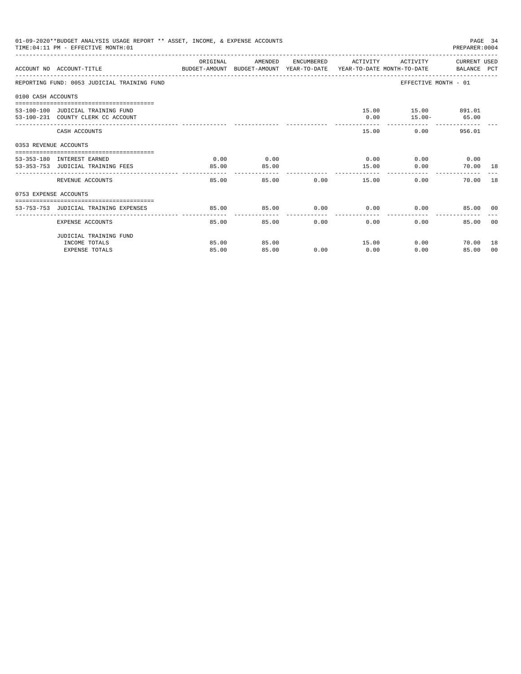|                       | 01-09-2020**BUDGET ANALYSIS USAGE REPORT ** ASSET, INCOME, & EXPENSE ACCOUNTS<br>TIME: 04:11 PM - EFFECTIVE MONTH: 01 |          |         |               |                                           |                        | PAGE 34<br>PREPARER: 0004 |                |
|-----------------------|-----------------------------------------------------------------------------------------------------------------------|----------|---------|---------------|-------------------------------------------|------------------------|---------------------------|----------------|
|                       | ACCOUNT NO ACCOUNT-TITLE CONTROL SUDGET-AMOUNT BUDGET-AMOUNT YEAR-TO-DATE YEAR-TO-DATE MONTH-TO-DATE BALANCE PCT      | ORIGINAL | AMENDED |               | ENCUMBERED ACTIVITY ACTIVITY CURRENT USED |                        |                           |                |
|                       | REPORTING FUND: 0053 JUDICIAL TRAINING FUND                                                                           |          |         |               |                                           | EFFECTIVE MONTH - 01   |                           |                |
| 0100 CASH ACCOUNTS    |                                                                                                                       |          |         |               |                                           |                        |                           |                |
|                       | 53-100-100 JUDICIAL TRAINING FUND                                                                                     |          |         |               |                                           | 15.00   15.00   891.01 |                           |                |
|                       | 53-100-231 COUNTY CLERK CC ACCOUNT                                                                                    |          |         |               |                                           | $0.00$ 15.00- 65.00    |                           |                |
|                       | CASH ACCOUNTS                                                                                                         |          |         |               | 15.00                                     |                        | $0.00$ 956.01             |                |
| 0353 REVENUE ACCOUNTS |                                                                                                                       |          |         |               |                                           |                        |                           |                |
|                       | 53-353-180 INTEREST EARNED                                                                                            | 0.00     | 0.00    |               | $0.00$ $0.00$ $0.00$ $0.00$               |                        |                           |                |
|                       | 53-353-753 JUDICIAL TRAINING FEES                                                                                     | 85.00    | 85.00   |               | 15.00                                     | 0.00                   | 70.00 18                  |                |
|                       | REVENUE ACCOUNTS                                                                                                      | 85.00    |         | 85.00         | $0.00$ and $0.00$<br>15.00                | 0.00                   | 70.00 18                  |                |
| 0753 EXPENSE ACCOUNTS |                                                                                                                       |          |         |               |                                           |                        |                           |                |
|                       | 53-753-753 JUDICIAL TRAINING EXPENSES                                                                                 | 85.00    | 85.00   |               | $0.00$ $0.00$ $0.00$ $0.00$               |                        | 85.00 00                  |                |
|                       |                                                                                                                       |          |         |               |                                           |                        |                           |                |
|                       | EXPENSE ACCOUNTS                                                                                                      | 85.00    |         | 0.00<br>85.00 | 0.00                                      | 0.00                   | 85.00                     | 0 <sub>0</sub> |
|                       | JUDICIAL TRAINING FUND                                                                                                |          |         |               |                                           |                        |                           |                |
|                       | INCOME TOTALS                                                                                                         | 85.00    | 85.00   |               | 15.00                                     | 0.00                   | 70.00 18                  |                |
|                       | <b>EXPENSE TOTALS</b>                                                                                                 | 85.00    | 85.00   | 0.00          | 0.00                                      | 0.00                   | 85.00 00                  |                |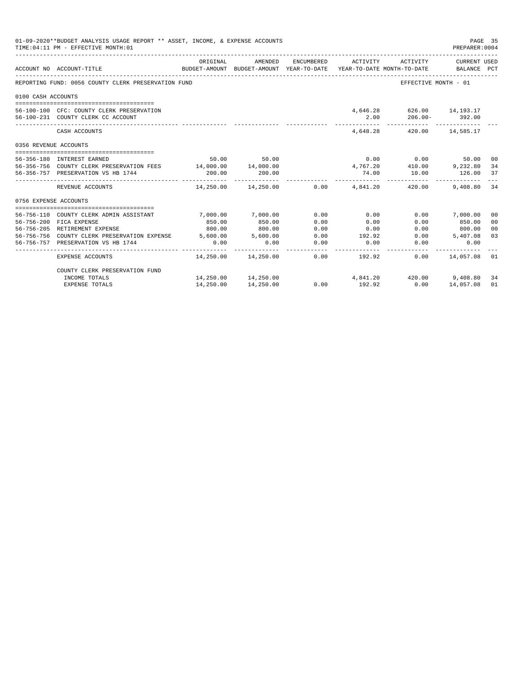| 01-09-2020**BUDGET ANALYSIS USAGE REPORT ** ASSET, INCOME, & EXPENSE ACCOUNTS<br>PAGE 35<br>TIME: 04:11 PM - EFFECTIVE MONTH: 01<br>PREPARER: 0004<br>ORIGINAL<br>AMENDED<br>ENCUMBERED<br>CURRENT USED<br>ACTIVITY<br>ACTIVITY<br>ACCOUNT NO ACCOUNT-TITLE<br>BUDGET-AMOUNT BUDGET-AMOUNT YEAR-TO-DATE<br>YEAR-TO-DATE MONTH-TO-DATE<br>BALANCE PCT<br>REPORTING FUND: 0056 COUNTY CLERK PRESERVATION FUND<br>EFFECTIVE MONTH - 01<br>0100 CASH ACCOUNTS<br>4.646.28 626.00 14.193.17<br>56-100-100 CFC: COUNTY CLERK PRESERVATION<br>2.00<br>$206.00 - 392.00$<br>56-100-231 COUNTY CLERK CC ACCOUNT<br>4.648.28 420.00 14.585.17<br>CASH ACCOUNTS<br>0356 REVENUE ACCOUNTS<br>50.00 50.00<br>$0.00$ 0.00<br>56-356-180 INTEREST EARNED<br>50.00 00<br>$4,767.20$ $410.00$ $9,232.80$<br>56-356-756 COUNTY CLERK PRESERVATION FEES 14,000.00 14,000.00<br>34<br>200.00<br>200.00<br>74.00<br>126.00<br>37<br>56-356-757 PRESERVATION VS HB 1744<br>10.00<br>------------<br>----------<br>$0.00$ $4.841.20$ $420.00$<br>34<br>REVENUE ACCOUNTS<br>14,250.00 14,250.00<br>9,408.80<br>0756 EXPENSE ACCOUNTS<br>7,000.00<br>0.00<br>0.00<br>$0.00$ 7,000.00<br>56-756-110 COUNTY CLERK ADMIN ASSISTANT<br>7,000.00<br>00<br>56-756-200 FICA EXPENSE<br>850.00<br>850.00<br>0.00<br>0.00<br>0.00<br>850.00<br>0 <sup>0</sup><br>800.00<br>0.00<br>56-756-205 RETIREMENT EXPENSE<br>800.00<br>0.00<br>$0.00$ 800.00<br>00<br>192.92<br>56-756-756 COUNTY CLERK PRESERVATION EXPENSE 5,600.00<br>5,600.00<br>0.00<br>0.00<br>03<br>5,407.08<br>56-756-757 PRESERVATION VS HB 1744<br>0.00<br>0.00<br>0.00<br>0.00<br>0.00<br>0.00<br>$14.250.00$ $14.250.00$ 0.00 $192.92$<br>$0.00$ 14,057.08 01<br>EXPENSE ACCOUNTS |           |                     |      |        |                                |           |    |
|--------------------------------------------------------------------------------------------------------------------------------------------------------------------------------------------------------------------------------------------------------------------------------------------------------------------------------------------------------------------------------------------------------------------------------------------------------------------------------------------------------------------------------------------------------------------------------------------------------------------------------------------------------------------------------------------------------------------------------------------------------------------------------------------------------------------------------------------------------------------------------------------------------------------------------------------------------------------------------------------------------------------------------------------------------------------------------------------------------------------------------------------------------------------------------------------------------------------------------------------------------------------------------------------------------------------------------------------------------------------------------------------------------------------------------------------------------------------------------------------------------------------------------------------------------------------------------------------------------------------------------------------------------------------------------------------------------------------|-----------|---------------------|------|--------|--------------------------------|-----------|----|
|                                                                                                                                                                                                                                                                                                                                                                                                                                                                                                                                                                                                                                                                                                                                                                                                                                                                                                                                                                                                                                                                                                                                                                                                                                                                                                                                                                                                                                                                                                                                                                                                                                                                                                                    |           |                     |      |        |                                |           |    |
|                                                                                                                                                                                                                                                                                                                                                                                                                                                                                                                                                                                                                                                                                                                                                                                                                                                                                                                                                                                                                                                                                                                                                                                                                                                                                                                                                                                                                                                                                                                                                                                                                                                                                                                    |           |                     |      |        |                                |           |    |
|                                                                                                                                                                                                                                                                                                                                                                                                                                                                                                                                                                                                                                                                                                                                                                                                                                                                                                                                                                                                                                                                                                                                                                                                                                                                                                                                                                                                                                                                                                                                                                                                                                                                                                                    |           |                     |      |        |                                |           |    |
|                                                                                                                                                                                                                                                                                                                                                                                                                                                                                                                                                                                                                                                                                                                                                                                                                                                                                                                                                                                                                                                                                                                                                                                                                                                                                                                                                                                                                                                                                                                                                                                                                                                                                                                    |           |                     |      |        |                                |           |    |
|                                                                                                                                                                                                                                                                                                                                                                                                                                                                                                                                                                                                                                                                                                                                                                                                                                                                                                                                                                                                                                                                                                                                                                                                                                                                                                                                                                                                                                                                                                                                                                                                                                                                                                                    |           |                     |      |        |                                |           |    |
|                                                                                                                                                                                                                                                                                                                                                                                                                                                                                                                                                                                                                                                                                                                                                                                                                                                                                                                                                                                                                                                                                                                                                                                                                                                                                                                                                                                                                                                                                                                                                                                                                                                                                                                    |           |                     |      |        |                                |           |    |
|                                                                                                                                                                                                                                                                                                                                                                                                                                                                                                                                                                                                                                                                                                                                                                                                                                                                                                                                                                                                                                                                                                                                                                                                                                                                                                                                                                                                                                                                                                                                                                                                                                                                                                                    |           |                     |      |        |                                |           |    |
|                                                                                                                                                                                                                                                                                                                                                                                                                                                                                                                                                                                                                                                                                                                                                                                                                                                                                                                                                                                                                                                                                                                                                                                                                                                                                                                                                                                                                                                                                                                                                                                                                                                                                                                    |           |                     |      |        |                                |           |    |
|                                                                                                                                                                                                                                                                                                                                                                                                                                                                                                                                                                                                                                                                                                                                                                                                                                                                                                                                                                                                                                                                                                                                                                                                                                                                                                                                                                                                                                                                                                                                                                                                                                                                                                                    |           |                     |      |        |                                |           |    |
|                                                                                                                                                                                                                                                                                                                                                                                                                                                                                                                                                                                                                                                                                                                                                                                                                                                                                                                                                                                                                                                                                                                                                                                                                                                                                                                                                                                                                                                                                                                                                                                                                                                                                                                    |           |                     |      |        |                                |           |    |
|                                                                                                                                                                                                                                                                                                                                                                                                                                                                                                                                                                                                                                                                                                                                                                                                                                                                                                                                                                                                                                                                                                                                                                                                                                                                                                                                                                                                                                                                                                                                                                                                                                                                                                                    |           |                     |      |        |                                |           |    |
|                                                                                                                                                                                                                                                                                                                                                                                                                                                                                                                                                                                                                                                                                                                                                                                                                                                                                                                                                                                                                                                                                                                                                                                                                                                                                                                                                                                                                                                                                                                                                                                                                                                                                                                    |           |                     |      |        |                                |           |    |
|                                                                                                                                                                                                                                                                                                                                                                                                                                                                                                                                                                                                                                                                                                                                                                                                                                                                                                                                                                                                                                                                                                                                                                                                                                                                                                                                                                                                                                                                                                                                                                                                                                                                                                                    |           |                     |      |        |                                |           |    |
|                                                                                                                                                                                                                                                                                                                                                                                                                                                                                                                                                                                                                                                                                                                                                                                                                                                                                                                                                                                                                                                                                                                                                                                                                                                                                                                                                                                                                                                                                                                                                                                                                                                                                                                    |           |                     |      |        |                                |           |    |
|                                                                                                                                                                                                                                                                                                                                                                                                                                                                                                                                                                                                                                                                                                                                                                                                                                                                                                                                                                                                                                                                                                                                                                                                                                                                                                                                                                                                                                                                                                                                                                                                                                                                                                                    |           |                     |      |        |                                |           |    |
|                                                                                                                                                                                                                                                                                                                                                                                                                                                                                                                                                                                                                                                                                                                                                                                                                                                                                                                                                                                                                                                                                                                                                                                                                                                                                                                                                                                                                                                                                                                                                                                                                                                                                                                    |           |                     |      |        |                                |           |    |
|                                                                                                                                                                                                                                                                                                                                                                                                                                                                                                                                                                                                                                                                                                                                                                                                                                                                                                                                                                                                                                                                                                                                                                                                                                                                                                                                                                                                                                                                                                                                                                                                                                                                                                                    |           |                     |      |        |                                |           |    |
|                                                                                                                                                                                                                                                                                                                                                                                                                                                                                                                                                                                                                                                                                                                                                                                                                                                                                                                                                                                                                                                                                                                                                                                                                                                                                                                                                                                                                                                                                                                                                                                                                                                                                                                    |           |                     |      |        |                                |           |    |
|                                                                                                                                                                                                                                                                                                                                                                                                                                                                                                                                                                                                                                                                                                                                                                                                                                                                                                                                                                                                                                                                                                                                                                                                                                                                                                                                                                                                                                                                                                                                                                                                                                                                                                                    |           |                     |      |        |                                |           |    |
|                                                                                                                                                                                                                                                                                                                                                                                                                                                                                                                                                                                                                                                                                                                                                                                                                                                                                                                                                                                                                                                                                                                                                                                                                                                                                                                                                                                                                                                                                                                                                                                                                                                                                                                    |           |                     |      |        |                                |           |    |
| COUNTY CLERK PRESERVATION FUND                                                                                                                                                                                                                                                                                                                                                                                                                                                                                                                                                                                                                                                                                                                                                                                                                                                                                                                                                                                                                                                                                                                                                                                                                                                                                                                                                                                                                                                                                                                                                                                                                                                                                     |           |                     |      |        |                                |           |    |
| INCOME TOTALS                                                                                                                                                                                                                                                                                                                                                                                                                                                                                                                                                                                                                                                                                                                                                                                                                                                                                                                                                                                                                                                                                                                                                                                                                                                                                                                                                                                                                                                                                                                                                                                                                                                                                                      |           | 14,250.00 14,250.00 |      |        | $4,841.20$ $420.00$ $9,408.80$ |           | 34 |
| <b>EXPENSE TOTALS</b>                                                                                                                                                                                                                                                                                                                                                                                                                                                                                                                                                                                                                                                                                                                                                                                                                                                                                                                                                                                                                                                                                                                                                                                                                                                                                                                                                                                                                                                                                                                                                                                                                                                                                              | 14,250.00 | 14,250.00           | 0.00 | 192.92 | 0.00                           | 14,057.08 | 01 |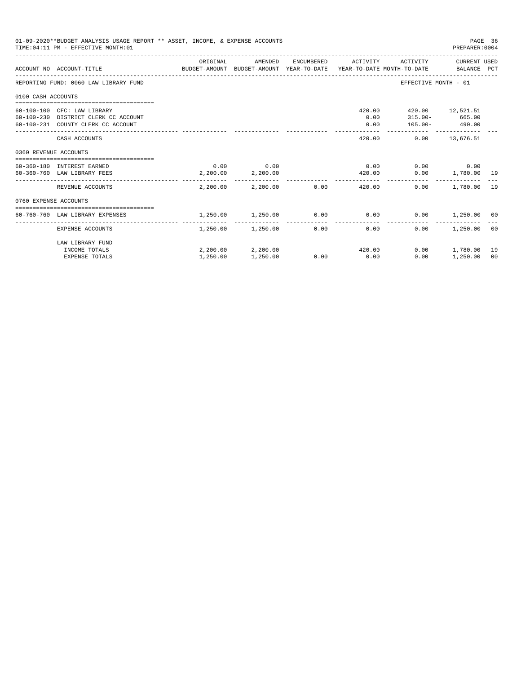| 01-09-2020**BUDGET ANALYSIS USAGE REPORT ** ASSET, INCOME, & EXPENSE ACCOUNTS<br>PAGE 36<br>TIME: 04:11 PM - EFFECTIVE MONTH: 01<br>PREPARER: 0004 |                                                                                                           |                                                                                             |                                            |      |                      |                                                                                                      |                             |                |  |
|----------------------------------------------------------------------------------------------------------------------------------------------------|-----------------------------------------------------------------------------------------------------------|---------------------------------------------------------------------------------------------|--------------------------------------------|------|----------------------|------------------------------------------------------------------------------------------------------|-----------------------------|----------------|--|
|                                                                                                                                                    | ACCOUNT NO ACCOUNT-TITLE                                                                                  | ORIGINAL<br>BUDGET-AMOUNT BUDGET-AMOUNT YEAR-TO-DATE YEAR-TO-DATE MONTH-TO-DATE BALANCE PCT | AMENDED                                    |      | ENCUMBERED ACTIVITY  |                                                                                                      | ACTIVITY CURRENT USED       |                |  |
|                                                                                                                                                    | REPORTING FUND: 0060 LAW LIBRARY FUND                                                                     |                                                                                             |                                            |      |                      | EFFECTIVE MONTH - 01                                                                                 |                             |                |  |
| 0100 CASH ACCOUNTS                                                                                                                                 |                                                                                                           |                                                                                             |                                            |      |                      |                                                                                                      |                             |                |  |
|                                                                                                                                                    | 60-100-100 CFC: LAW LIBRARY<br>60-100-230 DISTRICT CLERK CC ACCOUNT<br>60-100-231 COUNTY CLERK CC ACCOUNT |                                                                                             |                                            |      | 0.00<br>0.00         | 420.00  420.00  12,521.51<br>$315.00 - 665.00$<br>$105.00 - 490.00$<br>_____________________________ |                             |                |  |
|                                                                                                                                                    | CASH ACCOUNTS                                                                                             |                                                                                             |                                            |      |                      | 420.00   0.00   13,676.51                                                                            |                             |                |  |
| 0360 REVENUE ACCOUNTS                                                                                                                              |                                                                                                           |                                                                                             |                                            |      |                      |                                                                                                      |                             |                |  |
|                                                                                                                                                    | 60-360-180 INTEREST EARNED<br>60-360-760 LAW LIBRARY FEES                                                 | $2,200.00$ $2,200.00$                                                                       | $0.00$ 0.00                                |      | 420.00               | $0.00$ $0.00$ $0.00$ $0.00$                                                                          | $0.00$ 1,780.00 19          |                |  |
|                                                                                                                                                    | REVENUE ACCOUNTS                                                                                          |                                                                                             | 2,200.00 2,200.00 0.00                     |      | . <u>.</u><br>420.00 | 0.00                                                                                                 | 1,780.00 19                 |                |  |
| 0760 EXPENSE ACCOUNTS                                                                                                                              |                                                                                                           |                                                                                             |                                            |      |                      |                                                                                                      |                             |                |  |
|                                                                                                                                                    | 60-760-760 LAW LIBRARY EXPENSES                                                                           | 1,250.00                                                                                    | 1,250.00                                   |      | $0.00$ 0.00          |                                                                                                      | $0.00$ 1,250.00 00          |                |  |
|                                                                                                                                                    | EXPENSE ACCOUNTS                                                                                          |                                                                                             | 1,250.00 1,250.00 0.00                     |      | 0.00                 | $0.00 -$                                                                                             | 1,250.00                    | 0 <sup>0</sup> |  |
|                                                                                                                                                    | LAW LIBRARY FUND<br>INCOME TOTALS<br><b>EXPENSE TOTALS</b>                                                | 1,250.00                                                                                    | $2,200.00$ $2,200.00$ $420.00$<br>1,250.00 | 0.00 | 0.00                 | 0.00                                                                                                 | $0.00$ 1.780.00<br>1,250.00 | 19<br>00       |  |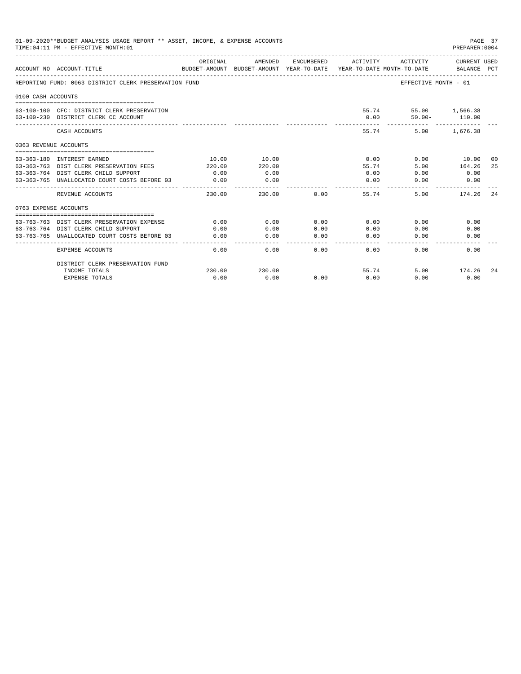|                       | 01-09-2020**BUDGET ANALYSIS USAGE REPORT ** ASSET, INCOME, & EXPENSE ACCOUNTS<br>TIME: 04:11 PM - EFFECTIVE MONTH: 01 |                |                                                                                |                                                                                                                                                                                                                                                                                                                                                                                                      |                       |                                   | PAGE 37<br>PREPARER: 0004      |     |
|-----------------------|-----------------------------------------------------------------------------------------------------------------------|----------------|--------------------------------------------------------------------------------|------------------------------------------------------------------------------------------------------------------------------------------------------------------------------------------------------------------------------------------------------------------------------------------------------------------------------------------------------------------------------------------------------|-----------------------|-----------------------------------|--------------------------------|-----|
|                       | ACCOUNT NO ACCOUNT-TITLE                                                                                              | ORIGINAL       | AMENDED<br>BUDGET-AMOUNT BUDGET-AMOUNT YEAR-TO-DATE YEAR-TO-DATE MONTH-TO-DATE | ENCUMBERED                                                                                                                                                                                                                                                                                                                                                                                           | ACTIVITY              | ACTIVITY                          | CURRENT USED<br>BALANCE PCT    |     |
|                       | REPORTING FUND: 0063 DISTRICT CLERK PRESERVATION FUND                                                                 |                |                                                                                |                                                                                                                                                                                                                                                                                                                                                                                                      |                       | EFFECTIVE MONTH - 01              |                                |     |
| 0100 CASH ACCOUNTS    |                                                                                                                       |                |                                                                                |                                                                                                                                                                                                                                                                                                                                                                                                      |                       |                                   |                                |     |
|                       | 63-100-100 CFC: DISTRICT CLERK PRESERVATION<br>63-100-230 DISTRICT CLERK CC ACCOUNT                                   |                |                                                                                |                                                                                                                                                                                                                                                                                                                                                                                                      | 0.00                  | 55.74 55.00 1,566.38<br>$50.00 -$ | 110.00                         |     |
|                       | CASH ACCOUNTS                                                                                                         |                |                                                                                |                                                                                                                                                                                                                                                                                                                                                                                                      | ------                | 55.74                             | -------------<br>5.00 1,676.38 |     |
| 0363 REVENUE ACCOUNTS |                                                                                                                       |                |                                                                                |                                                                                                                                                                                                                                                                                                                                                                                                      |                       |                                   |                                |     |
|                       |                                                                                                                       |                |                                                                                |                                                                                                                                                                                                                                                                                                                                                                                                      |                       |                                   |                                |     |
|                       | 63-363-180 INTEREST EARNED                                                                                            | 10.00          | 10.00                                                                          |                                                                                                                                                                                                                                                                                                                                                                                                      | 0.00                  |                                   | $0.00$ 10.00<br>164.26         | 00  |
|                       | 63-363-763 DIST CLERK PRESERVATION FEES<br>63-363-764 DIST CLERK CHILD SUPPORT                                        | 220.00<br>0.00 | 220.00<br>0.00                                                                 |                                                                                                                                                                                                                                                                                                                                                                                                      | 55.74<br>0.00         | 5.00<br>0.00                      | 0.00                           | 25  |
|                       |                                                                                                                       |                |                                                                                |                                                                                                                                                                                                                                                                                                                                                                                                      |                       |                                   |                                |     |
|                       | 63-363-765 UNALLOCATED COURT COSTS BEFORE 03                                                                          | 0.00           | 0.00<br>----------                                                             |                                                                                                                                                                                                                                                                                                                                                                                                      | 0.00<br>$- - - - - -$ | 0.00                              | 0.00                           |     |
|                       | REVENUE ACCOUNTS                                                                                                      | 230.00         | 230.00                                                                         | 0.00                                                                                                                                                                                                                                                                                                                                                                                                 | 55.74                 | 5.00                              | 174.26                         | -24 |
| 0763 EXPENSE ACCOUNTS |                                                                                                                       |                |                                                                                |                                                                                                                                                                                                                                                                                                                                                                                                      |                       |                                   |                                |     |
|                       |                                                                                                                       |                |                                                                                |                                                                                                                                                                                                                                                                                                                                                                                                      |                       |                                   |                                |     |
|                       | 63-763-763 DIST CLERK PRESERVATION EXPENSE                                                                            | 0.00           | 0.00                                                                           | 0.00                                                                                                                                                                                                                                                                                                                                                                                                 | 0.00                  | 0.00                              | 0.00                           |     |
|                       | 63-763-764 DIST CLERK CHILD SUPPORT                                                                                   | 0.00           | 0.00                                                                           | 0.00                                                                                                                                                                                                                                                                                                                                                                                                 | 0.00                  | 0.00                              | 0.00                           |     |
|                       | 63-763-765 UNALLOCATED COURT COSTS BEFORE 03                                                                          | 0.00           | 0.00<br>.                                                                      | 0.00<br>$\frac{1}{2} \frac{1}{2} \frac{1}{2} \frac{1}{2} \frac{1}{2} \frac{1}{2} \frac{1}{2} \frac{1}{2} \frac{1}{2} \frac{1}{2} \frac{1}{2} \frac{1}{2} \frac{1}{2} \frac{1}{2} \frac{1}{2} \frac{1}{2} \frac{1}{2} \frac{1}{2} \frac{1}{2} \frac{1}{2} \frac{1}{2} \frac{1}{2} \frac{1}{2} \frac{1}{2} \frac{1}{2} \frac{1}{2} \frac{1}{2} \frac{1}{2} \frac{1}{2} \frac{1}{2} \frac{1}{2} \frac{$ | 0.00<br>-------       | 0.00                              | 0.00                           |     |
|                       | <b>EXPENSE ACCOUNTS</b>                                                                                               | 0.00           | 0.00                                                                           | 0.00                                                                                                                                                                                                                                                                                                                                                                                                 | 0.00                  | 0.00                              | 0.00                           |     |
|                       | DISTRICT CLERK PRESERVATION FUND                                                                                      |                |                                                                                |                                                                                                                                                                                                                                                                                                                                                                                                      |                       |                                   |                                |     |
|                       | INCOME TOTALS                                                                                                         | 230.00         | 230.00                                                                         |                                                                                                                                                                                                                                                                                                                                                                                                      |                       | 55.74                             | 5.00 174.26                    | -24 |
|                       | <b>EXPENSE TOTALS</b>                                                                                                 | 0.00           | 0.00                                                                           | 0.00                                                                                                                                                                                                                                                                                                                                                                                                 | 0.00                  | 0.00                              | 0.00                           |     |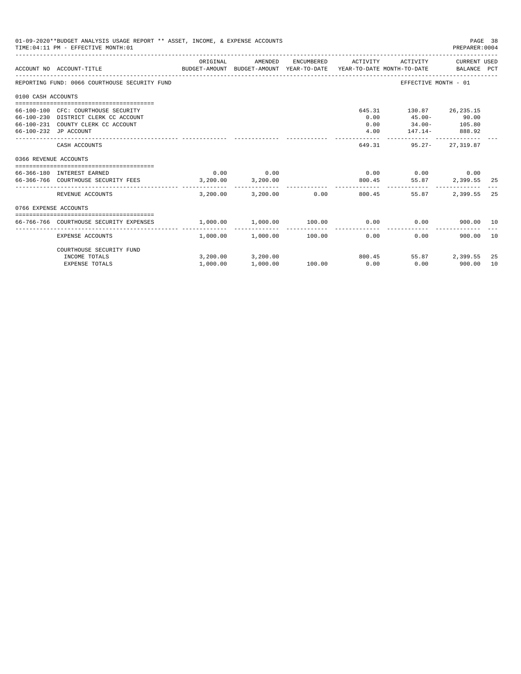|                       | 01-09-2020**BUDGET ANALYSIS USAGE REPORT ** ASSET, INCOME, & EXPENSE ACCOUNTS<br>PAGE 38<br>TIME: 04:11 PM - EFFECTIVE MONTH: 01<br>PREPARER: 0004 |                  |                                           |            |                                |                                                                           |                          |          |  |  |  |
|-----------------------|----------------------------------------------------------------------------------------------------------------------------------------------------|------------------|-------------------------------------------|------------|--------------------------------|---------------------------------------------------------------------------|--------------------------|----------|--|--|--|
|                       | BUDGET-AMOUNT BUDGET-AMOUNT YEAR-TO-DATE YEAR-TO-DATE MONTH-TO-DATE     BALANCE PCT<br>ACCOUNT NO ACCOUNT-TITLE                                    | ORIGINAL         | AMENDED                                   | ENCUMBERED | ACTIVITY                       | ACTIVITY                                                                  | CURRENT USED             |          |  |  |  |
|                       | REPORTING FUND: 0066 COURTHOUSE SECURITY FUND                                                                                                      |                  |                                           |            |                                | EFFECTIVE MONTH - 01                                                      |                          |          |  |  |  |
| 0100 CASH ACCOUNTS    |                                                                                                                                                    |                  |                                           |            |                                |                                                                           |                          |          |  |  |  |
|                       | 66-100-100 CFC: COURTHOUSE SECURITY<br>66-100-230 DISTRICT CLERK CC ACCOUNT<br>66-100-231 COUNTY CLERK CC ACCOUNT<br>66-100-232 JP ACCOUNT         |                  |                                           |            | 645.31<br>0.00<br>0.00<br>4.00 | 130.87 26,235.15<br>$45.00 - 90.00$<br>$34.00 - 105.80$<br>147.14- 888.92 |                          |          |  |  |  |
|                       | CASH ACCOUNTS                                                                                                                                      |                  |                                           |            | 649.31                         | $95.27 -$                                                                 | 27, 319.87               |          |  |  |  |
| 0366 REVENUE ACCOUNTS |                                                                                                                                                    |                  |                                           |            |                                |                                                                           |                          |          |  |  |  |
|                       | 66-366-180 INTEREST EARNED<br>66-366-766 COURTHOUSE SECURITY FEES                                                                                  | 0.00<br>3,200,00 | 0.00<br>3,200.00                          |            | 0.00<br>800.45                 | $0.00$ 0.00<br>55.87                                                      | 2,399.55 25              |          |  |  |  |
|                       | REVENUE ACCOUNTS                                                                                                                                   | 3,200,00         | 3,200.00                                  |            | $0.00$ and $0.00$<br>800.45    | 55.87                                                                     | 2,399.55                 | 25       |  |  |  |
| 0766 EXPENSE ACCOUNTS |                                                                                                                                                    |                  |                                           |            |                                |                                                                           |                          |          |  |  |  |
|                       | 66-766-766 COURTHOUSE SECURITY EXPENSES                                                                                                            | 1,000.00         |                                           |            | $1,000.00$ $100.00$ 0.00       | 0.00                                                                      | 900.00 10                |          |  |  |  |
|                       | <b>EXPENSE ACCOUNTS</b>                                                                                                                            |                  | -------------<br>1,000.00 1,000.00 100.00 |            | ______________<br>0.00         | 0.00                                                                      | 900.00                   | 10       |  |  |  |
|                       | COURTHOUSE SECURITY FUND                                                                                                                           |                  |                                           |            |                                |                                                                           |                          |          |  |  |  |
|                       | INCOME TOTALS<br><b>EXPENSE TOTALS</b>                                                                                                             | 1,000.00         | 3,200.00 3,200.00<br>1,000.00             | 100.00     | 800.45<br>0.00                 | 0.00                                                                      | 55.87 2.399.55<br>900.00 | 25<br>10 |  |  |  |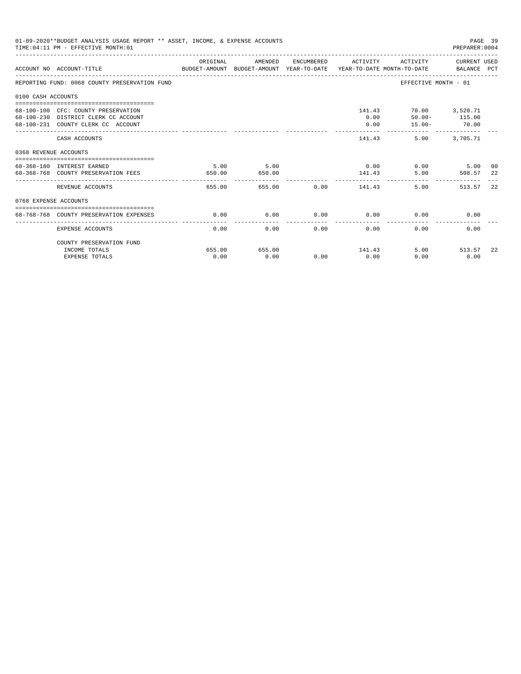| 01-09-2020**BUDGET ANALYSIS USAGE REPORT ** ASSET, INCOME, & EXPENSE ACCOUNTS<br>PAGE 39<br>TIME: 04:11 PM - EFFECTIVE MONTH: 01<br>PREPARER: 0004 |                                                                                                                   |                |                |              |                                   |                                                              |                       |          |  |
|----------------------------------------------------------------------------------------------------------------------------------------------------|-------------------------------------------------------------------------------------------------------------------|----------------|----------------|--------------|-----------------------------------|--------------------------------------------------------------|-----------------------|----------|--|
|                                                                                                                                                    | BUDGET-AMOUNT BUDGET-AMOUNT YEAR-TO-DATE  YEAR-TO-DATE MONTH-TO-DATE     BALANCE PCT<br>ACCOUNT NO ACCOUNT-TITLE  | ORIGINAL       | AMENDED        |              | ENCUMBERED ACTIVITY               |                                                              | ACTIVITY CURRENT USED |          |  |
|                                                                                                                                                    | REPORTING FUND: 0068 COUNTY PRESERVATION FUND                                                                     |                |                |              |                                   | EFFECTIVE MONTH - 01                                         |                       |          |  |
| 0100 CASH ACCOUNTS                                                                                                                                 |                                                                                                                   |                |                |              |                                   |                                                              |                       |          |  |
|                                                                                                                                                    | 68-100-100 CFC: COUNTY PRESERVATION<br>68-100-230 DISTRICT CLERK CC ACCOUNT<br>68-100-231 COUNTY CLERK CC ACCOUNT |                |                |              | 0.00<br>0.00                      | 141.43 70.00 3,520.71<br>$50.00 - 115.00$<br>$15.00 - 70.00$ |                       |          |  |
|                                                                                                                                                    | CASH ACCOUNTS                                                                                                     |                |                |              | 141.43                            |                                                              | 5.00 3,705.71         |          |  |
| 0368 REVENUE ACCOUNTS                                                                                                                              |                                                                                                                   |                |                |              |                                   |                                                              |                       |          |  |
|                                                                                                                                                    | 68-368-180 INTEREST EARNED<br>68-368-768 COUNTY PRESERVATION FEES                                                 | 5.00<br>650.00 | 5.00<br>650.00 |              | 141.43                            | $0.00$ 0.00<br>5.00                                          | 5.00<br>508.57        | 00<br>22 |  |
|                                                                                                                                                    | REVENUE ACCOUNTS                                                                                                  | 655.00         |                |              | -----------<br>655.00 0.00 141.43 | 5.00                                                         | 513.57                | 22       |  |
| 0768 EXPENSE ACCOUNTS                                                                                                                              |                                                                                                                   |                |                |              |                                   |                                                              |                       |          |  |
|                                                                                                                                                    | 68-768-768 COUNTY PRESERVATION EXPENSES                                                                           | 0.00           | 0.00           |              | $0.00$ 0.00                       | 0.00                                                         | 0.00                  |          |  |
|                                                                                                                                                    | EXPENSE ACCOUNTS                                                                                                  | 0.00           |                | 0.00<br>0.00 | 0.00                              | 0.00                                                         | 0.00                  |          |  |
|                                                                                                                                                    | COUNTY PRESERVATION FUND                                                                                          |                |                |              |                                   |                                                              |                       |          |  |
|                                                                                                                                                    | INCOME TOTALS<br><b>EXPENSE TOTALS</b>                                                                            | 655.00<br>0.00 | 655.00<br>0.00 | 0.00         | 141.43<br>0.00                    | 0.00                                                         | 5.00 513.57<br>0.00   | -22      |  |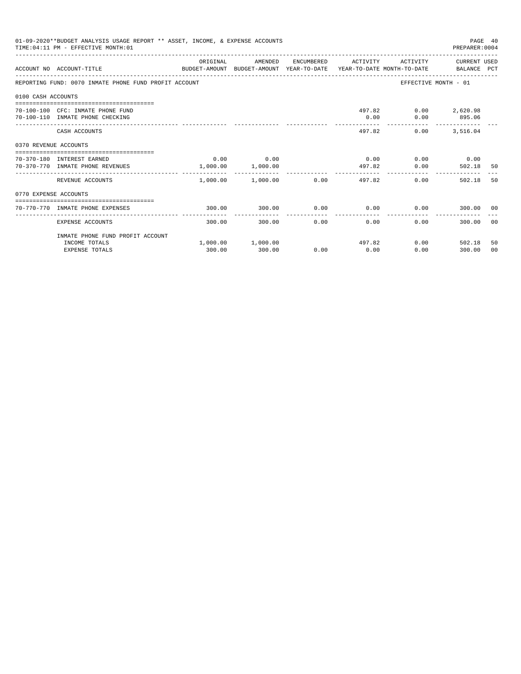| 01-09-2020**BUDGET ANALYSIS USAGE REPORT ** ASSET, INCOME, & EXPENSE ACCOUNTS<br>PAGE 40<br>TIME: 04:11 PM - EFFECTIVE MONTH: 01<br>PREPARER: 0004 |                                                                                                             |          |                                   |      |                |                                              |                             |          |  |
|----------------------------------------------------------------------------------------------------------------------------------------------------|-------------------------------------------------------------------------------------------------------------|----------|-----------------------------------|------|----------------|----------------------------------------------|-----------------------------|----------|--|
|                                                                                                                                                    | BUDGET-AMOUNT BUDGET-AMOUNT YEAR-TO-DATE YEAR-TO-DATE MONTH-TO-DATE BALANCE PCT<br>ACCOUNT NO ACCOUNT-TITLE | ORIGINAL | AMENDED                           |      |                | ENCUMBERED ACTIVITY ACTIVITY CURRENT USED    |                             |          |  |
|                                                                                                                                                    | REPORTING FUND: 0070 INMATE PHONE FUND PROFIT ACCOUNT                                                       |          |                                   |      |                |                                              | EFFECTIVE MONTH - 01        |          |  |
| 0100 CASH ACCOUNTS                                                                                                                                 |                                                                                                             |          |                                   |      |                |                                              |                             |          |  |
|                                                                                                                                                    | 70-100-100 CFC: INMATE PHONE FUND<br>70-100-110 INMATE PHONE CHECKING                                       |          |                                   |      | 0.00           | 497.82 0.00 2,620.98                         | $0.00$ 895.06               |          |  |
|                                                                                                                                                    | CASH ACCOUNTS                                                                                               |          |                                   |      |                | 0.00<br>497.82                               | 3,516.04                    |          |  |
| 0370 REVENUE ACCOUNTS                                                                                                                              |                                                                                                             |          |                                   |      |                |                                              |                             |          |  |
|                                                                                                                                                    | 70-370-180 INTEREST EARNED<br>70-370-770 INMATE PHONE REVENUES                                              |          | $0.00$ 0.00<br>1,000.00 1,000.00  |      | 497.82         | $0.00$ $0.00$ $0.00$ $0.00$<br>$0.00$ 502.18 |                             | 50       |  |
|                                                                                                                                                    | REVENUE ACCOUNTS                                                                                            | -------- | .<br>$1,000.00$ $1,000.00$ $0.00$ |      |                | 497.82                                       | $0.00$ and $0.00$<br>502.18 | 50       |  |
| 0770 EXPENSE ACCOUNTS                                                                                                                              |                                                                                                             |          |                                   |      |                |                                              |                             |          |  |
|                                                                                                                                                    | 70-770-770 INMATE PHONE EXPENSES                                                                            | 300.00   | 300.00                            | 0.00 |                | $0.00$ $0.00$ $0.00$ $300.00$ $00$           |                             |          |  |
|                                                                                                                                                    | EXPENSE ACCOUNTS                                                                                            | 300.00   | 300.00                            | 0.00 | 0.00           | 0.00                                         | 300.00 00                   |          |  |
|                                                                                                                                                    | INMATE PHONE FUND PROFIT ACCOUNT                                                                            |          |                                   |      |                |                                              |                             |          |  |
|                                                                                                                                                    | INCOME TOTALS<br><b>EXPENSE TOTALS</b>                                                                      | 300.00   | 1,000.00 1,000.00<br>300.00       | 0.00 | 497.82<br>0.00 | 0.00                                         | $0.00$ 502.18<br>300.00     | 50<br>00 |  |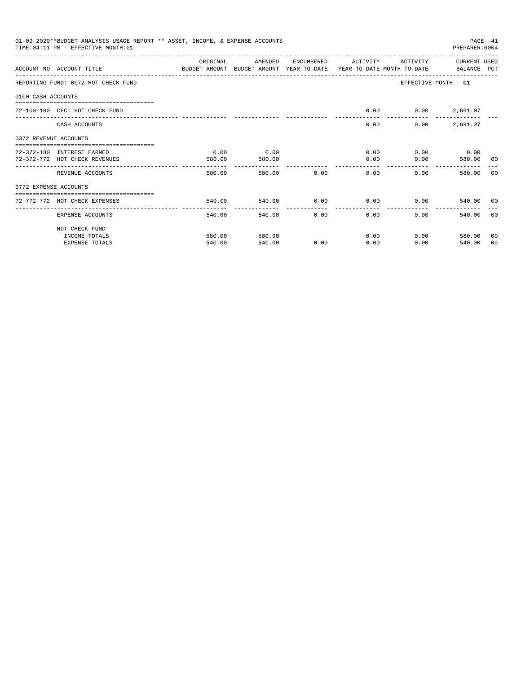| 01-09-2020**BUDGET ANALYSIS USAGE REPORT ** ASSET, INCOME, & EXPENSE ACCOUNTS<br>PAGE 41<br>TIME: 04:11 PM - EFFECTIVE MONTH: 01<br>PREPARER: 0004 |                                                                                                            |                          |         |                  |                |                   |                             |       |  |
|----------------------------------------------------------------------------------------------------------------------------------------------------|------------------------------------------------------------------------------------------------------------|--------------------------|---------|------------------|----------------|-------------------|-----------------------------|-------|--|
|                                                                                                                                                    | ACCOUNT NO ACCOUNT-TITLE COMPUTER ANOUNT BUDGET-AMOUNT HEAR-TO-DATE YEAR-TO-DATE MONTH-TO-DATE BALANCE PCT | OR TGTNAL                | AMENDED | ENCUMBERED       | ACTIVITY       | ACTIVITY          | CURRENT USED                |       |  |
|                                                                                                                                                    | REPORTING FUND: 0072 HOT CHECK FUND                                                                        |                          |         |                  |                |                   | EFFECTIVE MONTH - 01        |       |  |
| 0100 CASH ACCOUNTS                                                                                                                                 |                                                                                                            |                          |         |                  |                |                   |                             |       |  |
|                                                                                                                                                    | 72-100-100 CFC: HOT CHECK FUND                                                                             |                          |         |                  | 0.00           |                   | $0.00$ 2,691.07             |       |  |
|                                                                                                                                                    | CASH ACCOUNTS                                                                                              |                          |         |                  | 0.00           | 0.00              | 2,691.07                    |       |  |
| 0372 REVENUE ACCOUNTS                                                                                                                              |                                                                                                            |                          |         |                  |                |                   |                             |       |  |
|                                                                                                                                                    | 72-372-180 INTEREST EARNED                                                                                 | 0.00                     | 0.00    |                  |                | $0.00$ and $0.00$ | $0.00$ 0.00                 |       |  |
|                                                                                                                                                    | 72-372-772 HOT CHECK REVENUES                                                                              | 580.00                   | 580.00  |                  | 0.00           | 0.00              | 580.00 00                   |       |  |
|                                                                                                                                                    | REVENUE ACCOUNTS                                                                                           | 580.00                   |         | 580.00 0.00      | 0.00           | $0.00 -$          | 580.00                      | - 0.0 |  |
| 0772 EXPENSE ACCOUNTS                                                                                                                              |                                                                                                            |                          |         |                  |                |                   |                             |       |  |
|                                                                                                                                                    | 72-772-772 HOT CHECK EXPENSES                                                                              | 540.00                   |         | 540.00 0.00 0.00 |                |                   | 0.00<br>540.00 00           |       |  |
|                                                                                                                                                    | EXPENSE ACCOUNTS                                                                                           | --------------<br>540.00 | 540.00  | 0.00             | -------------- | 0.00<br>0.00      | 540.00                      | - 0.0 |  |
|                                                                                                                                                    | HOT CHECK FUND                                                                                             |                          |         |                  |                |                   |                             |       |  |
|                                                                                                                                                    | INCOME TOTALS                                                                                              | 580.00                   | 580.00  |                  | 0.00           |                   | $0.00$ and $0.00$<br>580.00 | 00    |  |
|                                                                                                                                                    | <b>EXPENSE TOTALS</b>                                                                                      | 540.00                   | 540.00  | 0.00             | 0.00           | 0.00              | 540.00                      | 00    |  |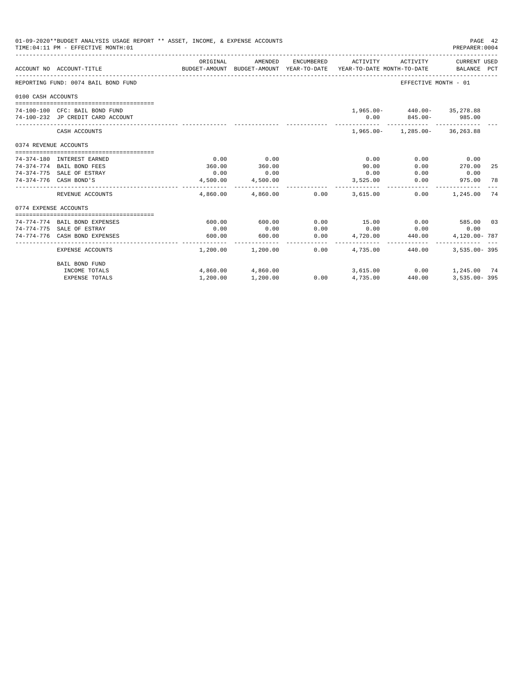|                       | 01-09-2020**BUDGET ANALYSIS USAGE REPORT ** ASSET, INCOME, & EXPENSE ACCOUNTS<br>TIME: 04:11 PM - EFFECTIVE MONTH: 01 |          |                                                                                |            |                   |                                 | PAGE 42<br>PREPARER: 0004   |    |
|-----------------------|-----------------------------------------------------------------------------------------------------------------------|----------|--------------------------------------------------------------------------------|------------|-------------------|---------------------------------|-----------------------------|----|
|                       | ACCOUNT NO ACCOUNT-TITLE                                                                                              | ORIGINAL | AMENDED<br>BUDGET-AMOUNT BUDGET-AMOUNT YEAR-TO-DATE YEAR-TO-DATE MONTH-TO-DATE | ENCUMBERED | ACTIVITY          | ACTIVITY                        | CURRENT USED<br>BALANCE PCT |    |
|                       | REPORTING FUND: 0074 BAIL BOND FUND                                                                                   |          |                                                                                |            |                   | EFFECTIVE MONTH - 01            |                             |    |
| 0100 CASH ACCOUNTS    |                                                                                                                       |          |                                                                                |            |                   |                                 |                             |    |
|                       |                                                                                                                       |          |                                                                                |            |                   |                                 |                             |    |
|                       | 74-100-100 CFC: BAIL BOND FUND                                                                                        |          |                                                                                |            |                   | 1,965.00- 440.00- 35,278.88     |                             |    |
|                       | 74-100-232 JP CREDIT CARD ACCOUNT                                                                                     |          |                                                                                |            |                   | $0.00$ $845.00 - 985.00$        |                             |    |
|                       | CASH ACCOUNTS                                                                                                         |          |                                                                                |            |                   | 1,965.00- 1,285.00- 36,263.88   |                             |    |
| 0374 REVENUE ACCOUNTS |                                                                                                                       |          |                                                                                |            |                   |                                 |                             |    |
|                       |                                                                                                                       |          |                                                                                |            |                   |                                 |                             |    |
|                       | 74-374-180 INTEREST EARNED                                                                                            | 0.00     | 0.00                                                                           |            | 0.00              | 0.00                            | 0.00                        |    |
|                       | 74-374-774 BAIL BOND FEES                                                                                             | 360.00   | 360.00                                                                         |            | 90.00             | 0.00                            | 270.00                      | 25 |
|                       | 74-374-775 SALE OF ESTRAY                                                                                             | 0.00     | 0.00                                                                           |            | 0.00              | 0.00                            | 0.00                        |    |
|                       | 74-374-776 CASH BOND'S                                                                                                | 4,500.00 | 4,500.00                                                                       |            | 3,525.00          | 0.00                            | 975.00                      | 78 |
|                       | REVENUE ACCOUNTS                                                                                                      |          | 4,860.00 4,860.00 0.00                                                         |            | 3,615,00          | 0.00                            | 1,245.00                    | 74 |
| 0774 EXPENSE ACCOUNTS |                                                                                                                       |          |                                                                                |            |                   |                                 |                             |    |
|                       | ------------------------------------                                                                                  |          |                                                                                |            |                   |                                 |                             |    |
|                       | 74-774-774 BAIL BOND EXPENSES                                                                                         | 600.00   | 600.00                                                                         | 0.00       |                   | 15.00 0.00 585.00 03            |                             |    |
|                       | 74-774-775 SALE OF ESTRAY                                                                                             | 0.00     | 0.00                                                                           | 0.00       |                   | $0.00$ 0.00                     | 0.00                        |    |
|                       | 74-774-776 CASH BOND EXPENSES                                                                                         | 600.00   | 600.00                                                                         | 0.00       | 4,720.00<br>.     | 440.00                          | 4,120.00-787                |    |
|                       | EXPENSE ACCOUNTS                                                                                                      |          | $1,200.00$ $1,200.00$                                                          | 0.00       | 4,735,00          | 440.00                          | $3.535.00 - 395$            |    |
|                       | BAIL BOND FUND                                                                                                        |          |                                                                                |            |                   |                                 |                             |    |
|                       | INCOME TOTALS                                                                                                         |          | 4,860.00 4,860.00                                                              |            |                   | 3,615.00   0.00   1,245.00   74 |                             |    |
|                       | <b>EXPENSE TOTALS</b>                                                                                                 | 1,200.00 | 1,200.00                                                                       |            | $0.00$ $4,735.00$ | 440.00                          | $3.535.00 - 395$            |    |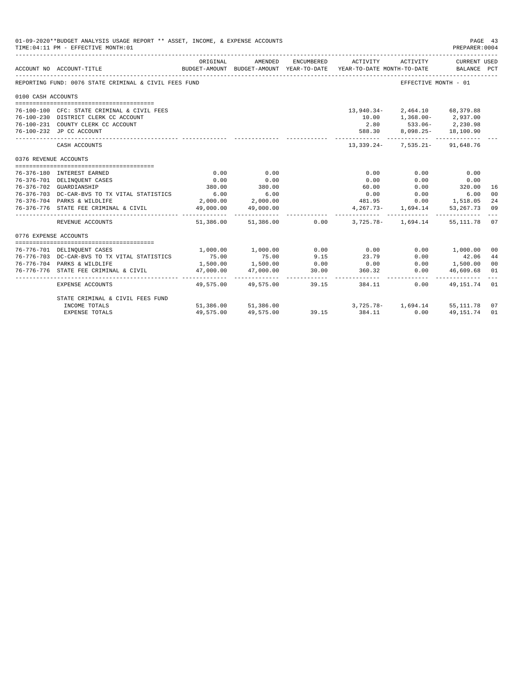| 01-09-2020**BUDGET ANALYSIS USAGE REPORT ** ASSET, INCOME, & EXPENSE ACCOUNTS<br>PAGE 43<br>TIME: 04:11 PM - EFFECTIVE MONTH: 01<br>PREPARER: 0004 |                                                                             |             |                                                     |            |                                                      |                                        |                             |                |  |
|----------------------------------------------------------------------------------------------------------------------------------------------------|-----------------------------------------------------------------------------|-------------|-----------------------------------------------------|------------|------------------------------------------------------|----------------------------------------|-----------------------------|----------------|--|
|                                                                                                                                                    | ACCOUNT NO ACCOUNT-TITLE                                                    | ORIGINAL    | AMENDED<br>BUDGET-AMOUNT BUDGET-AMOUNT YEAR-TO-DATE | ENCUMBERED | ACTIVITY<br>YEAR-TO-DATE MONTH-TO-DATE BALANCE PCT   | ACTIVITY                               | CURRENT USED                |                |  |
|                                                                                                                                                    | REPORTING FUND: 0076 STATE CRIMINAL & CIVIL FEES FUND                       |             |                                                     |            |                                                      | EFFECTIVE MONTH - 01                   |                             |                |  |
| 0100 CASH ACCOUNTS                                                                                                                                 |                                                                             |             |                                                     |            |                                                      |                                        |                             |                |  |
|                                                                                                                                                    |                                                                             |             |                                                     |            |                                                      |                                        |                             |                |  |
|                                                                                                                                                    | 76-100-100 CFC: STATE CRIMINAL & CIVIL FEES                                 |             |                                                     |            | 13,940.34-                                           |                                        | 2,464.10 68,379.88          |                |  |
|                                                                                                                                                    | 76-100-230 DISTRICT CLERK CC ACCOUNT                                        |             |                                                     |            |                                                      | 10.00   1,368.00-   2,937.00           |                             |                |  |
|                                                                                                                                                    | 76-100-231 COUNTY CLERK CC ACCOUNT                                          |             |                                                     |            |                                                      | 2.80 533.06-                           | 2,230.98                    |                |  |
|                                                                                                                                                    | 76-100-232 JP CC ACCOUNT                                                    |             |                                                     |            | 588.30<br>----------- -                              |                                        | 8,098.25- 18,100.90         |                |  |
|                                                                                                                                                    | CASH ACCOUNTS                                                               |             |                                                     |            |                                                      | 13, 339. 24 - 7, 535. 21 - 91, 648. 76 |                             |                |  |
| 0376 REVENUE ACCOUNTS                                                                                                                              |                                                                             |             |                                                     |            |                                                      |                                        |                             |                |  |
|                                                                                                                                                    |                                                                             |             |                                                     |            |                                                      |                                        |                             |                |  |
|                                                                                                                                                    | 76-376-180 INTEREST EARNED                                                  | 0.00        | 0.00                                                |            | 0.00                                                 | 0.00                                   | 0.00                        |                |  |
|                                                                                                                                                    | 76-376-701 DELINQUENT CASES                                                 | 0.00        | 0.00                                                |            | 0.00                                                 | 0.00                                   | 0.00                        |                |  |
|                                                                                                                                                    | 76-376-702 GUARDIANSHIP                                                     | 380.00      | 380.00                                              |            | 60.00                                                | 0.00                                   | 320.00                      | 16             |  |
|                                                                                                                                                    | 76-376-703 DC-CAR-BVS TO TX VITAL STATISTICS                                | 6.00        | 6.00                                                |            | 0.00                                                 | 0.00                                   | 6.00                        | 00             |  |
|                                                                                                                                                    | 76-376-704 PARKS & WILDLIFE                                                 |             | 2,000.00 2,000.00                                   |            | 481.95                                               |                                        | $0.00$ 1,518.05             | 24             |  |
|                                                                                                                                                    | 76-376-776 STATE FEE CRIMINAL & CIVIL                                       |             | 49,000.00 49,000.00                                 |            |                                                      | 4, 267. 73 - 1, 694. 14                | 53, 267. 73<br>------------ | 09             |  |
|                                                                                                                                                    | REVENUE ACCOUNTS                                                            |             |                                                     |            | $51,386.00$ $51,386.00$ $0.00$ $3,725.78$ $1,694.14$ |                                        | 55,111.78                   | 0.7            |  |
| 0776 EXPENSE ACCOUNTS                                                                                                                              |                                                                             |             |                                                     |            |                                                      |                                        |                             |                |  |
|                                                                                                                                                    |                                                                             | 1,000.00    | 1,000.00                                            | 0.00       | 0.00                                                 |                                        | 0.00 1,000.00               | 0 <sup>0</sup> |  |
|                                                                                                                                                    | 76-776-701 DELINQUENT CASES<br>76-776-703 DC-CAR-BVS TO TX VITAL STATISTICS | 75.00       |                                                     | 9.15       | 23.79                                                | 0.00                                   | 42.06                       | 44             |  |
|                                                                                                                                                    | 76-776-704 PARKS & WILDLIFE                                                 | 1,500.00    | 75.00<br>1,500.00                                   | 0.00       | 0.00                                                 | 0.00                                   | 1,500.00                    | 0 <sub>0</sub> |  |
|                                                                                                                                                    | 76-776-776 STATE FEE CRIMINAL & CIVIL                                       | 47,000.00   | 47,000.00                                           | 30.00      | 360.32                                               | 0.00                                   | 46,609.68                   | 01             |  |
|                                                                                                                                                    |                                                                             | ----------- |                                                     |            |                                                      |                                        |                             |                |  |
|                                                                                                                                                    | EXPENSE ACCOUNTS                                                            |             | 49,575,00 49,575,00                                 |            | 39.15<br>384.11                                      | 0.00                                   | 49,151.74 01                |                |  |
|                                                                                                                                                    | STATE CRIMINAL & CIVIL FEES FUND                                            |             |                                                     |            |                                                      |                                        |                             |                |  |
|                                                                                                                                                    | INCOME TOTALS                                                               |             | 51,386.00 51,386.00                                 | 39.15      |                                                      | 3,725.78- 1,694.14 55,111.78           |                             | 07             |  |
|                                                                                                                                                    | <b>EXPENSE TOTALS</b>                                                       | 49,575.00   | 49,575.00                                           | 39.15      | 384.11                                               | 0.00                                   | 49,151.74                   | 01             |  |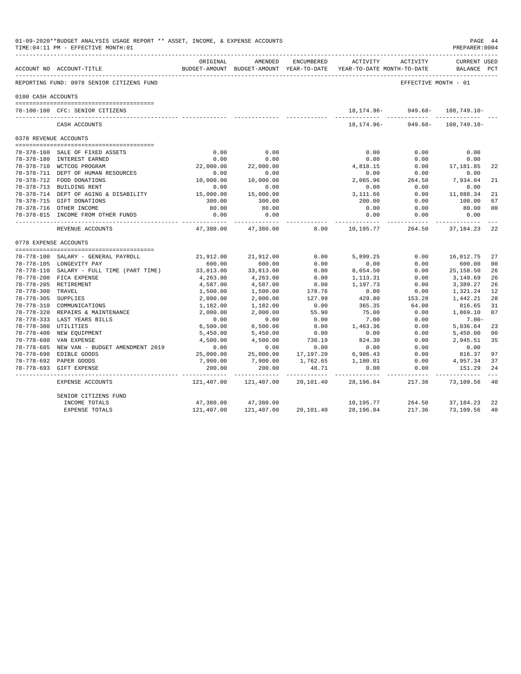|                     | 01-09-2020**BUDGET ANALYSIS USAGE REPORT ** ASSET, INCOME, & EXPENSE ACCOUNTS<br>PAGE 44<br>TIME: 04:11 PM - EFFECTIVE MONTH: 01<br>PREPARER: 0004 |                     |                           |                         |                                                                                 |                                        |                                    |                |  |  |  |
|---------------------|----------------------------------------------------------------------------------------------------------------------------------------------------|---------------------|---------------------------|-------------------------|---------------------------------------------------------------------------------|----------------------------------------|------------------------------------|----------------|--|--|--|
|                     | ACCOUNT NO ACCOUNT-TITLE                                                                                                                           | ORIGINAL            | AMENDED                   | ENCUMBERED              | ACTIVITY<br>BUDGET-AMOUNT BUDGET-AMOUNT YEAR-TO-DATE YEAR-TO-DATE MONTH-TO-DATE | ACTIVITY                               | <b>CURRENT USED</b><br>BALANCE PCT |                |  |  |  |
|                     | REPORTING FUND: 0078 SENIOR CITIZENS FUND                                                                                                          |                     |                           |                         |                                                                                 | EFFECTIVE MONTH - 01                   |                                    |                |  |  |  |
| 0100 CASH ACCOUNTS  |                                                                                                                                                    |                     |                           |                         |                                                                                 |                                        |                                    |                |  |  |  |
|                     | 78-100-100 CFC: SENIOR CITIZENS                                                                                                                    |                     |                           |                         |                                                                                 | 18, 174. 96 - 949. 68 -<br>----------- | $108, 749.10 -$                    |                |  |  |  |
|                     | CASH ACCOUNTS                                                                                                                                      |                     |                           |                         |                                                                                 | 18, 174, 96 - 949, 68 - 108, 749, 10 - |                                    |                |  |  |  |
|                     | 0378 REVENUE ACCOUNTS                                                                                                                              |                     |                           |                         |                                                                                 |                                        |                                    |                |  |  |  |
|                     |                                                                                                                                                    |                     |                           |                         |                                                                                 |                                        |                                    |                |  |  |  |
|                     | 78-378-160 SALE OF FIXED ASSETS                                                                                                                    | 0.00                | 0.00                      |                         | 0.00                                                                            | 0.00                                   | 0.00                               |                |  |  |  |
|                     | 78-378-180 INTEREST EARNED                                                                                                                         | 0.00                | 0.00                      |                         | 0.00                                                                            | 0.00                                   | 0.00                               |                |  |  |  |
|                     | 78-378-710 WCTCOG PROGRAM                                                                                                                          | 22,000.00           | 22,000.00                 |                         | 4,818.15                                                                        | 0.00                                   | 17,181.85                          | 2.2.           |  |  |  |
|                     | 78-378-711 DEPT OF HUMAN RESOURCES                                                                                                                 | 0.00                | 0.00                      |                         | 0.00                                                                            | 0.00                                   | 0.00                               |                |  |  |  |
|                     | 78-378-712 FOOD DONATIONS                                                                                                                          | 10,000.00           | 10,000.00                 |                         | 2,065.96                                                                        | 264.50                                 | 7.934.04                           | 21             |  |  |  |
|                     | 78-378-713 BUILDING RENT                                                                                                                           | 0.00                | 0.00                      |                         | 0.00                                                                            | 0.00                                   | 0.00                               |                |  |  |  |
|                     | 78-378-714 DEPT OF AGING & DISABILITY                                                                                                              | 15,000.00           | 15,000.00                 |                         | 3,111.66                                                                        | 0.00                                   | 11,888.34                          | 21             |  |  |  |
|                     | 78-378-715 GIFT DONATIONS                                                                                                                          | 300.00              | 300.00                    |                         | 200.00                                                                          | 0.00                                   | 100.00                             | 67             |  |  |  |
|                     | 78-378-716 OTHER INCOME                                                                                                                            | 80.00               | 80.00                     |                         | 0.00                                                                            | 0.00                                   | 80.00                              | 00             |  |  |  |
|                     | 78-378-815 INCOME FROM OTHER FUNDS                                                                                                                 | 0.00<br>----------- | 0.00<br>----------        |                         | 0.00<br>-----------                                                             | 0.00<br>-----------                    | 0.00<br>------------               | $- - -$        |  |  |  |
|                     | REVENUE ACCOUNTS                                                                                                                                   | 47,380.00           | 47,380.00                 | 0.00                    | 10,195.77                                                                       | 264.50                                 | 37,184.23                          | 22             |  |  |  |
|                     | 0778 EXPENSE ACCOUNTS                                                                                                                              |                     |                           |                         |                                                                                 |                                        |                                    |                |  |  |  |
|                     | 78-778-100 SALARY - GENERAL PAYROLL                                                                                                                | 21,912.00           | 21,912.00                 | 0.00                    | 5,899.25                                                                        | 0.00                                   | 16,012.75                          | 27             |  |  |  |
|                     | 78-778-105 LONGEVITY PAY                                                                                                                           | 600.00              | 600.00                    | 0.00                    | 0.00                                                                            | 0.00                                   | 600.00                             | 00             |  |  |  |
|                     | 78-778-110 SALARY - FULL TIME (PART TIME)                                                                                                          | 33,813.00           | 33,813.00                 | 0.00                    | 8,654.50                                                                        | 0.00                                   | 25,158.50                          | 26             |  |  |  |
|                     | 78-778-200 FICA EXPENSE                                                                                                                            | 4,263.00            | 4,263.00                  | 0.00                    | 1,113.31                                                                        | 0.00                                   | 3,149.69                           | 26             |  |  |  |
|                     | 78-778-205 RETIREMENT                                                                                                                              | 4,587.00            | 4,587.00                  | 0.00                    | 1,197.73                                                                        | 0.00                                   | 3,389.27                           | 26             |  |  |  |
| 78-778-300 TRAVEL   |                                                                                                                                                    | 1,500.00            | 1,500.00                  | 178.76                  | 0.00                                                                            | 0.00                                   | 1,321.24                           | 12             |  |  |  |
| 78-778-305 SUPPLIES |                                                                                                                                                    | 2,000.00            | 2,000.00                  | 127.99                  | 429.80                                                                          | 153.28                                 | 1,442.21                           | 28             |  |  |  |
|                     | 78-778-310 COMMUNICATIONS                                                                                                                          | 1,182.00            | 1,182.00                  | 0.00                    | 365.35                                                                          | 64.08                                  | 816.65                             | 31             |  |  |  |
|                     | 78-778-320 REPAIRS & MAINTENANCE                                                                                                                   | 2,000.00            | 2,000.00                  | 55.90                   | 75.00                                                                           | 0.00                                   | 1,869.10                           | 07             |  |  |  |
|                     | 78-778-333 LAST YEARS BILLS                                                                                                                        | 0.00                | 0.00                      | 0.00                    | 7.00                                                                            | 0.00                                   | $7.00 -$                           |                |  |  |  |
|                     | 78-778-380 UTILITIES                                                                                                                               | 6,500.00            | 6,500.00                  | 0.00                    | 1,463.36                                                                        | 0.00                                   | 5,036.64                           | 23             |  |  |  |
|                     | 78-778-400 NEW EQUIPMENT                                                                                                                           | 5,450.00            | 5,450.00                  | 0.00                    | 0.00                                                                            | 0.00                                   | 5,450.00                           | 0 <sub>0</sub> |  |  |  |
| 78-778-680          | VAN EXPENSE                                                                                                                                        | 4,500.00            | 4,500.00                  | 730.19                  | 824.30                                                                          | 0.00                                   | 2,945.51                           | 35             |  |  |  |
|                     | 78-778-685 NEW VAN - BUDGET AMENDMENT 2019                                                                                                         | 0.00                | 0.00                      | 0.00                    | 0.00                                                                            | 0.00                                   | 0.00                               |                |  |  |  |
|                     | 78-778-690 EDIBLE GOODS                                                                                                                            | 25,000.00           | 25,000.00                 | 17,197.20               | 6,986.43                                                                        | 0.00                                   | 816.37                             | 97             |  |  |  |
|                     | 78-778-692 PAPER GOODS                                                                                                                             | 7,900.00            | 7,900.00                  | 1,762.65                | 1,180.01                                                                        | 0.00                                   | 4,957.34                           | 37             |  |  |  |
|                     | 78-778-693 GIFT EXPENSE                                                                                                                            | 200.00              | 200.00                    | 48.71                   | 0.00                                                                            | 0.00                                   | 151.29                             | 24             |  |  |  |
|                     | EXPENSE ACCOUNTS                                                                                                                                   | .<br>121,407.00     | -----------<br>121,407.00 | ----------<br>20,101.40 | -----------<br>28,196.04                                                        | -----------<br>217.36                  | 73,109.56                          | $- - -$<br>40  |  |  |  |
|                     | SENIOR CITIZENS FUND                                                                                                                               |                     |                           |                         |                                                                                 |                                        |                                    |                |  |  |  |
|                     | INCOME TOTALS                                                                                                                                      | 47,380.00           | 47,380.00                 |                         | 10,195.77                                                                       | 264.50                                 | 37,184.23                          | 22             |  |  |  |
|                     | <b>EXPENSE TOTALS</b>                                                                                                                              | 121,407.00          | 121,407.00                | 20,101.40               | 28,196.04                                                                       | 217.36                                 | 73,109.56                          | 40             |  |  |  |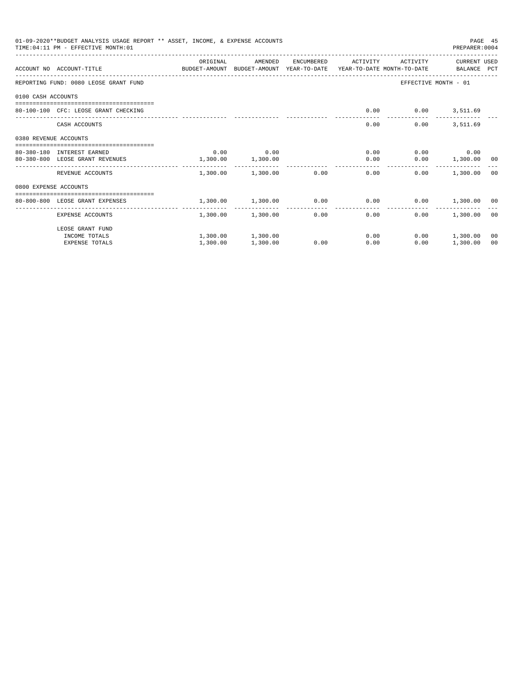| 01-09-2020**BUDGET ANALYSIS USAGE REPORT ** ASSET, INCOME, & EXPENSE ACCOUNTS<br>PAGE 45<br>TIME: 04:11 PM - EFFECTIVE MONTH: 01<br>PREPARER: 0004 |                                                                                                            |              |                        |            |                       |          |                      |    |  |
|----------------------------------------------------------------------------------------------------------------------------------------------------|------------------------------------------------------------------------------------------------------------|--------------|------------------------|------------|-----------------------|----------|----------------------|----|--|
|                                                                                                                                                    | ACCOUNT NO ACCOUNT-TITLE COMPUTER ANOUNT BUDGET-AMOUNT HEAR-TO-DATE YEAR-TO-DATE MONTH-TO-DATE BALANCE PCT | ORIGINAL     | AMENDED                | ENCUMBERED | ACTIVITY              | ACTIVITY | CURRENT USED         |    |  |
|                                                                                                                                                    | REPORTING FUND: 0080 LEOSE GRANT FUND                                                                      |              |                        |            |                       |          | EFFECTIVE MONTH - 01 |    |  |
| 0100 CASH ACCOUNTS                                                                                                                                 |                                                                                                            |              |                        |            |                       |          |                      |    |  |
|                                                                                                                                                    | 80-100-100 CFC: LEOSE GRANT CHECKING                                                                       |              |                        |            | 0.00                  |          | $0.00$ 3,511.69      |    |  |
|                                                                                                                                                    | CASH ACCOUNTS                                                                                              |              |                        |            | 0.00                  | 0.00     | 3,511.69             |    |  |
| 0380 REVENUE ACCOUNTS                                                                                                                              |                                                                                                            |              |                        |            |                       |          |                      |    |  |
|                                                                                                                                                    | 80-380-180 INTEREST EARNED                                                                                 | 0.00         | 0.00                   |            | 0.00                  |          | $0.00$ 0.00          |    |  |
|                                                                                                                                                    | 80-380-800 LEOSE GRANT REVENUES                                                                            | 1,300.00     | 1,300.00               |            | 0.00                  |          | $0.00$ 1,300.00 00   |    |  |
|                                                                                                                                                    | REVENUE ACCOUNTS                                                                                           | ------------ | 1,300.00 1,300.00 0.00 |            | 0.00                  | 0.00     | 1,300.00 00          |    |  |
| 0800 EXPENSE ACCOUNTS                                                                                                                              |                                                                                                            |              |                        |            |                       |          |                      |    |  |
|                                                                                                                                                    | 80-800-800 LEOSE GRANT EXPENSES                                                                            |              | 1,300.00 1,300.00 0.00 |            | 0.00                  |          | $0.00$ 1,300.00 00   |    |  |
|                                                                                                                                                    | -------------------- -<br>EXPENSE ACCOUNTS                                                                 | ---------    | 1,300.00 1,300.00      | 0.00       | -------------<br>0.00 | 0.00     | 1,300.00 00          |    |  |
|                                                                                                                                                    | LEOSE GRANT FUND                                                                                           |              |                        |            |                       |          |                      |    |  |
|                                                                                                                                                    | INCOME TOTALS                                                                                              |              | 1,300.00 1,300.00      |            | 0.00                  |          | $0.00$ 1,300.00      | 00 |  |
|                                                                                                                                                    | <b>EXPENSE TOTALS</b>                                                                                      | 1,300.00     | 1,300.00               | 0.00       | 0.00                  | 0.00     | 1,300.00             | 00 |  |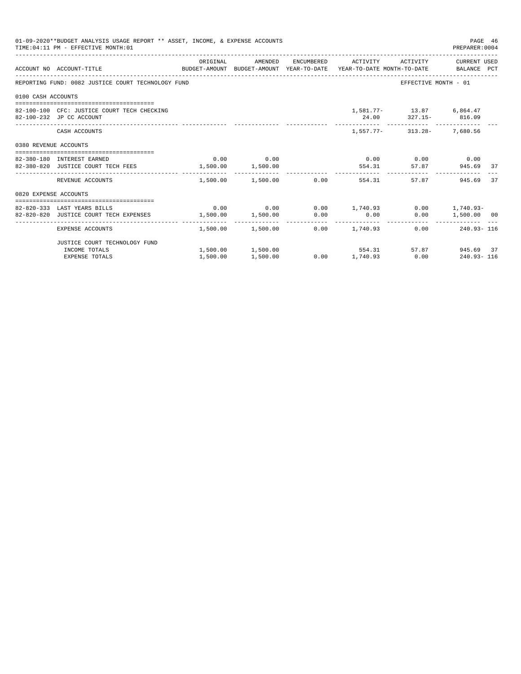|                       | 01-09-2020**BUDGET ANALYSIS USAGE REPORT ** ASSET, INCOME, & EXPENSE ACCOUNTS<br>PAGE 46<br>TIME: 04:11 PM - EFFECTIVE MONTH: 01<br>PREPARER: 0004<br>AMENDED ENCUMBERED ACTIVITY ACTIVITY CURRENT USED |          |                            |  |                                                                                                 |                                                  |                    |    |  |  |  |
|-----------------------|---------------------------------------------------------------------------------------------------------------------------------------------------------------------------------------------------------|----------|----------------------------|--|-------------------------------------------------------------------------------------------------|--------------------------------------------------|--------------------|----|--|--|--|
|                       | ACCOUNT NO ACCOUNT-TITLE CONTROL BUDGET-AMOUNT BUDGET-AMOUNT YEAR-TO-DATE YEAR-TO-DATE MONTH-TO-DATE BALANCE PCT                                                                                        | ORIGINAL |                            |  |                                                                                                 |                                                  |                    |    |  |  |  |
|                       | REPORTING FUND: 0082 JUSTICE COURT TECHNOLOGY FUND                                                                                                                                                      |          |                            |  |                                                                                                 | EFFECTIVE MONTH - 01                             |                    |    |  |  |  |
| 0100 CASH ACCOUNTS    |                                                                                                                                                                                                         |          |                            |  |                                                                                                 |                                                  |                    |    |  |  |  |
|                       | 82-100-100 CFC: JUSTICE COURT TECH CHECKING<br>82-100-232 JP CC ACCOUNT                                                                                                                                 |          |                            |  |                                                                                                 | 1,581.77- 13.87 6,864.47<br>24.00 327.15- 816.09 |                    |    |  |  |  |
|                       | CASH ACCOUNTS                                                                                                                                                                                           |          |                            |  |                                                                                                 | 1,557.77- 313.28- 7,680.56                       |                    |    |  |  |  |
| 0380 REVENUE ACCOUNTS |                                                                                                                                                                                                         |          |                            |  |                                                                                                 |                                                  |                    |    |  |  |  |
|                       |                                                                                                                                                                                                         |          | $0.00$ 0.00                |  |                                                                                                 |                                                  |                    |    |  |  |  |
|                       | 82-380-180 INTEREST EARNED<br>82-380-820 JUSTICE COURT TECH FEES 1,500.00 1,500.00 1,500.00 554.31                                                                                                      |          |                            |  | $0.00$ $0.00$ $0.00$ $0.00$                                                                     |                                                  | 57.87 945.69 37    |    |  |  |  |
|                       | REVENUE ACCOUNTS                                                                                                                                                                                        |          | $1.500.00$ $1.500.00$ 0.00 |  | 554.31                                                                                          | 57.87                                            | 945.69             | 37 |  |  |  |
| 0820 EXPENSE ACCOUNTS |                                                                                                                                                                                                         |          |                            |  |                                                                                                 |                                                  |                    |    |  |  |  |
|                       |                                                                                                                                                                                                         |          |                            |  |                                                                                                 |                                                  |                    |    |  |  |  |
|                       | 82-820-333 LAST YEARS BILLS<br>82-820-820 JUSTICE COURT TECH EXPENSES                                                                                                                                   |          |                            |  | $0.00$ $0.00$ $0.00$ $1,740.93$ $0.00$ $1,740.93$ $0.00$<br>$1,500.00$ $1,500.00$ $0.00$ $0.00$ |                                                  | $0.00$ 1,500.00 00 |    |  |  |  |
|                       | EXPENSE ACCOUNTS                                                                                                                                                                                        |          |                            |  | $1.500.00$ $1.500.00$ $0.00$ $1.740.93$                                                         |                                                  | $0.00$ 240.93-116  |    |  |  |  |
|                       |                                                                                                                                                                                                         |          |                            |  |                                                                                                 |                                                  |                    |    |  |  |  |
|                       | JUSTICE COURT TECHNOLOGY FUND<br>INCOME TOTALS                                                                                                                                                          |          |                            |  | $1,500.00$ $1,500.00$ $554.31$                                                                  |                                                  | 57.87 945.69 37    |    |  |  |  |
|                       | EXPENSE TOTALS                                                                                                                                                                                          | 1,500.00 | 1,500.00                   |  | $0.00$ 1,740.93 0.00 240.93-116                                                                 |                                                  |                    |    |  |  |  |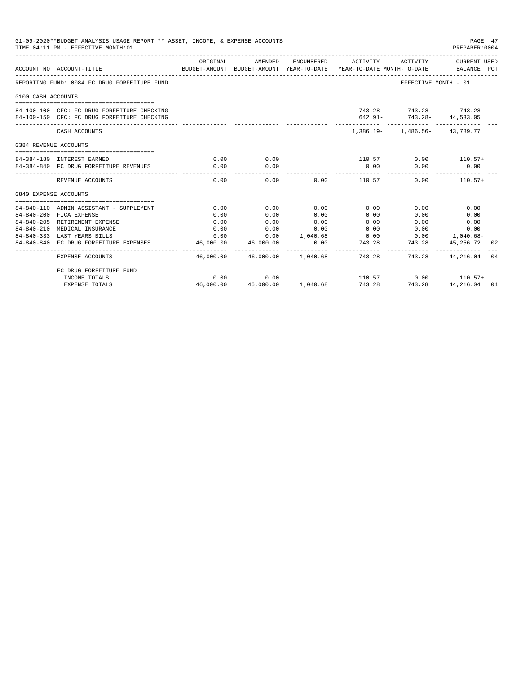|                       | 01-09-2020**BUDGET ANALYSIS USAGE REPORT ** ASSET, INCOME, & EXPENSE ACCOUNTS<br>TIME: 04:11 PM - EFFECTIVE MONTH: 01 |                         |                            |                      |                |                                                                                                                              | PAGE 47<br>PREPARER:0004 |    |
|-----------------------|-----------------------------------------------------------------------------------------------------------------------|-------------------------|----------------------------|----------------------|----------------|------------------------------------------------------------------------------------------------------------------------------|--------------------------|----|
|                       | ACCOUNT NO ACCOUNT-TITLE                                                                                              | ORIGINAL                | AMENDED                    |                      |                | ENCUMBERED ACTIVITY ACTIVITY CURRENT USED<br>BUDGET-AMOUNT BUDGET-AMOUNT YEAR-TO-DATE YEAR-TO-DATE MONTH-TO-DATE BALANCE PCT |                          |    |
|                       | REPORTING FUND: 0084 FC DRUG FORFEITURE FUND                                                                          |                         |                            |                      |                | EFFECTIVE MONTH - 01                                                                                                         |                          |    |
| 0100 CASH ACCOUNTS    |                                                                                                                       |                         |                            |                      |                |                                                                                                                              |                          |    |
|                       |                                                                                                                       |                         |                            |                      |                |                                                                                                                              |                          |    |
|                       | 84-100-100 CFC: FC DRUG FORFEITURE CHECKING                                                                           |                         |                            |                      |                | $743.28 - 743.28 - 743.28$                                                                                                   |                          |    |
|                       | 84-100-150 CFC: FC DRUG FORFEITURE CHECKING                                                                           |                         |                            |                      |                | 642.91- 743.28- 44,533.05                                                                                                    |                          |    |
|                       | CASH ACCOUNTS                                                                                                         |                         |                            |                      |                | $1.386.19 - 1.486.56 - 43.789.77$                                                                                            |                          |    |
| 0384 REVENUE ACCOUNTS |                                                                                                                       |                         |                            |                      |                |                                                                                                                              |                          |    |
|                       |                                                                                                                       |                         |                            |                      |                |                                                                                                                              |                          |    |
|                       | 84-384-180 INTEREST EARNED                                                                                            | 0.00                    | 0.00                       |                      |                | $110.57$ 0.00 $110.57+$                                                                                                      |                          |    |
|                       | 84-384-840 FC DRUG FORFEITURE REVENUES                                                                                | 0.00                    | 0.00                       |                      | 0.00           | 0.00                                                                                                                         | 0.00                     |    |
|                       | REVENUE ACCOUNTS                                                                                                      | 0.00                    | 0.00                       |                      | $0.00$ 110.57  | 0.00                                                                                                                         | $110.57+$                |    |
| 0840 EXPENSE ACCOUNTS |                                                                                                                       |                         |                            |                      |                |                                                                                                                              |                          |    |
|                       |                                                                                                                       |                         |                            |                      |                |                                                                                                                              |                          |    |
|                       | 84-840-110 ADMIN ASSISTANT - SUPPLEMENT                                                                               | 0.00                    | 0.00                       | 0.00                 | 0.00           | 0.00                                                                                                                         | 0.00                     |    |
|                       | 84-840-200 FICA EXPENSE                                                                                               | 0.00                    | 0.00                       | 0.00                 | 0.00           | 0.00                                                                                                                         | 0.00                     |    |
|                       | 84-840-205 RETIREMENT EXPENSE                                                                                         | 0.00                    | 0.00                       | 0.00                 | 0.00           | 0.00                                                                                                                         | 0.00                     |    |
|                       | 84-840-210 MEDICAL INSURANCE                                                                                          | 0.00                    | 0.00                       | 0.00                 | 0.00           | 0.00                                                                                                                         | 0.00                     |    |
|                       | 84-840-333 LAST YEARS BILLS                                                                                           | 0.00                    |                            |                      |                | $0.00$ $1,040.68$ $0.00$ $0.00$ $1,040.68$                                                                                   |                          |    |
|                       | 84-840-840 FC DRUG FORFEITURE EXPENSES                                                                                | 46,000.00<br>__________ | 46,000.00<br>------------- | 0.00<br>------------ | -------------- | 743.28 743.28 45,256.72                                                                                                      |                          | 02 |
|                       | <b>EXPENSE ACCOUNTS</b>                                                                                               |                         |                            |                      |                | 46,000.00  46,000.00  1,040.68  743.28  743.28  44,216.04  04                                                                |                          |    |
|                       | FC DRUG FORFEITURE FUND                                                                                               |                         |                            |                      |                |                                                                                                                              |                          |    |
|                       | INCOME TOTALS                                                                                                         | 0.00                    | 0.00                       |                      |                | $110.57$ 0.00 $110.57+$                                                                                                      |                          |    |
|                       | <b>EXPENSE TOTALS</b>                                                                                                 | 46,000.00               | 46,000.00 1,040.68         |                      | 743.28         | 743.28                                                                                                                       | 44,216.04 04             |    |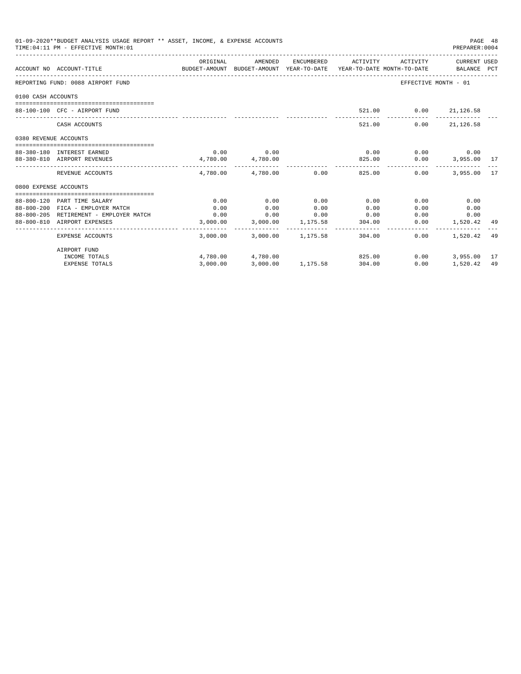| 01-09-2020**BUDGET ANALYSIS USAGE REPORT ** ASSET, INCOME, & EXPENSE ACCOUNTS<br>TIME: 04:11 PM - EFFECTIVE MONTH: 01 |                                        |                                                                                             |                                                           |      |        |                                           |                      | PAGE 48<br>PREPARER: 0004 |  |
|-----------------------------------------------------------------------------------------------------------------------|----------------------------------------|---------------------------------------------------------------------------------------------|-----------------------------------------------------------|------|--------|-------------------------------------------|----------------------|---------------------------|--|
|                                                                                                                       | ACCOUNT NO ACCOUNT-TITLE               | ORIGINAL<br>BUDGET-AMOUNT BUDGET-AMOUNT YEAR-TO-DATE YEAR-TO-DATE MONTH-TO-DATE BALANCE PCT | AMENDED                                                   |      |        | ENCUMBERED ACTIVITY ACTIVITY CURRENT USED |                      |                           |  |
|                                                                                                                       | REPORTING FUND: 0088 AIRPORT FUND      |                                                                                             |                                                           |      |        |                                           | EFFECTIVE MONTH - 01 |                           |  |
| 0100 CASH ACCOUNTS                                                                                                    |                                        |                                                                                             |                                                           |      |        |                                           |                      |                           |  |
|                                                                                                                       | 88-100-100 CFC - AIRPORT FUND          |                                                                                             |                                                           |      |        | 521.00   0.00   21,126.58                 |                      |                           |  |
|                                                                                                                       | CASH ACCOUNTS                          |                                                                                             |                                                           |      |        | 0.00<br>521.00                            | 21, 126.58           |                           |  |
| 0380 REVENUE ACCOUNTS                                                                                                 |                                        |                                                                                             |                                                           |      |        |                                           |                      |                           |  |
|                                                                                                                       | 88-380-180 INTEREST EARNED             |                                                                                             | $0.00$ 0.00                                               |      | 0.00   | $0.00$ 0.00                               |                      |                           |  |
|                                                                                                                       | 88-380-810 AIRPORT REVENUES            | $4,780.00$ $4,780.00$                                                                       |                                                           |      |        | 825.00   0.00   3,955.00   17             |                      |                           |  |
|                                                                                                                       | REVENUE ACCOUNTS                       |                                                                                             | $4.780.00$ $4.780.00$ $0.00$ $825.00$                     |      |        | 0.00                                      | 3,955,00 17          |                           |  |
| 0800 EXPENSE ACCOUNTS                                                                                                 |                                        |                                                                                             |                                                           |      |        |                                           |                      |                           |  |
|                                                                                                                       |                                        |                                                                                             |                                                           |      |        |                                           |                      |                           |  |
|                                                                                                                       | 88-800-120 PART TIME SALARY            | 0.00                                                                                        | 0.00                                                      | 0.00 | 0.00   | 0.00                                      | 0.00                 |                           |  |
|                                                                                                                       | 88-800-200 FICA - EMPLOYER MATCH       | 0.00                                                                                        | 0.00                                                      | 0.00 | 0.00   | 0.00                                      | 0.00                 |                           |  |
|                                                                                                                       | 88-800-205 RETIREMENT - EMPLOYER MATCH | 0.00                                                                                        | $0.00$ $0.00$ $0.00$ $0.00$<br>3,000.00 3,000.00 1,175.58 |      |        |                                           | 0.00<br>0.00         |                           |  |
|                                                                                                                       | 88-800-810 AIRPORT EXPENSES            |                                                                                             |                                                           |      | 304.00 | 0.00                                      | 1,520.42 49          |                           |  |
|                                                                                                                       | EXPENSE ACCOUNTS                       |                                                                                             | 3,000.00 3,000.00 1,175.58                                |      |        | 304.00<br>0.00                            | 1,520.42 49          |                           |  |
|                                                                                                                       | AIRPORT FUND                           |                                                                                             |                                                           |      |        |                                           |                      |                           |  |
|                                                                                                                       | INCOME TOTALS                          |                                                                                             | 4,780.00 4,780.00                                         |      | 825.00 | 0.00                                      | 3,955.00 17          |                           |  |
|                                                                                                                       | <b>EXPENSE TOTALS</b>                  | 3,000.00                                                                                    | 3,000.00 1,175.58 304.00                                  |      |        | 0.00                                      | 1,520.42 49          |                           |  |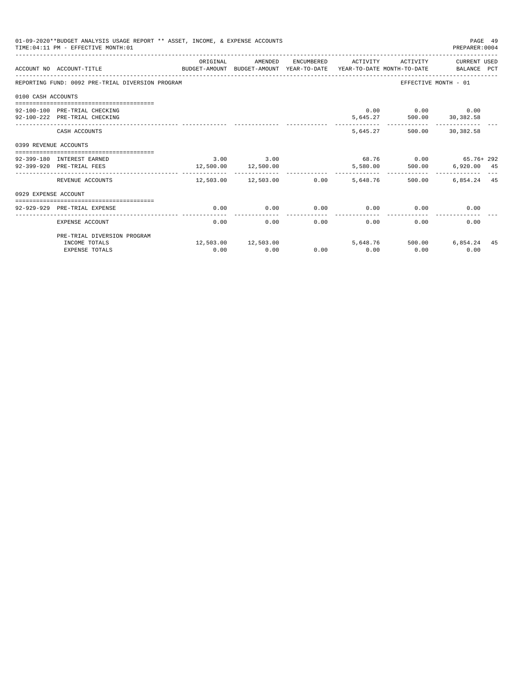| 01-09-2020**BUDGET ANALYSIS USAGE REPORT ** ASSET, INCOME, & EXPENSE ACCOUNTS<br>TIME: 04:11 PM - EFFECTIVE MONTH: 01 |                                                                                                             |               |                                |      |                     |                                                          | PAGE 49<br>PREPARER: 0004 |  |
|-----------------------------------------------------------------------------------------------------------------------|-------------------------------------------------------------------------------------------------------------|---------------|--------------------------------|------|---------------------|----------------------------------------------------------|---------------------------|--|
|                                                                                                                       | ACCOUNT NO ACCOUNT-TITLE<br>BUDGET-AMOUNT BUDGET-AMOUNT YEAR-TO-DATE YEAR-TO-DATE MONTH-TO-DATE BALANCE PCT | ORIGINAL      | AMENDED                        |      | ENCUMBERED ACTIVITY |                                                          | ACTIVITY CURRENT USED     |  |
|                                                                                                                       | REPORTING FUND: 0092 PRE-TRIAL DIVERSION PROGRAM                                                            |               |                                |      |                     |                                                          | EFFECTIVE MONTH - 01      |  |
| 0100 CASH ACCOUNTS                                                                                                    |                                                                                                             |               |                                |      |                     |                                                          |                           |  |
|                                                                                                                       | 92-100-100 PRE-TRIAL CHECKING<br>92-100-222 PRE-TRIAL CHECKING                                              |               |                                |      |                     | $0.00$ $0.00$ $0.00$ $0.00$<br>5,645.27 500.00 30,382.58 |                           |  |
|                                                                                                                       | CASH ACCOUNTS                                                                                               |               |                                |      |                     | 5,645.27 500.00 30,382.58                                |                           |  |
| 0399 REVENUE ACCOUNTS                                                                                                 |                                                                                                             |               |                                |      |                     |                                                          |                           |  |
|                                                                                                                       | 92-399-180 INTEREST EARNED<br>92-399-920 PRE-TRIAL FEES                                                     | $3.00$ $3.00$ | 12,500.00 12,500.00            |      |                     | 68.76 0.00 65.76+292<br>5,580.00 500.00 6,920.00 45      |                           |  |
|                                                                                                                       | REVENUE ACCOUNTS                                                                                            | . <i>.</i> .  | 12,503.00  12,503.00  0.00     |      | -----------         | 5,648.76 500.00                                          | 6,854.24 45               |  |
| 0929 EXPENSE ACCOUNT                                                                                                  |                                                                                                             |               |                                |      |                     |                                                          |                           |  |
|                                                                                                                       | 92-929-929 PRE-TRIAL EXPENSE                                                                                | 0.00          | 0.00                           | 0.00 |                     | $0.00$ 0.00                                              | 0.00                      |  |
|                                                                                                                       | EXPENSE ACCOUNT                                                                                             | 0.00          | 0.00                           | 0.00 | 0.00                | 0.00                                                     | 0.00                      |  |
|                                                                                                                       | PRE-TRIAL DIVERSION PROGRAM                                                                                 |               |                                |      |                     |                                                          |                           |  |
|                                                                                                                       | INCOME TOTALS<br><b>EXPENSE TOTALS</b>                                                                      | 0.00          | 12,503.00    12,503.00<br>0.00 | 0.00 | 0.00                | 5,648.76 500.00 6,854.24 45<br>0.00                      | 0.00                      |  |